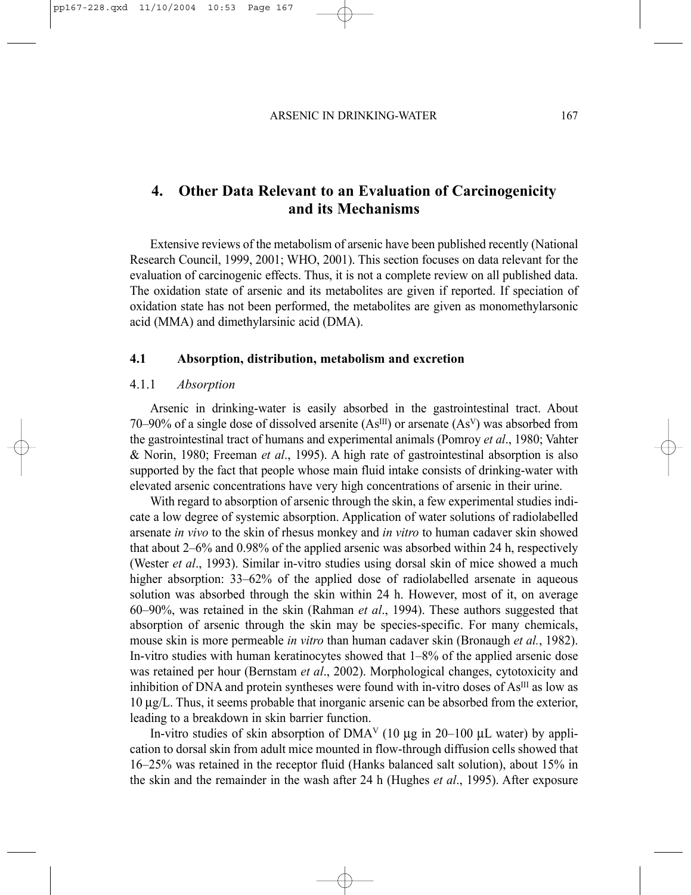# **4. Other Data Relevant to an Evaluation of Carcinogenicity and its Mechanisms**

Extensive reviews of the metabolism of arsenic have been published recently (National Research Council, 1999, 2001; WHO, 2001). This section focuses on data relevant for the evaluation of carcinogenic effects. Thus, it is not a complete review on all published data. The oxidation state of arsenic and its metabolites are given if reported. If speciation of oxidation state has not been performed, the metabolites are given as monomethylarsonic acid (MMA) and dimethylarsinic acid (DMA).

#### **4.1 Absorption, distribution, metabolism and excretion**

#### 4.1.1 *Absorption*

Arsenic in drinking-water is easily absorbed in the gastrointestinal tract. About 70–90% of a single dose of dissolved arsenite  $(As^{III})$  or arsenate  $(As^{V})$  was absorbed from the gastrointestinal tract of humans and experimental animals (Pomroy *et al*., 1980; Vahter & Norin, 1980; Freeman *et al*., 1995). A high rate of gastrointestinal absorption is also supported by the fact that people whose main fluid intake consists of drinking-water with elevated arsenic concentrations have very high concentrations of arsenic in their urine.

With regard to absorption of arsenic through the skin, a few experimental studies indicate a low degree of systemic absorption. Application of water solutions of radiolabelled arsenate *in vivo* to the skin of rhesus monkey and *in vitro* to human cadaver skin showed that about 2–6% and 0.98% of the applied arsenic was absorbed within 24 h, respectively (Wester *et al*., 1993). Similar in-vitro studies using dorsal skin of mice showed a much higher absorption:  $33-62\%$  of the applied dose of radiolabelled arsenate in aqueous solution was absorbed through the skin within 24 h. However, most of it, on average 60–90%, was retained in the skin (Rahman *et al*., 1994). These authors suggested that absorption of arsenic through the skin may be species-specific. For many chemicals, mouse skin is more permeable *in vitro* than human cadaver skin (Bronaugh *et al.*, 1982). In-vitro studies with human keratinocytes showed that 1–8% of the applied arsenic dose was retained per hour (Bernstam *et al*., 2002). Morphological changes, cytotoxicity and inhibition of DNA and protein syntheses were found with in-vitro doses of  $As<sup>III</sup>$  as low as 10 µg/L. Thus, it seems probable that inorganic arsenic can be absorbed from the exterior, leading to a breakdown in skin barrier function.

In-vitro studies of skin absorption of  $DMA<sup>V</sup>$  (10 µg in 20–100 µL water) by application to dorsal skin from adult mice mounted in flow-through diffusion cells showed that 16–25% was retained in the receptor fluid (Hanks balanced salt solution), about 15% in the skin and the remainder in the wash after 24 h (Hughes *et al*., 1995). After exposure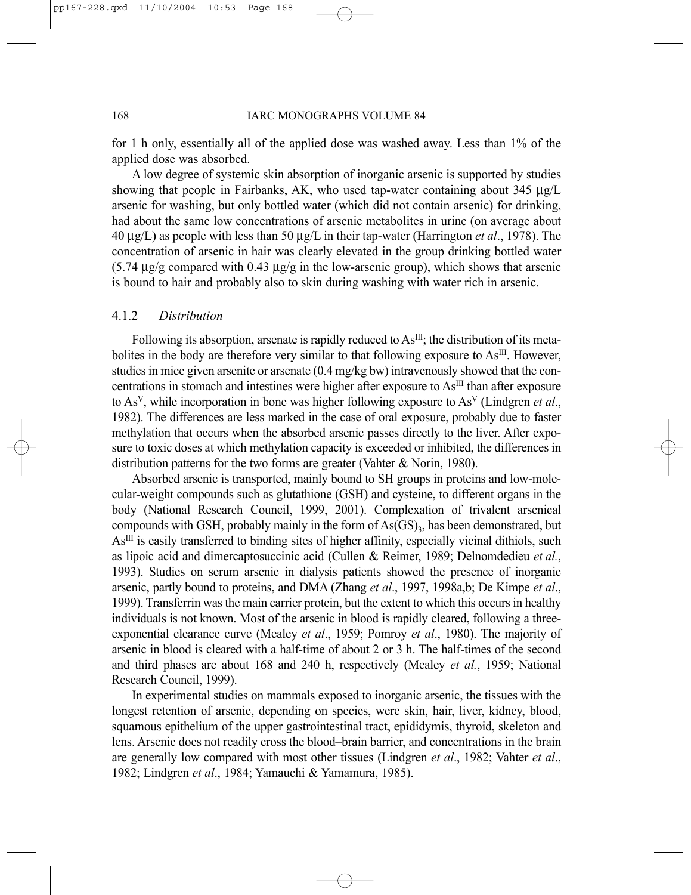for 1 h only, essentially all of the applied dose was washed away. Less than 1% of the applied dose was absorbed.

A low degree of systemic skin absorption of inorganic arsenic is supported by studies showing that people in Fairbanks, AK, who used tap-water containing about 345 µg/L arsenic for washing, but only bottled water (which did not contain arsenic) for drinking, had about the same low concentrations of arsenic metabolites in urine (on average about 40 µg/L) as people with less than 50 µg/L in their tap-water (Harrington *et al*., 1978). The concentration of arsenic in hair was clearly elevated in the group drinking bottled water  $(5.74 \text{ µg/g}$  compared with 0.43  $\mu$ g/g in the low-arsenic group), which shows that arsenic is bound to hair and probably also to skin during washing with water rich in arsenic.

#### 4.1.2 *Distribution*

Following its absorption, arsenate is rapidly reduced to  $As<sup>III</sup>$ ; the distribution of its metabolites in the body are therefore very similar to that following exposure to As<sup>III</sup>. However, studies in mice given arsenite or arsenate (0.4 mg/kg bw) intravenously showed that the concentrations in stomach and intestines were higher after exposure to As<sup>III</sup> than after exposure to AsV, while incorporation in bone was higher following exposure to AsV (Lindgren *et al*., 1982). The differences are less marked in the case of oral exposure, probably due to faster methylation that occurs when the absorbed arsenic passes directly to the liver. After exposure to toxic doses at which methylation capacity is exceeded or inhibited, the differences in distribution patterns for the two forms are greater (Vahter & Norin, 1980).

Absorbed arsenic is transported, mainly bound to SH groups in proteins and low-molecular-weight compounds such as glutathione (GSH) and cysteine, to different organs in the body (National Research Council, 1999, 2001). Complexation of trivalent arsenical compounds with GSH, probably mainly in the form of  $As(GS)$ <sub>3</sub>, has been demonstrated, but AsIII is easily transferred to binding sites of higher affinity, especially vicinal dithiols, such as lipoic acid and dimercaptosuccinic acid (Cullen & Reimer, 1989; Delnomdedieu *et al.*, 1993). Studies on serum arsenic in dialysis patients showed the presence of inorganic arsenic, partly bound to proteins, and DMA (Zhang *et al*., 1997, 1998a,b; De Kimpe *et al*., 1999). Transferrin was the main carrier protein, but the extent to which this occurs in healthy individuals is not known. Most of the arsenic in blood is rapidly cleared, following a threeexponential clearance curve (Mealey *et al*., 1959; Pomroy *et al*., 1980). The majority of arsenic in blood is cleared with a half-time of about 2 or 3 h. The half-times of the second and third phases are about 168 and 240 h, respectively (Mealey *et al.*, 1959; National Research Council, 1999).

In experimental studies on mammals exposed to inorganic arsenic, the tissues with the longest retention of arsenic, depending on species, were skin, hair, liver, kidney, blood, squamous epithelium of the upper gastrointestinal tract, epididymis, thyroid, skeleton and lens. Arsenic does not readily cross the blood–brain barrier, and concentrations in the brain are generally low compared with most other tissues (Lindgren *et al*., 1982; Vahter *et al*., 1982; Lindgren *et al*., 1984; Yamauchi & Yamamura, 1985).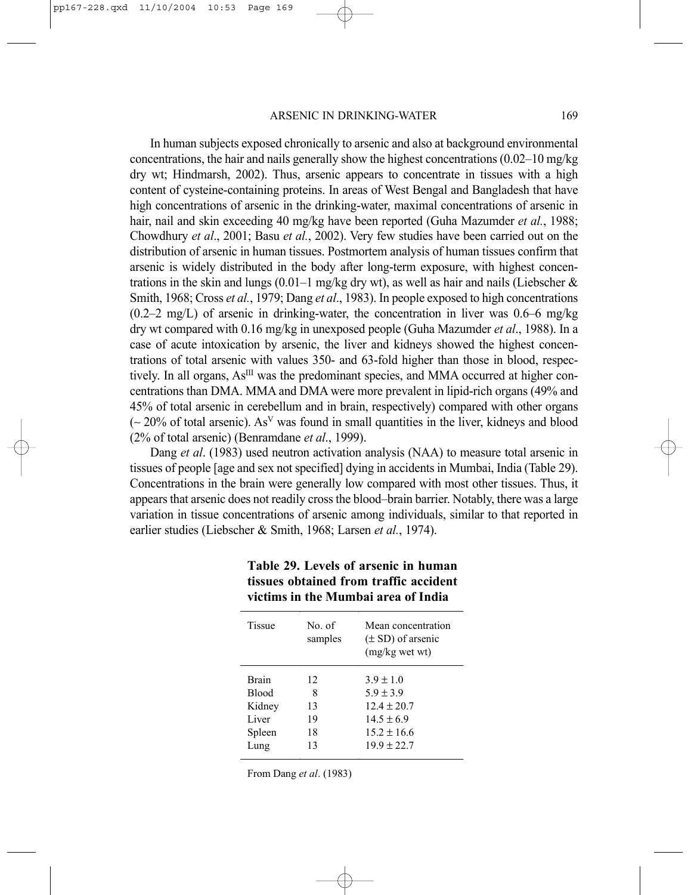In human subjects exposed chronically to arsenic and also at background environmental concentrations, the hair and nails generally show the highest concentrations (0.02–10 mg/kg dry wt; Hindmarsh, 2002). Thus, arsenic appears to concentrate in tissues with a high content of cysteine-containing proteins. In areas of West Bengal and Bangladesh that have high concentrations of arsenic in the drinking-water, maximal concentrations of arsenic in hair, nail and skin exceeding 40 mg/kg have been reported (Guha Mazumder *et al.*, 1988; Chowdhury *et al*., 2001; Basu *et al.*, 2002). Very few studies have been carried out on the distribution of arsenic in human tissues. Postmortem analysis of human tissues confirm that arsenic is widely distributed in the body after long-term exposure, with highest concentrations in the skin and lungs (0.01–1 mg/kg dry wt), as well as hair and nails (Liebscher  $\&$ Smith, 1968; Cross *et al.*, 1979; Dang *et al*., 1983). In people exposed to high concentrations  $(0.2-2 \text{ mg/L})$  of arsenic in drinking-water, the concentration in liver was 0.6–6 mg/kg dry wt compared with 0.16 mg/kg in unexposed people (Guha Mazumder *et al*., 1988). In a case of acute intoxication by arsenic, the liver and kidneys showed the highest concentrations of total arsenic with values 350- and 63-fold higher than those in blood, respectively. In all organs, As<sup>III</sup> was the predominant species, and MMA occurred at higher concentrations than DMA. MMA and DMA were more prevalent in lipid-rich organs (49% and 45% of total arsenic in cerebellum and in brain, respectively) compared with other organs (∼ 20% of total arsenic). AsV was found in small quantities in the liver, kidneys and blood (2% of total arsenic) (Benramdane *et al*., 1999).

Dang *et al*. (1983) used neutron activation analysis (NAA) to measure total arsenic in tissues of people [age and sex not specified] dying in accidents in Mumbai, India (Table 29). Concentrations in the brain were generally low compared with most other tissues. Thus, it appears that arsenic does not readily cross the blood–brain barrier. Notably, there was a large variation in tissue concentrations of arsenic among individuals, similar to that reported in earlier studies (Liebscher & Smith, 1968; Larsen *et al.*, 1974).

| Tissue       | No of<br>samples | Mean concentration<br>$(\pm SD)$ of arsenic<br>(mg/kg wet wt) |
|--------------|------------------|---------------------------------------------------------------|
| <b>Brain</b> | 12               | $3.9 \pm 1.0$                                                 |
| <b>Blood</b> | 8                | $5.9 \pm 3.9$                                                 |
| Kidney       | 13               | $12.4 + 20.7$                                                 |
| Liver        | 19               | $14.5 \pm 6.9$                                                |
| Spleen       | 18               | $15.2 \pm 16.6$                                               |
| Lung         | 13               | $19.9 \pm 22.7$                                               |

## **Table 29. Levels of arsenic in human tissues obtained from traffic accident victims in the Mumbai area of India**

From Dang *et al*. (1983)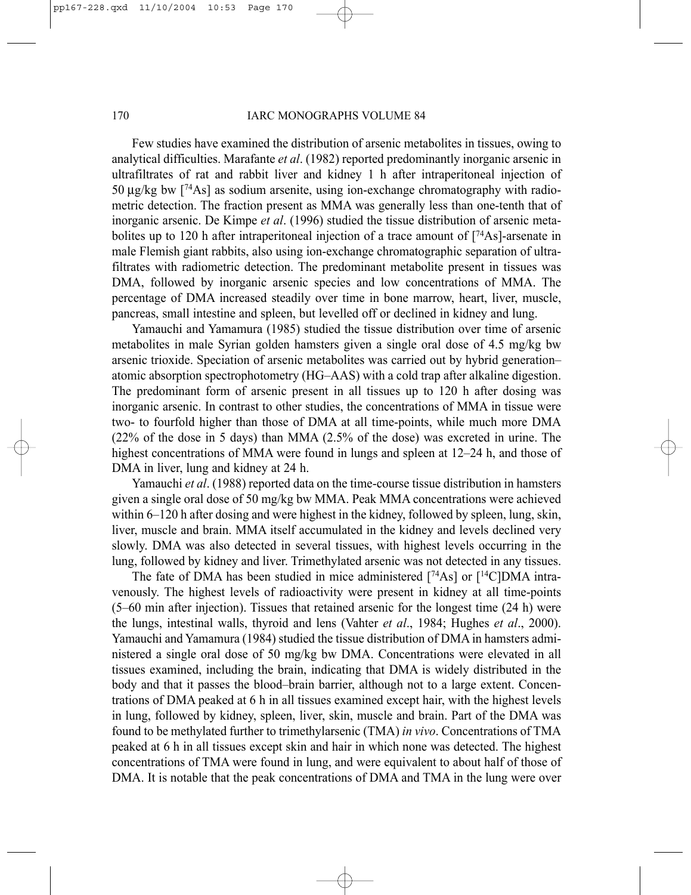#### 170 IARC MONOGRAPHS VOLUME 84

Few studies have examined the distribution of arsenic metabolites in tissues, owing to analytical difficulties. Marafante *et al*. (1982) reported predominantly inorganic arsenic in ultrafiltrates of rat and rabbit liver and kidney 1 h after intraperitoneal injection of 50 µg/kg bw [74As] as sodium arsenite, using ion-exchange chromatography with radiometric detection. The fraction present as MMA was generally less than one-tenth that of inorganic arsenic. De Kimpe *et al*. (1996) studied the tissue distribution of arsenic metabolites up to 120 h after intraperitoneal injection of a trace amount of  $[74As]$ -arsenate in male Flemish giant rabbits, also using ion-exchange chromatographic separation of ultrafiltrates with radiometric detection. The predominant metabolite present in tissues was DMA, followed by inorganic arsenic species and low concentrations of MMA. The percentage of DMA increased steadily over time in bone marrow, heart, liver, muscle, pancreas, small intestine and spleen, but levelled off or declined in kidney and lung.

Yamauchi and Yamamura (1985) studied the tissue distribution over time of arsenic metabolites in male Syrian golden hamsters given a single oral dose of 4.5 mg/kg bw arsenic trioxide. Speciation of arsenic metabolites was carried out by hybrid generation– atomic absorption spectrophotometry (HG–AAS) with a cold trap after alkaline digestion. The predominant form of arsenic present in all tissues up to 120 h after dosing was inorganic arsenic. In contrast to other studies, the concentrations of MMA in tissue were two- to fourfold higher than those of DMA at all time-points, while much more DMA (22% of the dose in 5 days) than MMA (2.5% of the dose) was excreted in urine. The highest concentrations of MMA were found in lungs and spleen at  $12-24$  h, and those of DMA in liver, lung and kidney at 24 h.

Yamauchi *et al*. (1988) reported data on the time-course tissue distribution in hamsters given a single oral dose of 50 mg/kg bw MMA. Peak MMA concentrations were achieved within 6–120 h after dosing and were highest in the kidney, followed by spleen, lung, skin, liver, muscle and brain. MMA itself accumulated in the kidney and levels declined very slowly. DMA was also detected in several tissues, with highest levels occurring in the lung, followed by kidney and liver. Trimethylated arsenic was not detected in any tissues.

The fate of DMA has been studied in mice administered [74As] or [14C]DMA intravenously. The highest levels of radioactivity were present in kidney at all time-points (5–60 min after injection). Tissues that retained arsenic for the longest time (24 h) were the lungs, intestinal walls, thyroid and lens (Vahter *et al*., 1984; Hughes *et al*., 2000). Yamauchi and Yamamura (1984) studied the tissue distribution of DMA in hamsters administered a single oral dose of 50 mg/kg bw DMA. Concentrations were elevated in all tissues examined, including the brain, indicating that DMA is widely distributed in the body and that it passes the blood–brain barrier, although not to a large extent. Concentrations of DMA peaked at 6 h in all tissues examined except hair, with the highest levels in lung, followed by kidney, spleen, liver, skin, muscle and brain. Part of the DMA was found to be methylated further to trimethylarsenic (TMA) *in vivo*. Concentrations of TMA peaked at 6 h in all tissues except skin and hair in which none was detected. The highest concentrations of TMA were found in lung, and were equivalent to about half of those of DMA. It is notable that the peak concentrations of DMA and TMA in the lung were over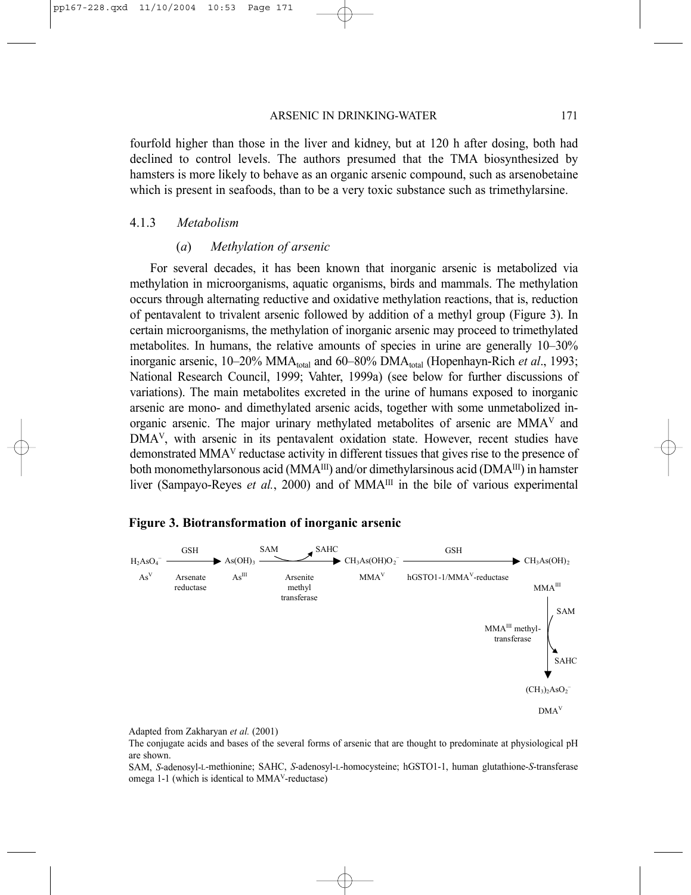#### ARSENIC IN DRINKING-WATER 171

fourfold higher than those in the liver and kidney, but at 120 h after dosing, both had declined to control levels. The authors presumed that the TMA biosynthesized by hamsters is more likely to behave as an organic arsenic compound, such as arsenobetaine which is present in seafoods, than to be a very toxic substance such as trimethylarsine.

#### 4.1.3 *Metabolism*

#### (*a*) *Methylation of arsenic*

For several decades, it has been known that inorganic arsenic is metabolized via methylation in microorganisms, aquatic organisms, birds and mammals. The methylation occurs through alternating reductive and oxidative methylation reactions, that is, reduction of pentavalent to trivalent arsenic followed by addition of a methyl group (Figure 3). In certain microorganisms, the methylation of inorganic arsenic may proceed to trimethylated metabolites. In humans, the relative amounts of species in urine are generally 10–30% inorganic arsenic, 10–20% MMA<sub>total</sub> and 60–80% DMA<sub>total</sub> (Hopenhayn-Rich *et al.*, 1993; National Research Council, 1999; Vahter, 1999a) (see below for further discussions of variations). The main metabolites excreted in the urine of humans exposed to inorganic arsenic are mono- and dimethylated arsenic acids, together with some unmetabolized inorganic arsenic. The major urinary methylated metabolites of arsenic are MMAV and DMA<sup>V</sup>, with arsenic in its pentavalent oxidation state. However, recent studies have demonstrated MMAV reductase activity in different tissues that gives rise to the presence of both monomethylarsonous acid ( $MMA^{III}$ ) and/or dimethylarsinous acid ( $DMA^{III}$ ) in hamster liver (Sampayo-Reyes *et al.*, 2000) and of MMA<sup>III</sup> in the bile of various experimental

## **Figure 3. Biotransformation of inorganic arsenic**



Adapted from Zakharyan *et al.* (2001)

The conjugate acids and bases of the several forms of arsenic that are thought to predominate at physiological pH are shown.

SAM, *S*-adenosyl-L-methionine; SAHC, *S*-adenosyl-L-homocysteine; hGSTO1-1, human glutathione-*S*-transferase omega 1-1 (which is identical to MMAV-reductase)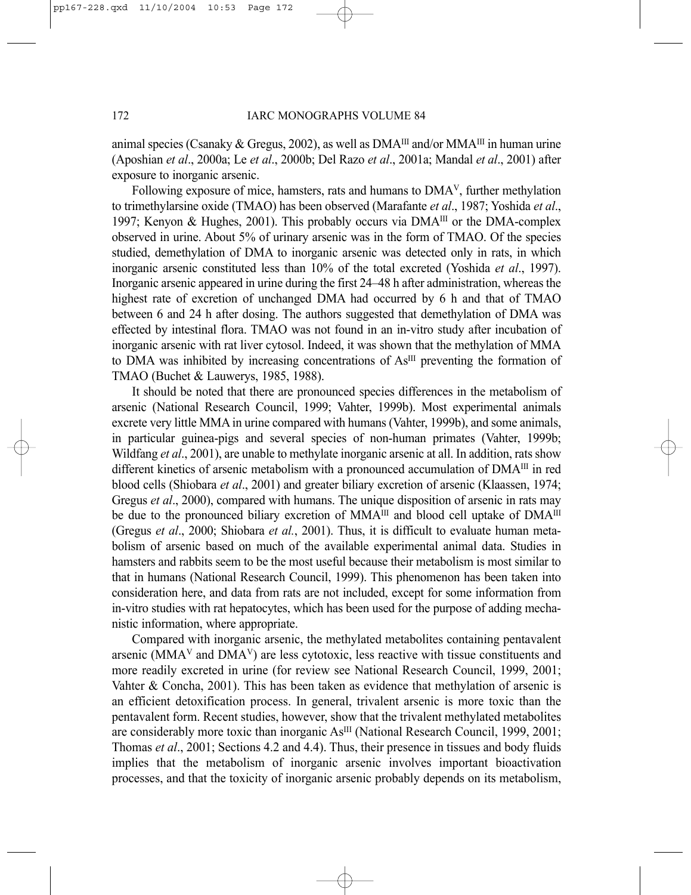animal species (Csanaky & Gregus, 2002), as well as  $DMA^{III}$  and/or  $MMA^{III}$  in human urine (Aposhian *et al*., 2000a; Le *et al*., 2000b; Del Razo *et al*., 2001a; Mandal *et al*., 2001) after exposure to inorganic arsenic.

Following exposure of mice, hamsters, rats and humans to DMAV, further methylation to trimethylarsine oxide (TMAO) has been observed (Marafante *et al*., 1987; Yoshida *et al*., 1997; Kenyon & Hughes, 2001). This probably occurs via  $DMA^{III}$  or the DMA-complex observed in urine. About 5% of urinary arsenic was in the form of TMAO. Of the species studied, demethylation of DMA to inorganic arsenic was detected only in rats, in which inorganic arsenic constituted less than 10% of the total excreted (Yoshida *et al*., 1997). Inorganic arsenic appeared in urine during the first 24–48 h after administration, whereas the highest rate of excretion of unchanged DMA had occurred by 6 h and that of TMAO between 6 and 24 h after dosing. The authors suggested that demethylation of DMA was effected by intestinal flora. TMAO was not found in an in-vitro study after incubation of inorganic arsenic with rat liver cytosol. Indeed, it was shown that the methylation of MMA to DMA was inhibited by increasing concentrations of As<sup>III</sup> preventing the formation of TMAO (Buchet & Lauwerys, 1985, 1988).

It should be noted that there are pronounced species differences in the metabolism of arsenic (National Research Council, 1999; Vahter, 1999b). Most experimental animals excrete very little MMA in urine compared with humans (Vahter, 1999b), and some animals, in particular guinea-pigs and several species of non-human primates (Vahter, 1999b; Wildfang *et al.*, 2001), are unable to methylate inorganic arsenic at all. In addition, rats show different kinetics of arsenic metabolism with a pronounced accumulation of DMA<sup>III</sup> in red blood cells (Shiobara *et al*., 2001) and greater biliary excretion of arsenic (Klaassen, 1974; Gregus *et al*., 2000), compared with humans. The unique disposition of arsenic in rats may be due to the pronounced biliary excretion of MMA<sup>III</sup> and blood cell uptake of DMA<sup>III</sup> (Gregus *et al*., 2000; Shiobara *et al.*, 2001). Thus, it is difficult to evaluate human metabolism of arsenic based on much of the available experimental animal data. Studies in hamsters and rabbits seem to be the most useful because their metabolism is most similar to that in humans (National Research Council, 1999). This phenomenon has been taken into consideration here, and data from rats are not included, except for some information from in-vitro studies with rat hepatocytes, which has been used for the purpose of adding mechanistic information, where appropriate.

Compared with inorganic arsenic, the methylated metabolites containing pentavalent arsenic ( $MMA<sup>V</sup>$  and  $DMA<sup>V</sup>$ ) are less cytotoxic, less reactive with tissue constituents and more readily excreted in urine (for review see National Research Council, 1999, 2001; Vahter & Concha, 2001). This has been taken as evidence that methylation of arsenic is an efficient detoxification process. In general, trivalent arsenic is more toxic than the pentavalent form. Recent studies, however, show that the trivalent methylated metabolites are considerably more toxic than inorganic As<sup>III</sup> (National Research Council, 1999, 2001; Thomas *et al*., 2001; Sections 4.2 and 4.4). Thus, their presence in tissues and body fluids implies that the metabolism of inorganic arsenic involves important bioactivation processes, and that the toxicity of inorganic arsenic probably depends on its metabolism,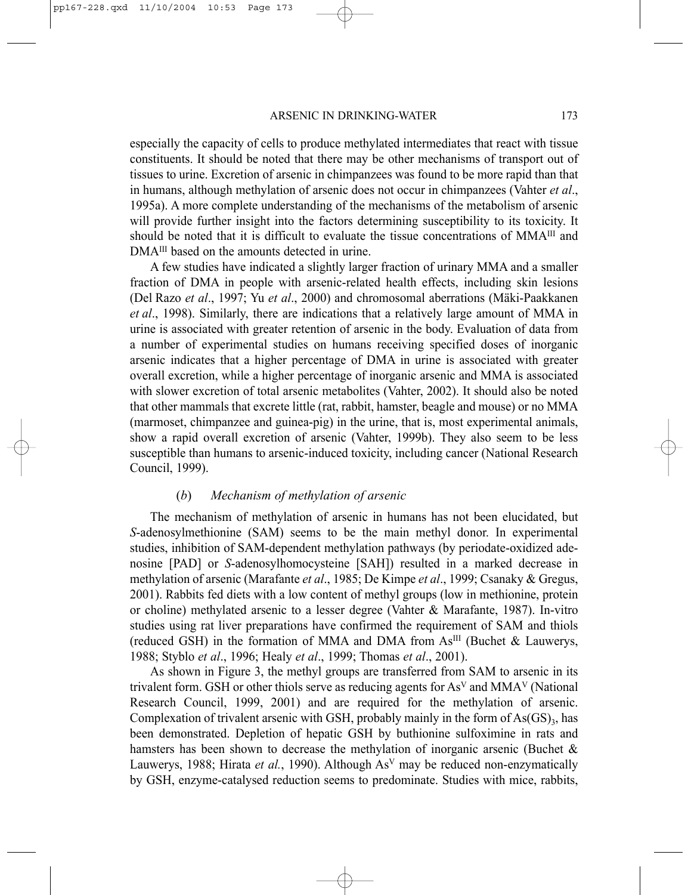especially the capacity of cells to produce methylated intermediates that react with tissue constituents. It should be noted that there may be other mechanisms of transport out of tissues to urine. Excretion of arsenic in chimpanzees was found to be more rapid than that in humans, although methylation of arsenic does not occur in chimpanzees (Vahter *et al*., 1995a). A more complete understanding of the mechanisms of the metabolism of arsenic will provide further insight into the factors determining susceptibility to its toxicity. It should be noted that it is difficult to evaluate the tissue concentrations of  $MMA^{III}$  and DMA<sup>III</sup> based on the amounts detected in urine.

A few studies have indicated a slightly larger fraction of urinary MMA and a smaller fraction of DMA in people with arsenic-related health effects, including skin lesions (Del Razo *et al*., 1997; Yu *et al*., 2000) and chromosomal aberrations (Mäki-Paakkanen *et al*., 1998). Similarly, there are indications that a relatively large amount of MMA in urine is associated with greater retention of arsenic in the body. Evaluation of data from a number of experimental studies on humans receiving specified doses of inorganic arsenic indicates that a higher percentage of DMA in urine is associated with greater overall excretion, while a higher percentage of inorganic arsenic and MMA is associated with slower excretion of total arsenic metabolites (Vahter, 2002). It should also be noted that other mammals that excrete little (rat, rabbit, hamster, beagle and mouse) or no MMA (marmoset, chimpanzee and guinea-pig) in the urine, that is, most experimental animals, show a rapid overall excretion of arsenic (Vahter, 1999b). They also seem to be less susceptible than humans to arsenic-induced toxicity, including cancer (National Research Council, 1999).

#### (*b*) *Mechanism of methylation of arsenic*

The mechanism of methylation of arsenic in humans has not been elucidated, but *S*-adenosylmethionine (SAM) seems to be the main methyl donor. In experimental studies, inhibition of SAM-dependent methylation pathways (by periodate-oxidized adenosine [PAD] or *S*-adenosylhomocysteine [SAH]) resulted in a marked decrease in methylation of arsenic (Marafante *et al*., 1985; De Kimpe *et al*., 1999; Csanaky & Gregus, 2001). Rabbits fed diets with a low content of methyl groups (low in methionine, protein or choline) methylated arsenic to a lesser degree (Vahter & Marafante, 1987). In-vitro studies using rat liver preparations have confirmed the requirement of SAM and thiols (reduced GSH) in the formation of MMA and DMA from  $As<sup>III</sup>$  (Buchet & Lauwerys, 1988; Styblo *et al*., 1996; Healy *et al*., 1999; Thomas *et al*., 2001).

As shown in Figure 3, the methyl groups are transferred from SAM to arsenic in its trivalent form. GSH or other thiols serve as reducing agents for  $As<sup>V</sup>$  and  $MMA<sup>V</sup>$  (National Research Council, 1999, 2001) and are required for the methylation of arsenic. Complexation of trivalent arsenic with GSH, probably mainly in the form of  $\text{As}(\text{GS})_3$ , has been demonstrated. Depletion of hepatic GSH by buthionine sulfoximine in rats and hamsters has been shown to decrease the methylation of inorganic arsenic (Buchet & Lauwerys, 1988; Hirata *et al.*, 1990). Although AsV may be reduced non-enzymatically by GSH, enzyme-catalysed reduction seems to predominate. Studies with mice, rabbits,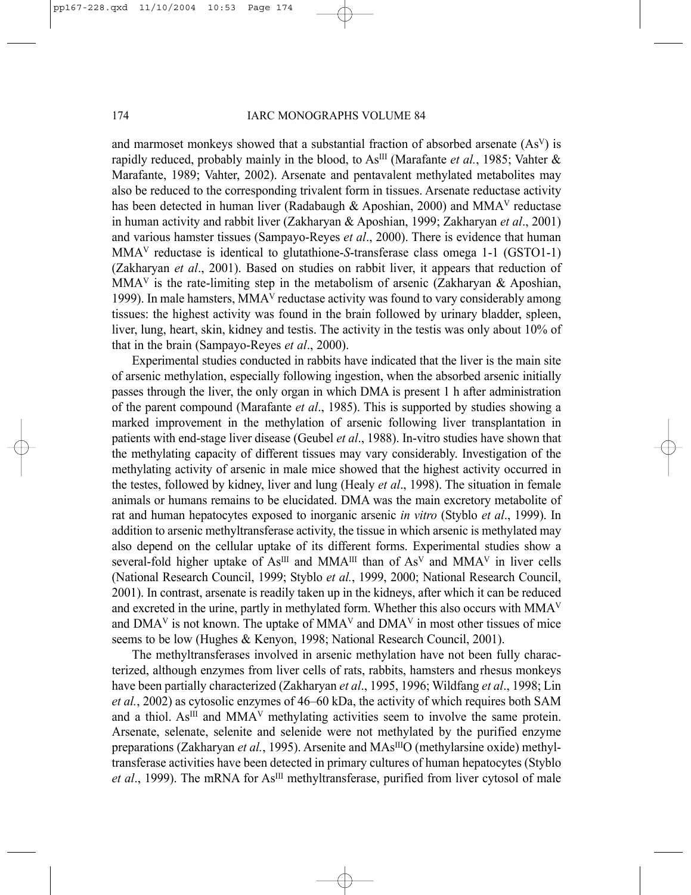and marmoset monkeys showed that a substantial fraction of absorbed arsenate  $(As<sup>V</sup>)$  is rapidly reduced, probably mainly in the blood, to As<sup>III</sup> (Marafante *et al.*, 1985; Vahter & Marafante, 1989; Vahter, 2002). Arsenate and pentavalent methylated metabolites may also be reduced to the corresponding trivalent form in tissues. Arsenate reductase activity has been detected in human liver (Radabaugh & Aposhian, 2000) and MMA<sup>V</sup> reductase in human activity and rabbit liver (Zakharyan & Aposhian, 1999; Zakharyan *et al*., 2001) and various hamster tissues (Sampayo-Reyes *et al*., 2000). There is evidence that human MMAV reductase is identical to glutathione-*S*-transferase class omega 1-1 (GSTO1-1) (Zakharyan *et al*., 2001). Based on studies on rabbit liver, it appears that reduction of MMA<sup>V</sup> is the rate-limiting step in the metabolism of arsenic (Zakharyan & Aposhian, 1999). In male hamsters,  $MMA<sup>V</sup>$  reductase activity was found to vary considerably among tissues: the highest activity was found in the brain followed by urinary bladder, spleen, liver, lung, heart, skin, kidney and testis. The activity in the testis was only about 10% of that in the brain (Sampayo-Reyes *et al*., 2000).

Experimental studies conducted in rabbits have indicated that the liver is the main site of arsenic methylation, especially following ingestion, when the absorbed arsenic initially passes through the liver, the only organ in which DMA is present 1 h after administration of the parent compound (Marafante *et al*., 1985). This is supported by studies showing a marked improvement in the methylation of arsenic following liver transplantation in patients with end-stage liver disease (Geubel *et al*., 1988). In-vitro studies have shown that the methylating capacity of different tissues may vary considerably. Investigation of the methylating activity of arsenic in male mice showed that the highest activity occurred in the testes, followed by kidney, liver and lung (Healy *et al*., 1998). The situation in female animals or humans remains to be elucidated. DMA was the main excretory metabolite of rat and human hepatocytes exposed to inorganic arsenic *in vitro* (Styblo *et al*., 1999). In addition to arsenic methyltransferase activity, the tissue in which arsenic is methylated may also depend on the cellular uptake of its different forms. Experimental studies show a several-fold higher uptake of  $As^{III}$  and MMA<sup>III</sup> than of  $As^{V}$  and MMA<sup>V</sup> in liver cells (National Research Council, 1999; Styblo *et al.*, 1999, 2000; National Research Council, 2001). In contrast, arsenate is readily taken up in the kidneys, after which it can be reduced and excreted in the urine, partly in methylated form. Whether this also occurs with MMAV and  $DMA<sup>V</sup>$  is not known. The uptake of  $MMA<sup>V</sup>$  and  $DMA<sup>V</sup>$  in most other tissues of mice seems to be low (Hughes & Kenyon, 1998; National Research Council, 2001).

The methyltransferases involved in arsenic methylation have not been fully characterized, although enzymes from liver cells of rats, rabbits, hamsters and rhesus monkeys have been partially characterized (Zakharyan *et al*., 1995, 1996; Wildfang *et al*., 1998; Lin *et al.*, 2002) as cytosolic enzymes of 46–60 kDa, the activity of which requires both SAM and a thiol.  $As^{III}$  and  $MMA<sup>V</sup>$  methylating activities seem to involve the same protein. Arsenate, selenate, selenite and selenide were not methylated by the purified enzyme preparations (Zakharyan *et al.*, 1995). Arsenite and MAs<sup>III</sup>O (methylarsine oxide) methyltransferase activities have been detected in primary cultures of human hepatocytes (Styblo *et al*., 1999). The mRNA for AsIII methyltransferase, purified from liver cytosol of male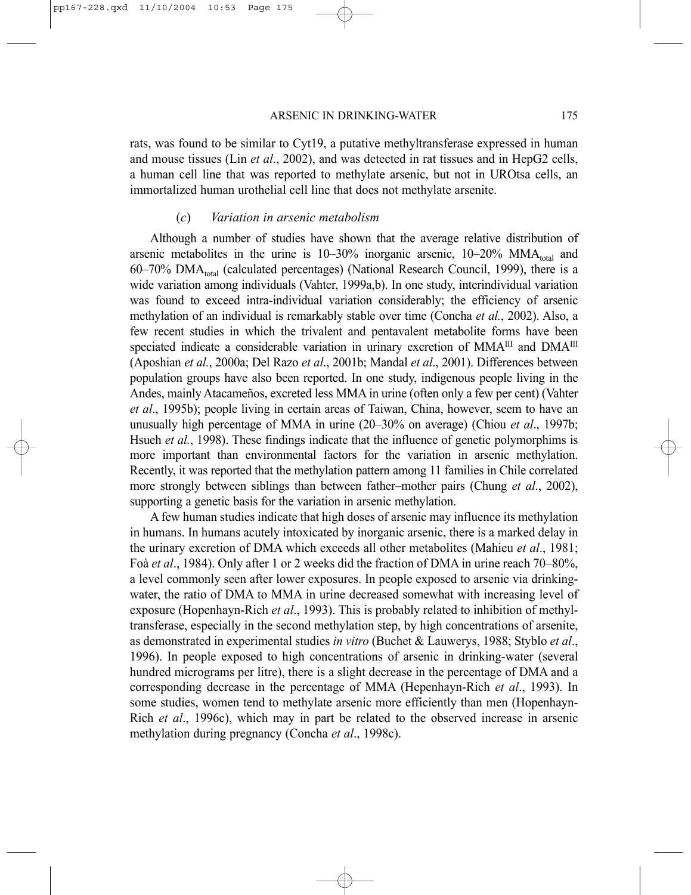rats, was found to be similar to Cyt19, a putative methyltransferase expressed in human and mouse tissues (Lin *et al*., 2002), and was detected in rat tissues and in HepG2 cells, a human cell line that was reported to methylate arsenic, but not in UROtsa cells, an immortalized human urothelial cell line that does not methylate arsenite.

#### (*c*) *Variation in arsenic metabolism*

Although a number of studies have shown that the average relative distribution of arsenic metabolites in the urine is  $10-30\%$  inorganic arsenic,  $10-20\%$  MMA<sub>total</sub> and  $60-70\%$  DMA<sub>total</sub> (calculated percentages) (National Research Council, 1999), there is a wide variation among individuals (Vahter, 1999a,b). In one study, interindividual variation was found to exceed intra-individual variation considerably; the efficiency of arsenic methylation of an individual is remarkably stable over time (Concha *et al.*, 2002). Also, a few recent studies in which the trivalent and pentavalent metabolite forms have been speciated indicate a considerable variation in urinary excretion of  $MMA<sup>III</sup>$  and  $DMA<sup>III</sup>$ (Aposhian *et al.*, 2000a; Del Razo *et al*., 2001b; Mandal *et al*., 2001). Differences between population groups have also been reported. In one study, indigenous people living in the Andes, mainly Atacameños, excreted less MMA in urine (often only a few per cent) (Vahter *et al*., 1995b); people living in certain areas of Taiwan, China, however, seem to have an unusually high percentage of MMA in urine (20–30% on average) (Chiou *et al*., 1997b; Hsueh *et al.*, 1998). These findings indicate that the influence of genetic polymorphims is more important than environmental factors for the variation in arsenic methylation. Recently, it was reported that the methylation pattern among 11 families in Chile correlated more strongly between siblings than between father–mother pairs (Chung *et al*., 2002), supporting a genetic basis for the variation in arsenic methylation.

A few human studies indicate that high doses of arsenic may influence its methylation in humans. In humans acutely intoxicated by inorganic arsenic, there is a marked delay in the urinary excretion of DMA which exceeds all other metabolites (Mahieu *et al*., 1981; Foà *et al*., 1984). Only after 1 or 2 weeks did the fraction of DMA in urine reach 70–80%, a level commonly seen after lower exposures. In people exposed to arsenic via drinkingwater, the ratio of DMA to MMA in urine decreased somewhat with increasing level of exposure (Hopenhayn-Rich *et al*., 1993). This is probably related to inhibition of methyltransferase, especially in the second methylation step, by high concentrations of arsenite, as demonstrated in experimental studies *in vitro* (Buchet & Lauwerys, 1988; Styblo *et al*., 1996). In people exposed to high concentrations of arsenic in drinking-water (several hundred micrograms per litre), there is a slight decrease in the percentage of DMA and a corresponding decrease in the percentage of MMA (Hepenhayn-Rich *et al*., 1993). In some studies, women tend to methylate arsenic more efficiently than men (Hopenhayn-Rich *et al*., 1996c), which may in part be related to the observed increase in arsenic methylation during pregnancy (Concha *et al*., 1998c).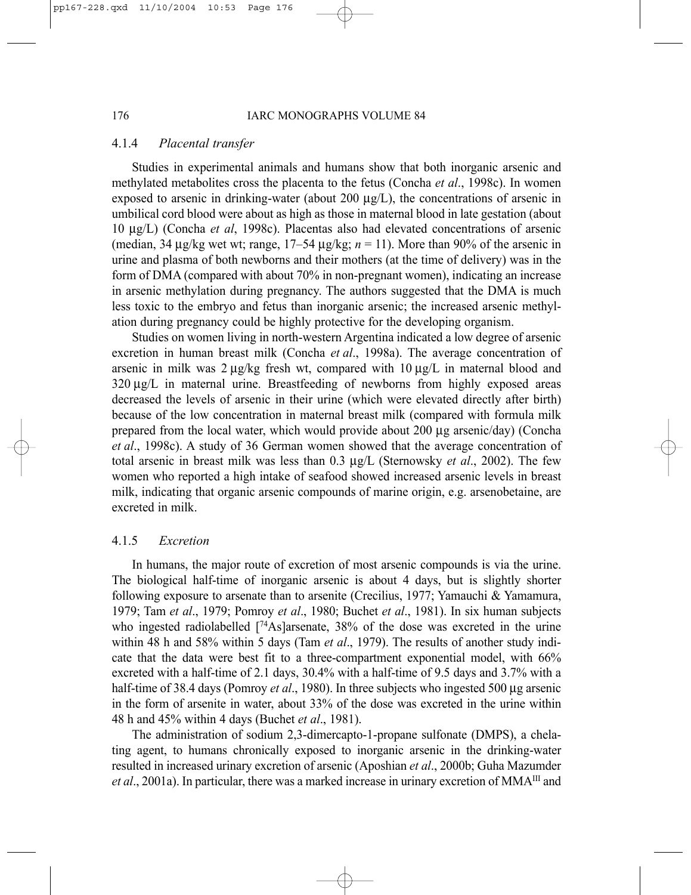#### 4.1.4 *Placental transfer*

Studies in experimental animals and humans show that both inorganic arsenic and methylated metabolites cross the placenta to the fetus (Concha *et al*., 1998c). In women exposed to arsenic in drinking-water (about 200  $\mu$ g/L), the concentrations of arsenic in umbilical cord blood were about as high as those in maternal blood in late gestation (about 10 µg/L) (Concha *et al*, 1998c). Placentas also had elevated concentrations of arsenic (median,  $34 \mu g/kg$  wet wt; range,  $17-54 \mu g/kg$ ;  $n = 11$ ). More than 90% of the arsenic in urine and plasma of both newborns and their mothers (at the time of delivery) was in the form of DMA (compared with about 70% in non-pregnant women), indicating an increase in arsenic methylation during pregnancy. The authors suggested that the DMA is much less toxic to the embryo and fetus than inorganic arsenic; the increased arsenic methylation during pregnancy could be highly protective for the developing organism.

Studies on women living in north-western Argentina indicated a low degree of arsenic excretion in human breast milk (Concha *et al*., 1998a). The average concentration of arsenic in milk was 2 µg/kg fresh wt, compared with 10 µg/L in maternal blood and 320 µg/L in maternal urine. Breastfeeding of newborns from highly exposed areas decreased the levels of arsenic in their urine (which were elevated directly after birth) because of the low concentration in maternal breast milk (compared with formula milk prepared from the local water, which would provide about 200 µg arsenic/day) (Concha *et al*., 1998c). A study of 36 German women showed that the average concentration of total arsenic in breast milk was less than 0.3 µg/L (Sternowsky *et al*., 2002). The few women who reported a high intake of seafood showed increased arsenic levels in breast milk, indicating that organic arsenic compounds of marine origin, e.g. arsenobetaine, are excreted in milk.

#### 4.1.5 *Excretion*

In humans, the major route of excretion of most arsenic compounds is via the urine. The biological half-time of inorganic arsenic is about 4 days, but is slightly shorter following exposure to arsenate than to arsenite (Crecilius, 1977; Yamauchi & Yamamura, 1979; Tam *et al*., 1979; Pomroy *et al*., 1980; Buchet *et al*., 1981). In six human subjects who ingested radiolabelled  $[74As]$ arsenate, 38% of the dose was excreted in the urine within 48 h and 58% within 5 days (Tam *et al*., 1979). The results of another study indicate that the data were best fit to a three-compartment exponential model, with 66% excreted with a half-time of 2.1 days, 30.4% with a half-time of 9.5 days and 3.7% with a half-time of 38.4 days (Pomroy *et al.*, 1980). In three subjects who ingested 500 µg arsenic in the form of arsenite in water, about 33% of the dose was excreted in the urine within 48 h and 45% within 4 days (Buchet *et al*., 1981).

The administration of sodium 2,3-dimercapto-1-propane sulfonate (DMPS), a chelating agent, to humans chronically exposed to inorganic arsenic in the drinking-water resulted in increased urinary excretion of arsenic (Aposhian *et al*., 2000b; Guha Mazumder *et al*., 2001a). In particular, there was a marked increase in urinary excretion of MMAIII and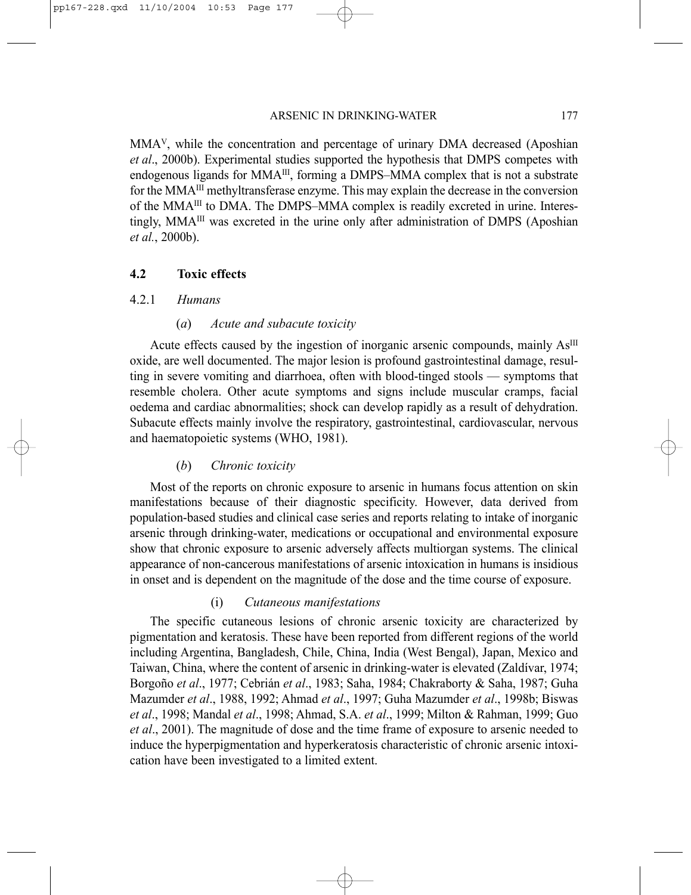MMAV, while the concentration and percentage of urinary DMA decreased (Aposhian *et al*., 2000b). Experimental studies supported the hypothesis that DMPS competes with endogenous ligands for MMA<sup>III</sup>, forming a DMPS–MMA complex that is not a substrate for the MMAIII methyltransferase enzyme. This may explain the decrease in the conversion of the MMAIII to DMA. The DMPS–MMA complex is readily excreted in urine. Interestingly, MMAIII was excreted in the urine only after administration of DMPS (Aposhian *et al.*, 2000b).

## **4.2 Toxic effects**

## 4.2.1 *Humans*

## (*a*) *Acute and subacute toxicity*

Acute effects caused by the ingestion of inorganic arsenic compounds, mainly  $As^{III}$ oxide, are well documented. The major lesion is profound gastrointestinal damage, resulting in severe vomiting and diarrhoea, often with blood-tinged stools — symptoms that resemble cholera. Other acute symptoms and signs include muscular cramps, facial oedema and cardiac abnormalities; shock can develop rapidly as a result of dehydration. Subacute effects mainly involve the respiratory, gastrointestinal, cardiovascular, nervous and haematopoietic systems (WHO, 1981).

## (*b*) *Chronic toxicity*

Most of the reports on chronic exposure to arsenic in humans focus attention on skin manifestations because of their diagnostic specificity. However, data derived from population-based studies and clinical case series and reports relating to intake of inorganic arsenic through drinking-water, medications or occupational and environmental exposure show that chronic exposure to arsenic adversely affects multiorgan systems. The clinical appearance of non-cancerous manifestations of arsenic intoxication in humans is insidious in onset and is dependent on the magnitude of the dose and the time course of exposure.

## (i) *Cutaneous manifestations*

The specific cutaneous lesions of chronic arsenic toxicity are characterized by pigmentation and keratosis. These have been reported from different regions of the world including Argentina, Bangladesh, Chile, China, India (West Bengal), Japan, Mexico and Taiwan, China, where the content of arsenic in drinking-water is elevated (Zaldívar, 1974; Borgoño *et al*., 1977; Cebrián *et al*., 1983; Saha, 1984; Chakraborty & Saha, 1987; Guha Mazumder *et al*., 1988, 1992; Ahmad *et al*., 1997; Guha Mazumder *et al*., 1998b; Biswas *et al*., 1998; Mandal *et al*., 1998; Ahmad, S.A. *et al*., 1999; Milton & Rahman, 1999; Guo *et al*., 2001). The magnitude of dose and the time frame of exposure to arsenic needed to induce the hyperpigmentation and hyperkeratosis characteristic of chronic arsenic intoxication have been investigated to a limited extent.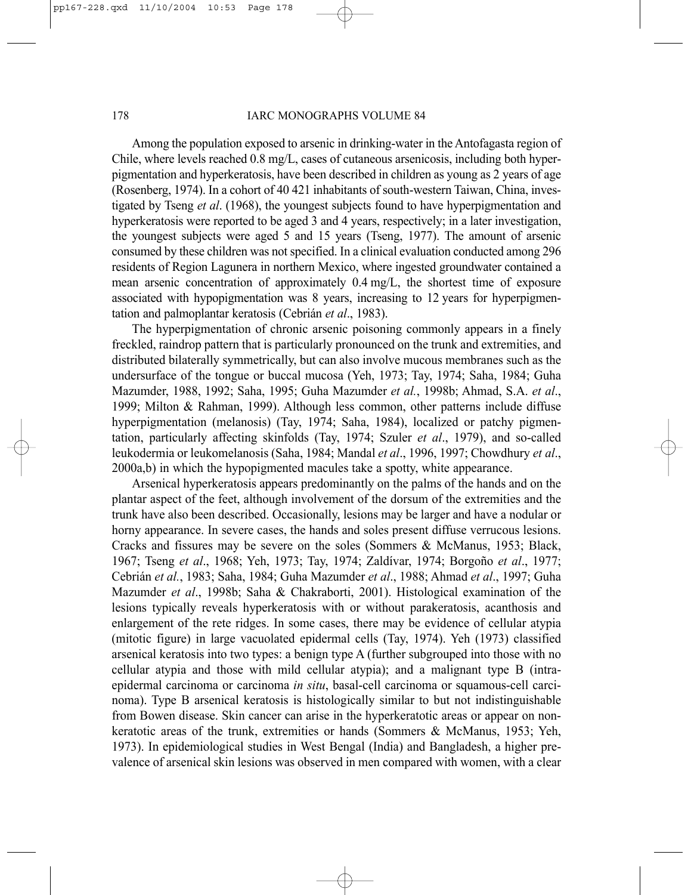#### 178 IARC MONOGRAPHS VOLUME 84

Among the population exposed to arsenic in drinking-water in the Antofagasta region of Chile, where levels reached 0.8 mg/L, cases of cutaneous arsenicosis, including both hyperpigmentation and hyperkeratosis, have been described in children as young as 2 years of age (Rosenberg, 1974). In a cohort of 40 421 inhabitants of south-western Taiwan, China, investigated by Tseng *et al*. (1968), the youngest subjects found to have hyperpigmentation and hyperkeratosis were reported to be aged 3 and 4 years, respectively; in a later investigation, the youngest subjects were aged 5 and 15 years (Tseng, 1977). The amount of arsenic consumed by these children was not specified. In a clinical evaluation conducted among 296 residents of Region Lagunera in northern Mexico, where ingested groundwater contained a mean arsenic concentration of approximately 0.4 mg/L, the shortest time of exposure associated with hypopigmentation was 8 years, increasing to 12 years for hyperpigmentation and palmoplantar keratosis (Cebrián *et al*., 1983).

The hyperpigmentation of chronic arsenic poisoning commonly appears in a finely freckled, raindrop pattern that is particularly pronounced on the trunk and extremities, and distributed bilaterally symmetrically, but can also involve mucous membranes such as the undersurface of the tongue or buccal mucosa (Yeh, 1973; Tay, 1974; Saha, 1984; Guha Mazumder, 1988, 1992; Saha, 1995; Guha Mazumder *et al.*, 1998b; Ahmad, S.A. *et al*., 1999; Milton & Rahman, 1999). Although less common, other patterns include diffuse hyperpigmentation (melanosis) (Tay, 1974; Saha, 1984), localized or patchy pigmentation, particularly affecting skinfolds (Tay, 1974; Szuler *et al*., 1979), and so-called leukodermia or leukomelanosis (Saha, 1984; Mandal *et al*., 1996, 1997; Chowdhury *et al*., 2000a,b) in which the hypopigmented macules take a spotty, white appearance.

Arsenical hyperkeratosis appears predominantly on the palms of the hands and on the plantar aspect of the feet, although involvement of the dorsum of the extremities and the trunk have also been described. Occasionally, lesions may be larger and have a nodular or horny appearance. In severe cases, the hands and soles present diffuse verrucous lesions. Cracks and fissures may be severe on the soles (Sommers & McManus, 1953; Black, 1967; Tseng *et al*., 1968; Yeh, 1973; Tay, 1974; Zaldívar, 1974; Borgoño *et al*., 1977; Cebrián *et al.*, 1983; Saha, 1984; Guha Mazumder *et al*., 1988; Ahmad *et al*., 1997; Guha Mazumder *et al*., 1998b; Saha & Chakraborti, 2001). Histological examination of the lesions typically reveals hyperkeratosis with or without parakeratosis, acanthosis and enlargement of the rete ridges. In some cases, there may be evidence of cellular atypia (mitotic figure) in large vacuolated epidermal cells (Tay, 1974). Yeh (1973) classified arsenical keratosis into two types: a benign type A (further subgrouped into those with no cellular atypia and those with mild cellular atypia); and a malignant type B (intraepidermal carcinoma or carcinoma *in situ*, basal-cell carcinoma or squamous-cell carcinoma). Type B arsenical keratosis is histologically similar to but not indistinguishable from Bowen disease. Skin cancer can arise in the hyperkeratotic areas or appear on nonkeratotic areas of the trunk, extremities or hands (Sommers & McManus, 1953; Yeh, 1973). In epidemiological studies in West Bengal (India) and Bangladesh, a higher prevalence of arsenical skin lesions was observed in men compared with women, with a clear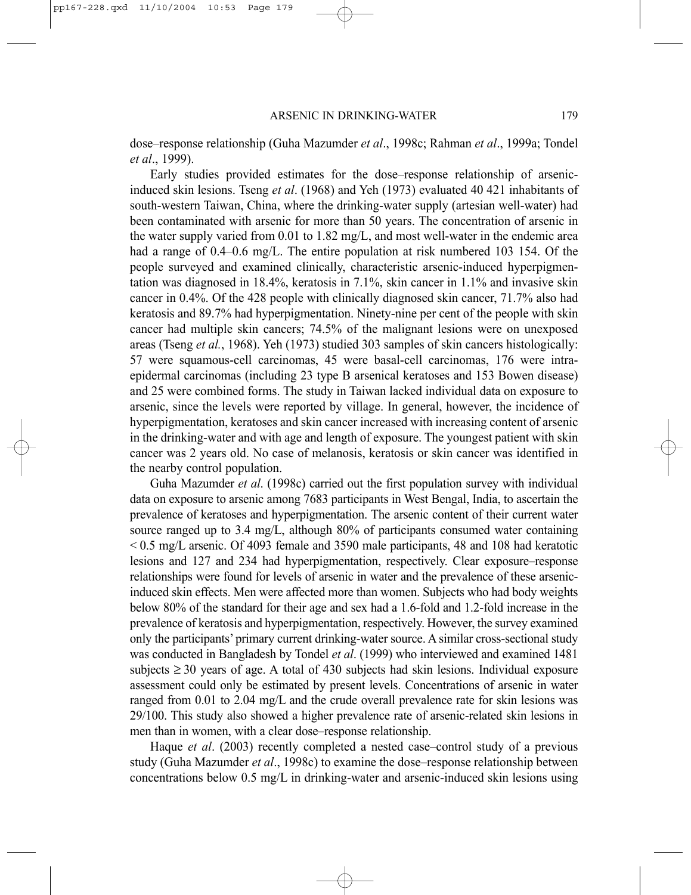dose–response relationship (Guha Mazumder *et al*., 1998c; Rahman *et al*., 1999a; Tondel *et al*., 1999).

Early studies provided estimates for the dose–response relationship of arsenicinduced skin lesions. Tseng *et al*. (1968) and Yeh (1973) evaluated 40 421 inhabitants of south-western Taiwan, China, where the drinking-water supply (artesian well-water) had been contaminated with arsenic for more than 50 years. The concentration of arsenic in the water supply varied from 0.01 to 1.82 mg/L, and most well-water in the endemic area had a range of 0.4–0.6 mg/L. The entire population at risk numbered 103 154. Of the people surveyed and examined clinically, characteristic arsenic-induced hyperpigmentation was diagnosed in 18.4%, keratosis in 7.1%, skin cancer in 1.1% and invasive skin cancer in 0.4%. Of the 428 people with clinically diagnosed skin cancer, 71.7% also had keratosis and 89.7% had hyperpigmentation. Ninety-nine per cent of the people with skin cancer had multiple skin cancers; 74.5% of the malignant lesions were on unexposed areas (Tseng *et al.*, 1968). Yeh (1973) studied 303 samples of skin cancers histologically: 57 were squamous-cell carcinomas, 45 were basal-cell carcinomas, 176 were intraepidermal carcinomas (including 23 type B arsenical keratoses and 153 Bowen disease) and 25 were combined forms. The study in Taiwan lacked individual data on exposure to arsenic, since the levels were reported by village. In general, however, the incidence of hyperpigmentation, keratoses and skin cancer increased with increasing content of arsenic in the drinking-water and with age and length of exposure. The youngest patient with skin cancer was 2 years old. No case of melanosis, keratosis or skin cancer was identified in the nearby control population.

Guha Mazumder *et al*. (1998c) carried out the first population survey with individual data on exposure to arsenic among 7683 participants in West Bengal, India, to ascertain the prevalence of keratoses and hyperpigmentation. The arsenic content of their current water source ranged up to 3.4 mg/L, although 80% of participants consumed water containing  $\leq$  0.5 mg/L arsenic. Of 4093 female and 3590 male participants, 48 and 108 had keratotic lesions and 127 and 234 had hyperpigmentation, respectively. Clear exposure–response relationships were found for levels of arsenic in water and the prevalence of these arsenicinduced skin effects. Men were affected more than women. Subjects who had body weights below 80% of the standard for their age and sex had a 1.6-fold and 1.2-fold increase in the prevalence of keratosis and hyperpigmentation, respectively. However, the survey examined only the participants' primary current drinking-water source. A similar cross-sectional study was conducted in Bangladesh by Tondel *et al*. (1999) who interviewed and examined 1481 subjects ≥ 30 years of age. A total of 430 subjects had skin lesions. Individual exposure assessment could only be estimated by present levels. Concentrations of arsenic in water ranged from 0.01 to 2.04 mg/L and the crude overall prevalence rate for skin lesions was 29/100. This study also showed a higher prevalence rate of arsenic-related skin lesions in men than in women, with a clear dose–response relationship.

Haque *et al*. (2003) recently completed a nested case–control study of a previous study (Guha Mazumder *et al*., 1998c) to examine the dose–response relationship between concentrations below 0.5 mg/L in drinking-water and arsenic-induced skin lesions using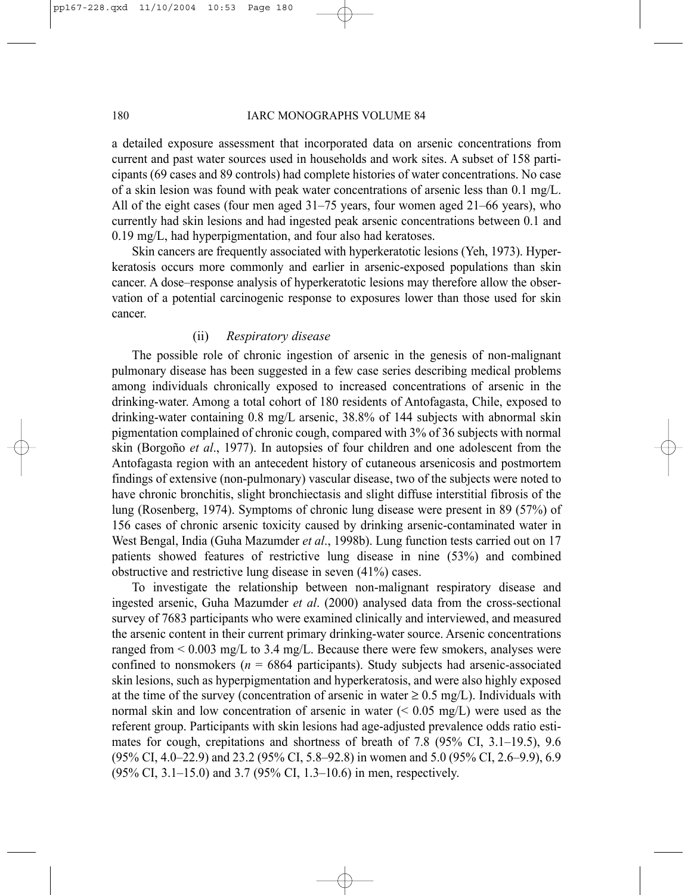#### 180 IARC MONOGRAPHS VOLUME 84

a detailed exposure assessment that incorporated data on arsenic concentrations from current and past water sources used in households and work sites. A subset of 158 participants (69 cases and 89 controls) had complete histories of water concentrations. No case of a skin lesion was found with peak water concentrations of arsenic less than 0.1 mg/L. All of the eight cases (four men aged 31–75 years, four women aged 21–66 years), who currently had skin lesions and had ingested peak arsenic concentrations between 0.1 and 0.19 mg/L, had hyperpigmentation, and four also had keratoses.

Skin cancers are frequently associated with hyperkeratotic lesions (Yeh, 1973). Hyperkeratosis occurs more commonly and earlier in arsenic-exposed populations than skin cancer. A dose–response analysis of hyperkeratotic lesions may therefore allow the observation of a potential carcinogenic response to exposures lower than those used for skin cancer.

## (ii) *Respiratory disease*

The possible role of chronic ingestion of arsenic in the genesis of non-malignant pulmonary disease has been suggested in a few case series describing medical problems among individuals chronically exposed to increased concentrations of arsenic in the drinking-water. Among a total cohort of 180 residents of Antofagasta, Chile, exposed to drinking-water containing 0.8 mg/L arsenic, 38.8% of 144 subjects with abnormal skin pigmentation complained of chronic cough, compared with 3% of 36 subjects with normal skin (Borgoño *et al*., 1977). In autopsies of four children and one adolescent from the Antofagasta region with an antecedent history of cutaneous arsenicosis and postmortem findings of extensive (non-pulmonary) vascular disease, two of the subjects were noted to have chronic bronchitis, slight bronchiectasis and slight diffuse interstitial fibrosis of the lung (Rosenberg, 1974). Symptoms of chronic lung disease were present in 89 (57%) of 156 cases of chronic arsenic toxicity caused by drinking arsenic-contaminated water in West Bengal, India (Guha Mazumder *et al*., 1998b). Lung function tests carried out on 17 patients showed features of restrictive lung disease in nine (53%) and combined obstructive and restrictive lung disease in seven (41%) cases.

To investigate the relationship between non-malignant respiratory disease and ingested arsenic, Guha Mazumder *et al*. (2000) analysed data from the cross-sectional survey of 7683 participants who were examined clinically and interviewed, and measured the arsenic content in their current primary drinking-water source. Arsenic concentrations ranged from < 0.003 mg/L to 3.4 mg/L. Because there were few smokers, analyses were confined to nonsmokers ( $n = 6864$  participants). Study subjects had arsenic-associated skin lesions, such as hyperpigmentation and hyperkeratosis, and were also highly exposed at the time of the survey (concentration of arsenic in water  $\geq 0.5$  mg/L). Individuals with normal skin and low concentration of arsenic in water  $(< 0.05$  mg/L) were used as the referent group. Participants with skin lesions had age-adjusted prevalence odds ratio estimates for cough, crepitations and shortness of breath of 7.8 (95% CI, 3.1–19.5), 9.6 (95% CI, 4.0–22.9) and 23.2 (95% CI, 5.8–92.8) in women and 5.0 (95% CI, 2.6–9.9), 6.9 (95% CI, 3.1–15.0) and 3.7 (95% CI, 1.3–10.6) in men, respectively.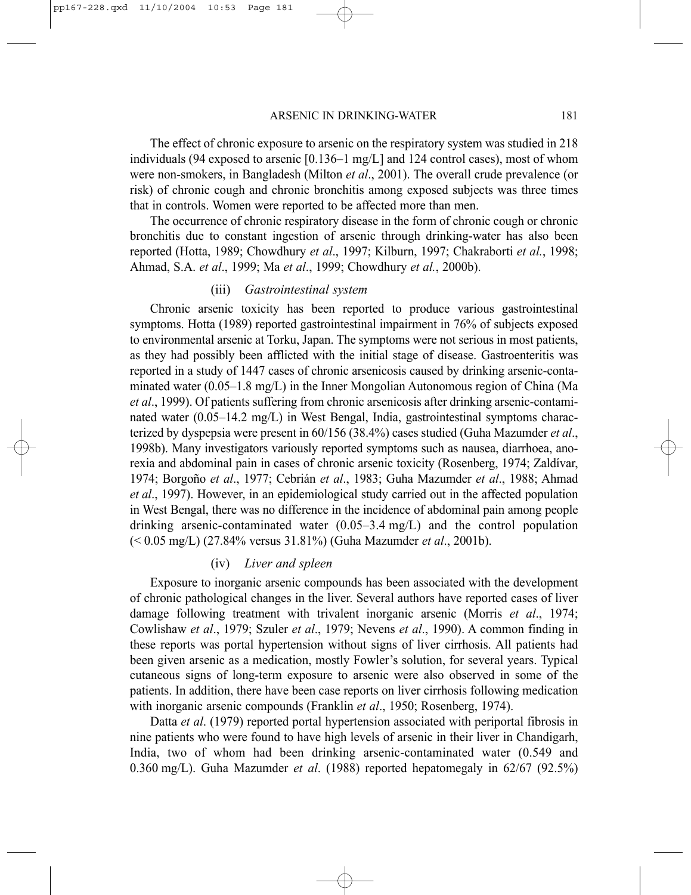The effect of chronic exposure to arsenic on the respiratory system was studied in 218 individuals (94 exposed to arsenic  $[0.136-1 \text{ mg/L}]$  and 124 control cases), most of whom were non-smokers, in Bangladesh (Milton *et al*., 2001). The overall crude prevalence (or risk) of chronic cough and chronic bronchitis among exposed subjects was three times that in controls. Women were reported to be affected more than men.

The occurrence of chronic respiratory disease in the form of chronic cough or chronic bronchitis due to constant ingestion of arsenic through drinking-water has also been reported (Hotta, 1989; Chowdhury *et al*., 1997; Kilburn, 1997; Chakraborti *et al.*, 1998; Ahmad, S.A. *et al*., 1999; Ma *et al*., 1999; Chowdhury *et al.*, 2000b).

## (iii) *Gastrointestinal system*

Chronic arsenic toxicity has been reported to produce various gastrointestinal symptoms. Hotta (1989) reported gastrointestinal impairment in 76% of subjects exposed to environmental arsenic at Torku, Japan. The symptoms were not serious in most patients, as they had possibly been afflicted with the initial stage of disease. Gastroenteritis was reported in a study of 1447 cases of chronic arsenicosis caused by drinking arsenic-contaminated water (0.05–1.8 mg/L) in the Inner Mongolian Autonomous region of China (Ma *et al*., 1999). Of patients suffering from chronic arsenicosis after drinking arsenic-contaminated water (0.05–14.2 mg/L) in West Bengal, India, gastrointestinal symptoms characterized by dyspepsia were present in 60/156 (38.4%) cases studied (Guha Mazumder *et al*., 1998b). Many investigators variously reported symptoms such as nausea, diarrhoea, anorexia and abdominal pain in cases of chronic arsenic toxicity (Rosenberg, 1974; Zaldívar, 1974; Borgoño *et al*., 1977; Cebrián *et al*., 1983; Guha Mazumder *et al*., 1988; Ahmad *et al*., 1997). However, in an epidemiological study carried out in the affected population in West Bengal, there was no difference in the incidence of abdominal pain among people drinking arsenic-contaminated water (0.05–3.4 mg/L) and the control population (< 0.05 mg/L) (27.84% versus 31.81%) (Guha Mazumder *et al*., 2001b).

#### (iv) *Liver and spleen*

Exposure to inorganic arsenic compounds has been associated with the development of chronic pathological changes in the liver. Several authors have reported cases of liver damage following treatment with trivalent inorganic arsenic (Morris *et al*., 1974; Cowlishaw *et al*., 1979; Szuler *et al*., 1979; Nevens *et al*., 1990). A common finding in these reports was portal hypertension without signs of liver cirrhosis. All patients had been given arsenic as a medication, mostly Fowler's solution, for several years. Typical cutaneous signs of long-term exposure to arsenic were also observed in some of the patients. In addition, there have been case reports on liver cirrhosis following medication with inorganic arsenic compounds (Franklin *et al*., 1950; Rosenberg, 1974).

Datta *et al*. (1979) reported portal hypertension associated with periportal fibrosis in nine patients who were found to have high levels of arsenic in their liver in Chandigarh, India, two of whom had been drinking arsenic-contaminated water (0.549 and 0.360 mg/L). Guha Mazumder *et al*. (1988) reported hepatomegaly in 62/67 (92.5%)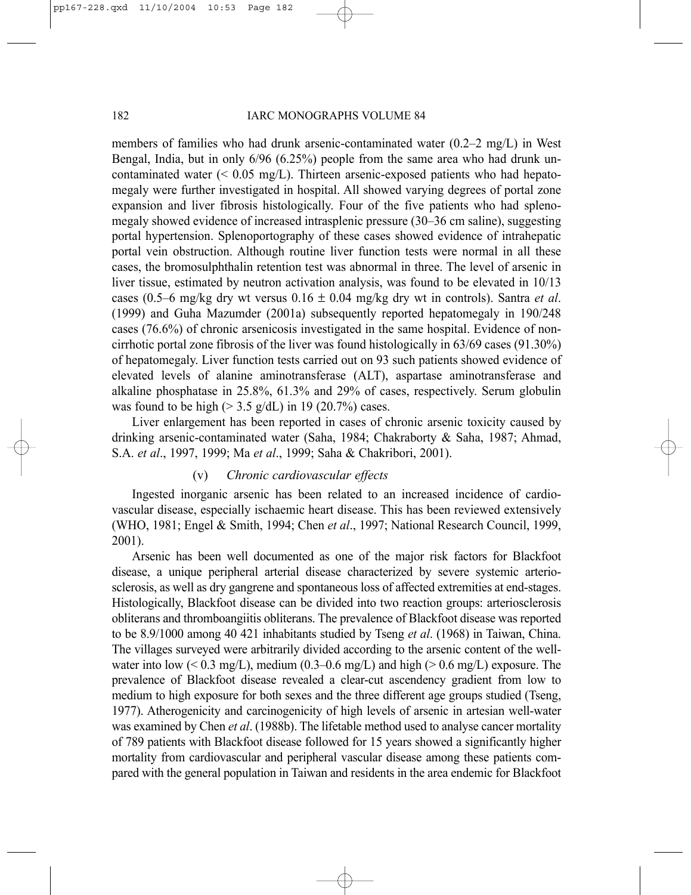members of families who had drunk arsenic-contaminated water (0.2–2 mg/L) in West Bengal, India, but in only 6/96 (6.25%) people from the same area who had drunk uncontaminated water  $(< 0.05$  mg/L). Thirteen arsenic-exposed patients who had hepatomegaly were further investigated in hospital. All showed varying degrees of portal zone expansion and liver fibrosis histologically. Four of the five patients who had splenomegaly showed evidence of increased intrasplenic pressure (30–36 cm saline), suggesting portal hypertension. Splenoportography of these cases showed evidence of intrahepatic portal vein obstruction. Although routine liver function tests were normal in all these cases, the bromosulphthalin retention test was abnormal in three. The level of arsenic in liver tissue, estimated by neutron activation analysis, was found to be elevated in 10/13 cases (0.5–6 mg/kg dry wt versus 0.16 ± 0.04 mg/kg dry wt in controls). Santra *et al*. (1999) and Guha Mazumder (2001a) subsequently reported hepatomegaly in 190/248 cases (76.6%) of chronic arsenicosis investigated in the same hospital. Evidence of noncirrhotic portal zone fibrosis of the liver was found histologically in 63/69 cases (91.30%) of hepatomegaly. Liver function tests carried out on 93 such patients showed evidence of elevated levels of alanine aminotransferase (ALT), aspartase aminotransferase and alkaline phosphatase in 25.8%, 61.3% and 29% of cases, respectively. Serum globulin was found to be high ( $> 3.5$  g/dL) in 19 (20.7%) cases.

Liver enlargement has been reported in cases of chronic arsenic toxicity caused by drinking arsenic-contaminated water (Saha, 1984; Chakraborty & Saha, 1987; Ahmad, S.A. *et al*., 1997, 1999; Ma *et al*., 1999; Saha & Chakribori, 2001).

## (v) *Chronic cardiovascular effects*

Ingested inorganic arsenic has been related to an increased incidence of cardiovascular disease, especially ischaemic heart disease. This has been reviewed extensively (WHO, 1981; Engel & Smith, 1994; Chen *et al*., 1997; National Research Council, 1999, 2001).

Arsenic has been well documented as one of the major risk factors for Blackfoot disease, a unique peripheral arterial disease characterized by severe systemic arteriosclerosis, as well as dry gangrene and spontaneous loss of affected extremities at end-stages. Histologically, Blackfoot disease can be divided into two reaction groups: arteriosclerosis obliterans and thromboangiitis obliterans. The prevalence of Blackfoot disease was reported to be 8.9/1000 among 40 421 inhabitants studied by Tseng *et al*. (1968) in Taiwan, China. The villages surveyed were arbitrarily divided according to the arsenic content of the wellwater into low ( $\leq 0.3$  mg/L), medium (0.3–0.6 mg/L) and high ( $> 0.6$  mg/L) exposure. The prevalence of Blackfoot disease revealed a clear-cut ascendency gradient from low to medium to high exposure for both sexes and the three different age groups studied (Tseng, 1977). Atherogenicity and carcinogenicity of high levels of arsenic in artesian well-water was examined by Chen *et al*. (1988b). The lifetable method used to analyse cancer mortality of 789 patients with Blackfoot disease followed for 15 years showed a significantly higher mortality from cardiovascular and peripheral vascular disease among these patients compared with the general population in Taiwan and residents in the area endemic for Blackfoot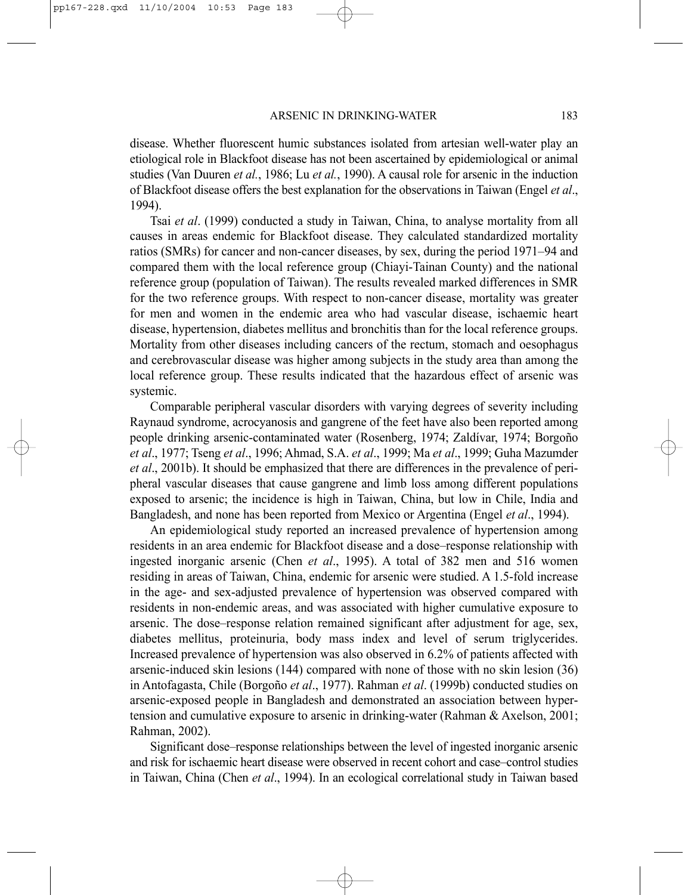disease. Whether fluorescent humic substances isolated from artesian well-water play an etiological role in Blackfoot disease has not been ascertained by epidemiological or animal studies (Van Duuren *et al.*, 1986; Lu *et al.*, 1990). A causal role for arsenic in the induction of Blackfoot disease offers the best explanation for the observations in Taiwan (Engel *et al*., 1994).

Tsai *et al*. (1999) conducted a study in Taiwan, China, to analyse mortality from all causes in areas endemic for Blackfoot disease. They calculated standardized mortality ratios (SMRs) for cancer and non-cancer diseases, by sex, during the period 1971–94 and compared them with the local reference group (Chiayi-Tainan County) and the national reference group (population of Taiwan). The results revealed marked differences in SMR for the two reference groups. With respect to non-cancer disease, mortality was greater for men and women in the endemic area who had vascular disease, ischaemic heart disease, hypertension, diabetes mellitus and bronchitis than for the local reference groups. Mortality from other diseases including cancers of the rectum, stomach and oesophagus and cerebrovascular disease was higher among subjects in the study area than among the local reference group. These results indicated that the hazardous effect of arsenic was systemic.

Comparable peripheral vascular disorders with varying degrees of severity including Raynaud syndrome, acrocyanosis and gangrene of the feet have also been reported among people drinking arsenic-contaminated water (Rosenberg, 1974; Zaldívar, 1974; Borgoño *et al*., 1977; Tseng *et al*., 1996; Ahmad, S.A. *et al*., 1999; Ma *et al*., 1999; Guha Mazumder *et al*., 2001b). It should be emphasized that there are differences in the prevalence of peripheral vascular diseases that cause gangrene and limb loss among different populations exposed to arsenic; the incidence is high in Taiwan, China, but low in Chile, India and Bangladesh, and none has been reported from Mexico or Argentina (Engel *et al*., 1994).

An epidemiological study reported an increased prevalence of hypertension among residents in an area endemic for Blackfoot disease and a dose–response relationship with ingested inorganic arsenic (Chen *et al*., 1995). A total of 382 men and 516 women residing in areas of Taiwan, China, endemic for arsenic were studied. A 1.5-fold increase in the age- and sex-adjusted prevalence of hypertension was observed compared with residents in non-endemic areas, and was associated with higher cumulative exposure to arsenic. The dose–response relation remained significant after adjustment for age, sex, diabetes mellitus, proteinuria, body mass index and level of serum triglycerides. Increased prevalence of hypertension was also observed in 6.2% of patients affected with arsenic-induced skin lesions (144) compared with none of those with no skin lesion (36) in Antofagasta, Chile (Borgoño *et al*., 1977). Rahman *et al*. (1999b) conducted studies on arsenic-exposed people in Bangladesh and demonstrated an association between hypertension and cumulative exposure to arsenic in drinking-water (Rahman & Axelson, 2001; Rahman, 2002).

Significant dose–response relationships between the level of ingested inorganic arsenic and risk for ischaemic heart disease were observed in recent cohort and case–control studies in Taiwan, China (Chen *et al*., 1994). In an ecological correlational study in Taiwan based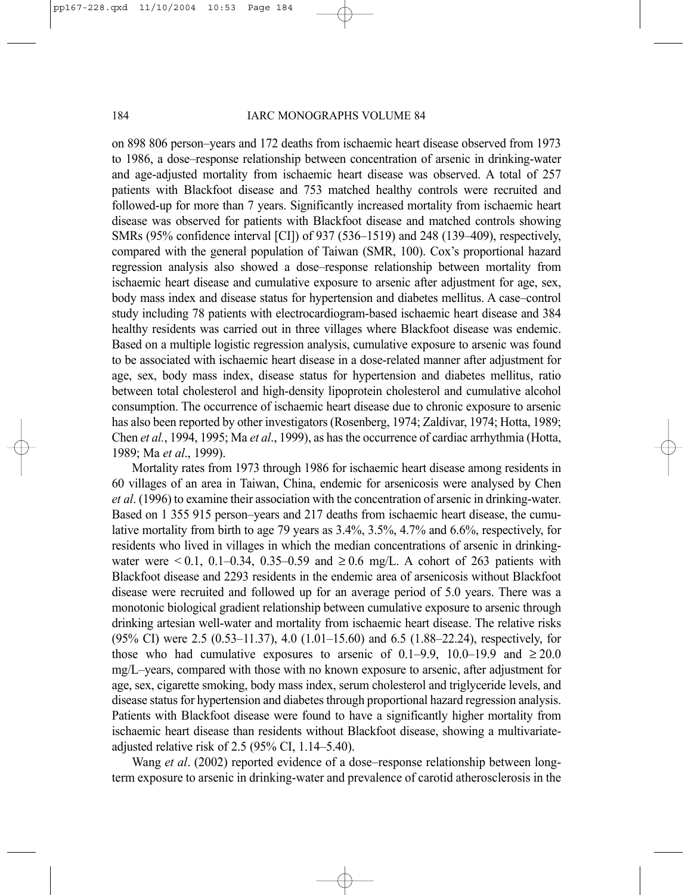on 898 806 person–years and 172 deaths from ischaemic heart disease observed from 1973 to 1986, a dose–response relationship between concentration of arsenic in drinking-water and age-adjusted mortality from ischaemic heart disease was observed. A total of 257 patients with Blackfoot disease and 753 matched healthy controls were recruited and followed-up for more than 7 years. Significantly increased mortality from ischaemic heart disease was observed for patients with Blackfoot disease and matched controls showing SMRs (95% confidence interval [CI]) of 937 (536–1519) and 248 (139–409), respectively, compared with the general population of Taiwan (SMR, 100). Cox's proportional hazard regression analysis also showed a dose–response relationship between mortality from ischaemic heart disease and cumulative exposure to arsenic after adjustment for age, sex, body mass index and disease status for hypertension and diabetes mellitus. A case–control study including 78 patients with electrocardiogram-based ischaemic heart disease and 384 healthy residents was carried out in three villages where Blackfoot disease was endemic. Based on a multiple logistic regression analysis, cumulative exposure to arsenic was found to be associated with ischaemic heart disease in a dose-related manner after adjustment for age, sex, body mass index, disease status for hypertension and diabetes mellitus, ratio between total cholesterol and high-density lipoprotein cholesterol and cumulative alcohol consumption. The occurrence of ischaemic heart disease due to chronic exposure to arsenic has also been reported by other investigators (Rosenberg, 1974; Zaldívar, 1974; Hotta, 1989; Chen *et al.*, 1994, 1995; Ma *et al*., 1999), as has the occurrence of cardiac arrhythmia (Hotta, 1989; Ma *et al*., 1999).

Mortality rates from 1973 through 1986 for ischaemic heart disease among residents in 60 villages of an area in Taiwan, China, endemic for arsenicosis were analysed by Chen *et al*. (1996) to examine their association with the concentration of arsenic in drinking-water. Based on 1 355 915 person–years and 217 deaths from ischaemic heart disease, the cumulative mortality from birth to age 79 years as 3.4%, 3.5%, 4.7% and 6.6%, respectively, for residents who lived in villages in which the median concentrations of arsenic in drinkingwater were ≤0.1, 0.1–0.34, 0.35–0.59 and ≥0.6 mg/L. A cohort of 263 patients with Blackfoot disease and 2293 residents in the endemic area of arsenicosis without Blackfoot disease were recruited and followed up for an average period of 5.0 years. There was a monotonic biological gradient relationship between cumulative exposure to arsenic through drinking artesian well-water and mortality from ischaemic heart disease. The relative risks (95% CI) were 2.5 (0.53–11.37), 4.0 (1.01–15.60) and 6.5 (1.88–22.24), respectively, for those who had cumulative exposures to arsenic of 0.1–9.9, 10.0–19.9 and  $\geq 20.0$ mg/L–years, compared with those with no known exposure to arsenic, after adjustment for age, sex, cigarette smoking, body mass index, serum cholesterol and triglyceride levels, and disease status for hypertension and diabetes through proportional hazard regression analysis. Patients with Blackfoot disease were found to have a significantly higher mortality from ischaemic heart disease than residents without Blackfoot disease, showing a multivariateadjusted relative risk of 2.5 (95% CI, 1.14–5.40).

Wang *et al*. (2002) reported evidence of a dose–response relationship between longterm exposure to arsenic in drinking-water and prevalence of carotid atherosclerosis in the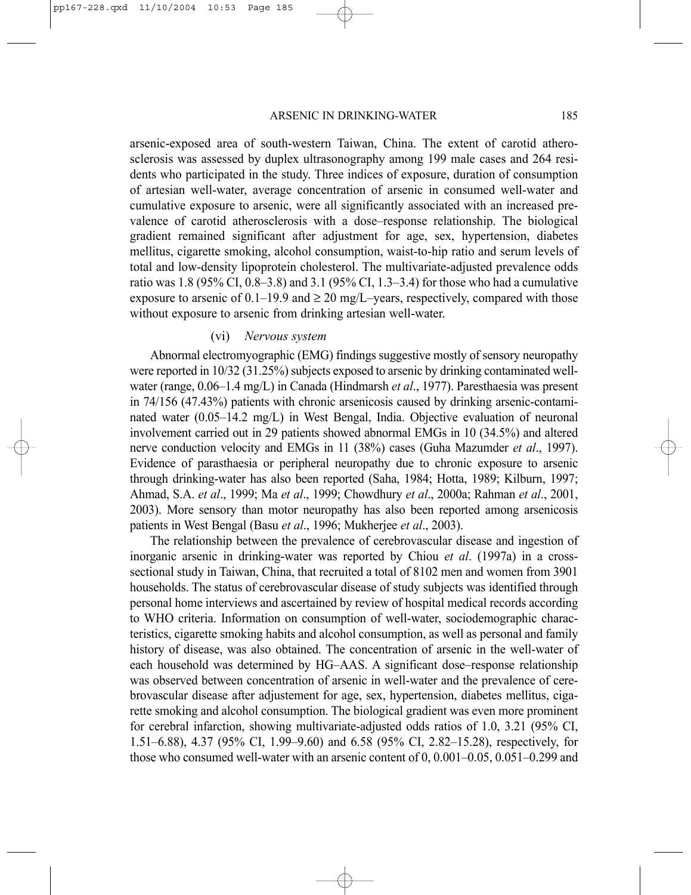arsenic-exposed area of south-western Taiwan, China. The extent of carotid atherosclerosis was assessed by duplex ultrasonography among 199 male cases and 264 residents who participated in the study. Three indices of exposure, duration of consumption of artesian well-water, average concentration of arsenic in consumed well-water and cumulative exposure to arsenic, were all significantly associated with an increased prevalence of carotid atherosclerosis with a dose–response relationship. The biological gradient remained significant after adjustment for age, sex, hypertension, diabetes mellitus, cigarette smoking, alcohol consumption, waist-to-hip ratio and serum levels of total and low-density lipoprotein cholesterol. The multivariate-adjusted prevalence odds ratio was 1.8 (95% CI, 0.8–3.8) and 3.1 (95% CI, 1.3–3.4) for those who had a cumulative exposure to arsenic of  $0.1-19.9$  and  $\geq 20$  mg/L-years, respectively, compared with those without exposure to arsenic from drinking artesian well-water.

#### (vi) *Nervous system*

Abnormal electromyographic (EMG) findings suggestive mostly of sensory neuropathy were reported in 10/32 (31.25%) subjects exposed to arsenic by drinking contaminated wellwater (range, 0.06–1.4 mg/L) in Canada (Hindmarsh *et al*., 1977). Paresthaesia was present in 74/156 (47.43%) patients with chronic arsenicosis caused by drinking arsenic-contaminated water (0.05–14.2 mg/L) in West Bengal, India. Objective evaluation of neuronal involvement carried out in 29 patients showed abnormal EMGs in 10 (34.5%) and altered nerve conduction velocity and EMGs in 11 (38%) cases (Guha Mazumder *et al*., 1997). Evidence of parasthaesia or peripheral neuropathy due to chronic exposure to arsenic through drinking-water has also been reported (Saha, 1984; Hotta, 1989; Kilburn, 1997; Ahmad, S.A. *et al*., 1999; Ma *et al*., 1999; Chowdhury *et al*., 2000a; Rahman *et al*., 2001, 2003). More sensory than motor neuropathy has also been reported among arsenicosis patients in West Bengal (Basu *et al*., 1996; Mukherjee *et al*., 2003).

The relationship between the prevalence of cerebrovascular disease and ingestion of inorganic arsenic in drinking-water was reported by Chiou *et al*. (1997a) in a crosssectional study in Taiwan, China, that recruited a total of 8102 men and women from 3901 households. The status of cerebrovascular disease of study subjects was identified through personal home interviews and ascertained by review of hospital medical records according to WHO criteria. Information on consumption of well-water, sociodemographic characteristics, cigarette smoking habits and alcohol consumption, as well as personal and family history of disease, was also obtained. The concentration of arsenic in the well-water of each household was determined by HG–AAS. A significant dose–response relationship was observed between concentration of arsenic in well-water and the prevalence of cerebrovascular disease after adjustement for age, sex, hypertension, diabetes mellitus, cigarette smoking and alcohol consumption. The biological gradient was even more prominent for cerebral infarction, showing multivariate-adjusted odds ratios of 1.0, 3.21 (95% CI, 1.51–6.88), 4.37 (95% CI, 1.99–9.60) and 6.58 (95% CI, 2.82–15.28), respectively, for those who consumed well-water with an arsenic content of 0, 0.001–0.05, 0.051–0.299 and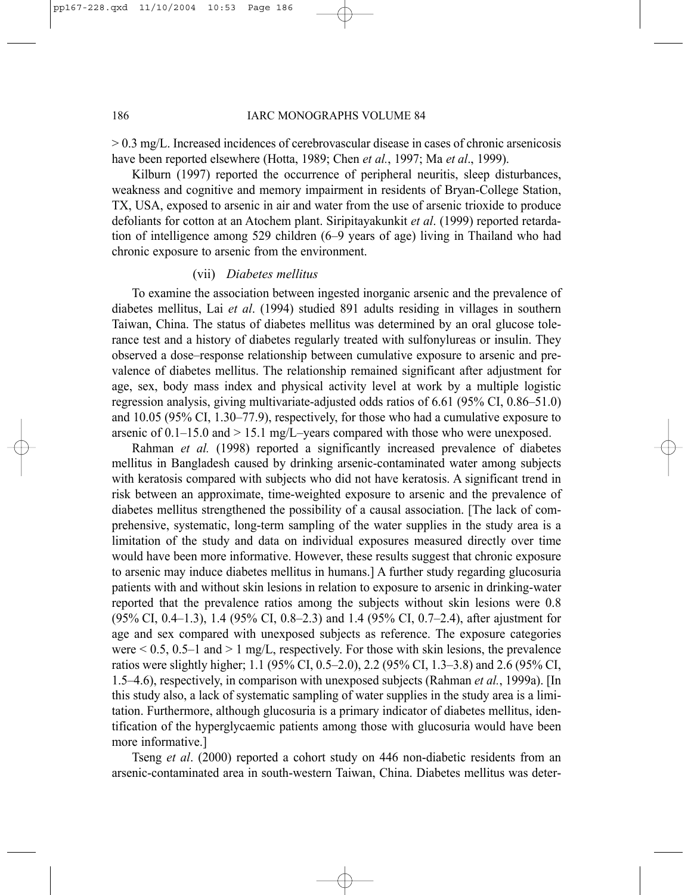> 0.3 mg/L. Increased incidences of cerebrovascular disease in cases of chronic arsenicosis have been reported elsewhere (Hotta, 1989; Chen *et al.*, 1997; Ma *et al*., 1999).

Kilburn (1997) reported the occurrence of peripheral neuritis, sleep disturbances, weakness and cognitive and memory impairment in residents of Bryan-College Station, TX, USA, exposed to arsenic in air and water from the use of arsenic trioxide to produce defoliants for cotton at an Atochem plant. Siripitayakunkit *et al*. (1999) reported retardation of intelligence among 529 children (6–9 years of age) living in Thailand who had chronic exposure to arsenic from the environment.

#### (vii) *Diabetes mellitus*

To examine the association between ingested inorganic arsenic and the prevalence of diabetes mellitus, Lai *et al*. (1994) studied 891 adults residing in villages in southern Taiwan, China. The status of diabetes mellitus was determined by an oral glucose tolerance test and a history of diabetes regularly treated with sulfonylureas or insulin. They observed a dose–response relationship between cumulative exposure to arsenic and prevalence of diabetes mellitus. The relationship remained significant after adjustment for age, sex, body mass index and physical activity level at work by a multiple logistic regression analysis, giving multivariate-adjusted odds ratios of 6.61 (95% CI, 0.86–51.0) and 10.05 (95% CI, 1.30–77.9), respectively, for those who had a cumulative exposure to arsenic of  $0.1$ –15.0 and  $> 15.1$  mg/L–years compared with those who were unexposed.

Rahman *et al.* (1998) reported a significantly increased prevalence of diabetes mellitus in Bangladesh caused by drinking arsenic-contaminated water among subjects with keratosis compared with subjects who did not have keratosis. A significant trend in risk between an approximate, time-weighted exposure to arsenic and the prevalence of diabetes mellitus strengthened the possibility of a causal association. [The lack of comprehensive, systematic, long-term sampling of the water supplies in the study area is a limitation of the study and data on individual exposures measured directly over time would have been more informative. However, these results suggest that chronic exposure to arsenic may induce diabetes mellitus in humans.] A further study regarding glucosuria patients with and without skin lesions in relation to exposure to arsenic in drinking-water reported that the prevalence ratios among the subjects without skin lesions were 0.8 (95% CI, 0.4–1.3), 1.4 (95% CI, 0.8–2.3) and 1.4 (95% CI, 0.7–2.4), after ajustment for age and sex compared with unexposed subjects as reference. The exposure categories were  $\leq 0.5$ , 0.5–1 and  $> 1$  mg/L, respectively. For those with skin lesions, the prevalence ratios were slightly higher; 1.1 (95% CI, 0.5–2.0), 2.2 (95% CI, 1.3–3.8) and 2.6 (95% CI, 1.5–4.6), respectively, in comparison with unexposed subjects (Rahman *et al.*, 1999a). [In this study also, a lack of systematic sampling of water supplies in the study area is a limitation. Furthermore, although glucosuria is a primary indicator of diabetes mellitus, identification of the hyperglycaemic patients among those with glucosuria would have been more informative.]

Tseng *et al*. (2000) reported a cohort study on 446 non-diabetic residents from an arsenic-contaminated area in south-western Taiwan, China. Diabetes mellitus was deter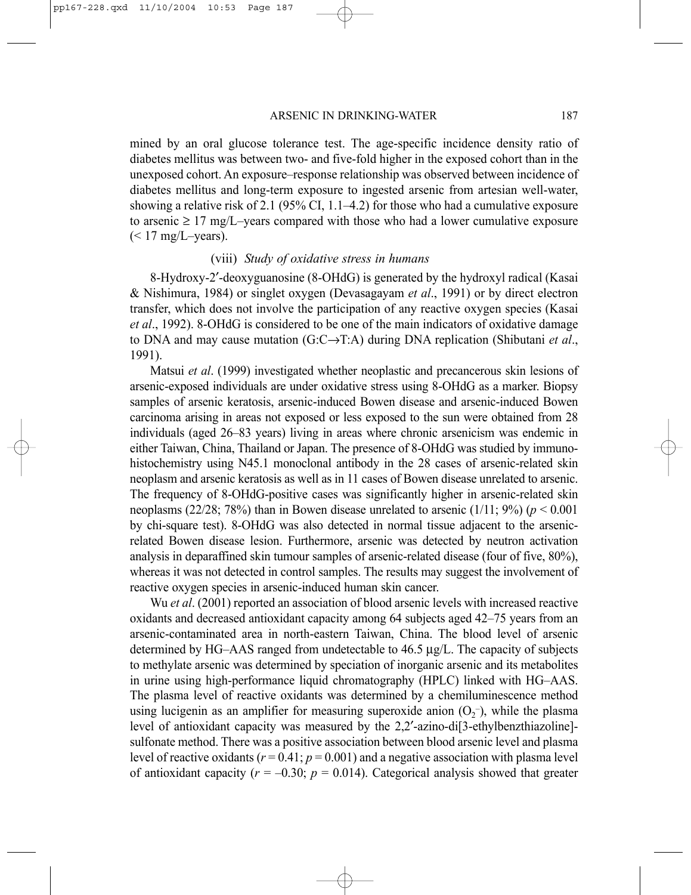mined by an oral glucose tolerance test. The age-specific incidence density ratio of diabetes mellitus was between two- and five-fold higher in the exposed cohort than in the unexposed cohort. An exposure–response relationship was observed between incidence of diabetes mellitus and long-term exposure to ingested arsenic from artesian well-water, showing a relative risk of 2.1 (95% CI, 1.1–4.2) for those who had a cumulative exposure to arsenic  $\geq 17$  mg/L-years compared with those who had a lower cumulative exposure  $(< 17$  mg/L-years).

## (viii) *Study of oxidative stress in humans*

8-Hydroxy-2′-deoxyguanosine (8-OHdG) is generated by the hydroxyl radical (Kasai & Nishimura, 1984) or singlet oxygen (Devasagayam *et al*., 1991) or by direct electron transfer, which does not involve the participation of any reactive oxygen species (Kasai *et al*., 1992). 8-OHdG is considered to be one of the main indicators of oxidative damage to DNA and may cause mutation (G:C→T:A) during DNA replication (Shibutani *et al*., 1991).

Matsui *et al*. (1999) investigated whether neoplastic and precancerous skin lesions of arsenic-exposed individuals are under oxidative stress using 8-OHdG as a marker. Biopsy samples of arsenic keratosis, arsenic-induced Bowen disease and arsenic-induced Bowen carcinoma arising in areas not exposed or less exposed to the sun were obtained from 28 individuals (aged 26–83 years) living in areas where chronic arsenicism was endemic in either Taiwan, China, Thailand or Japan. The presence of 8-OHdG was studied by immunohistochemistry using N45.1 monoclonal antibody in the 28 cases of arsenic-related skin neoplasm and arsenic keratosis as well as in 11 cases of Bowen disease unrelated to arsenic. The frequency of 8-OHdG-positive cases was significantly higher in arsenic-related skin neoplasms  $(22/28; 78%)$  than in Bowen disease unrelated to arsenic  $(1/11; 9%)$  ( $p < 0.001$ ) by chi-square test). 8-OHdG was also detected in normal tissue adjacent to the arsenicrelated Bowen disease lesion. Furthermore, arsenic was detected by neutron activation analysis in deparaffined skin tumour samples of arsenic-related disease (four of five, 80%), whereas it was not detected in control samples. The results may suggest the involvement of reactive oxygen species in arsenic-induced human skin cancer.

Wu *et al*. (2001) reported an association of blood arsenic levels with increased reactive oxidants and decreased antioxidant capacity among 64 subjects aged 42–75 years from an arsenic-contaminated area in north-eastern Taiwan, China. The blood level of arsenic determined by HG–AAS ranged from undetectable to 46.5 µg/L. The capacity of subjects to methylate arsenic was determined by speciation of inorganic arsenic and its metabolites in urine using high-performance liquid chromatography (HPLC) linked with HG–AAS. The plasma level of reactive oxidants was determined by a chemiluminescence method using lucigenin as an amplifier for measuring superoxide anion  $(O_2^-)$ , while the plasma level of antioxidant capacity was measured by the 2,2′-azino-di[3-ethylbenzthiazoline] sulfonate method. There was a positive association between blood arsenic level and plasma level of reactive oxidants ( $r = 0.41$ ;  $p = 0.001$ ) and a negative association with plasma level of antioxidant capacity  $(r = -0.30; p = 0.014)$ . Categorical analysis showed that greater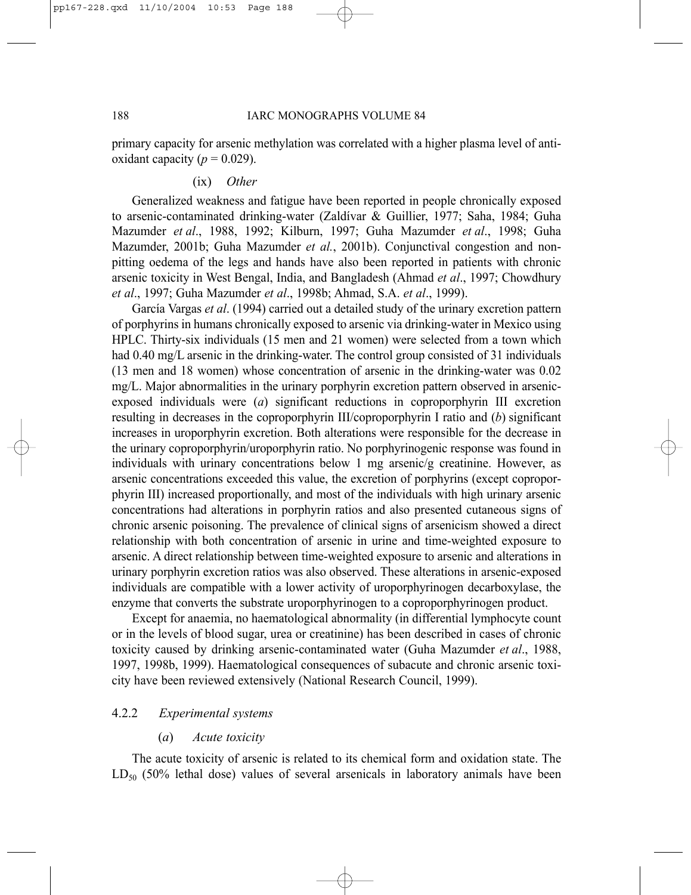primary capacity for arsenic methylation was correlated with a higher plasma level of antioxidant capacity ( $p = 0.029$ ).

#### (ix) *Other*

Generalized weakness and fatigue have been reported in people chronically exposed to arsenic-contaminated drinking-water (Zaldívar & Guillier, 1977; Saha, 1984; Guha Mazumder *et al*., 1988, 1992; Kilburn, 1997; Guha Mazumder *et al*., 1998; Guha Mazumder, 2001b; Guha Mazumder *et al.*, 2001b). Conjunctival congestion and nonpitting oedema of the legs and hands have also been reported in patients with chronic arsenic toxicity in West Bengal, India, and Bangladesh (Ahmad *et al*., 1997; Chowdhury *et al*., 1997; Guha Mazumder *et al*., 1998b; Ahmad, S.A. *et al*., 1999).

García Vargas *et al*. (1994) carried out a detailed study of the urinary excretion pattern of porphyrins in humans chronically exposed to arsenic via drinking-water in Mexico using HPLC. Thirty-six individuals (15 men and 21 women) were selected from a town which had 0.40 mg/L arsenic in the drinking-water. The control group consisted of 31 individuals (13 men and 18 women) whose concentration of arsenic in the drinking-water was 0.02 mg/L. Major abnormalities in the urinary porphyrin excretion pattern observed in arsenicexposed individuals were (*a*) significant reductions in coproporphyrin III excretion resulting in decreases in the coproporphyrin III/coproporphyrin I ratio and (*b*) significant increases in uroporphyrin excretion. Both alterations were responsible for the decrease in the urinary coproporphyrin/uroporphyrin ratio. No porphyrinogenic response was found in individuals with urinary concentrations below 1 mg arsenic/g creatinine. However, as arsenic concentrations exceeded this value, the excretion of porphyrins (except coproporphyrin III) increased proportionally, and most of the individuals with high urinary arsenic concentrations had alterations in porphyrin ratios and also presented cutaneous signs of chronic arsenic poisoning. The prevalence of clinical signs of arsenicism showed a direct relationship with both concentration of arsenic in urine and time-weighted exposure to arsenic. A direct relationship between time-weighted exposure to arsenic and alterations in urinary porphyrin excretion ratios was also observed. These alterations in arsenic-exposed individuals are compatible with a lower activity of uroporphyrinogen decarboxylase, the enzyme that converts the substrate uroporphyrinogen to a coproporphyrinogen product.

Except for anaemia, no haematological abnormality (in differential lymphocyte count or in the levels of blood sugar, urea or creatinine) has been described in cases of chronic toxicity caused by drinking arsenic-contaminated water (Guha Mazumder *et al*., 1988, 1997, 1998b, 1999). Haematological consequences of subacute and chronic arsenic toxicity have been reviewed extensively (National Research Council, 1999).

## 4.2.2 *Experimental systems*

## (*a*) *Acute toxicity*

The acute toxicity of arsenic is related to its chemical form and oxidation state. The  $LD_{50}$  (50% lethal dose) values of several arsenicals in laboratory animals have been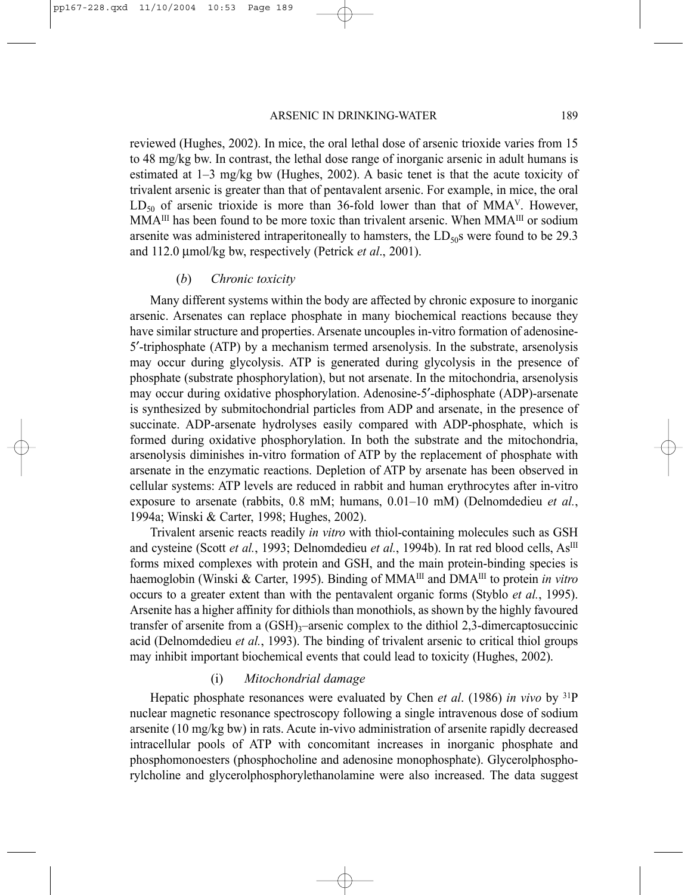reviewed (Hughes, 2002). In mice, the oral lethal dose of arsenic trioxide varies from 15 to 48 mg/kg bw. In contrast, the lethal dose range of inorganic arsenic in adult humans is estimated at  $1-3$  mg/kg bw (Hughes, 2002). A basic tenet is that the acute toxicity of trivalent arsenic is greater than that of pentavalent arsenic. For example, in mice, the oral  $LD_{50}$  of arsenic trioxide is more than 36-fold lower than that of MMA<sup>V</sup>. However, MMA<sup>III</sup> has been found to be more toxic than trivalent arsenic. When MMA<sup>III</sup> or sodium arsenite was administered intraperitoneally to hamsters, the  $LD<sub>50</sub>$ s were found to be 29.3 and 112.0 µmol/kg bw, respectively (Petrick *et al*., 2001).

#### (*b*) *Chronic toxicity*

Many different systems within the body are affected by chronic exposure to inorganic arsenic. Arsenates can replace phosphate in many biochemical reactions because they have similar structure and properties. Arsenate uncouples in-vitro formation of adenosine-5′-triphosphate (ATP) by a mechanism termed arsenolysis. In the substrate, arsenolysis may occur during glycolysis. ATP is generated during glycolysis in the presence of phosphate (substrate phosphorylation), but not arsenate. In the mitochondria, arsenolysis may occur during oxidative phosphorylation. Adenosine-5′-diphosphate (ADP)-arsenate is synthesized by submitochondrial particles from ADP and arsenate, in the presence of succinate. ADP-arsenate hydrolyses easily compared with ADP-phosphate, which is formed during oxidative phosphorylation. In both the substrate and the mitochondria, arsenolysis diminishes in-vitro formation of ATP by the replacement of phosphate with arsenate in the enzymatic reactions. Depletion of ATP by arsenate has been observed in cellular systems: ATP levels are reduced in rabbit and human erythrocytes after in-vitro exposure to arsenate (rabbits, 0.8 mM; humans, 0.01–10 mM) (Delnomdedieu *et al.*, 1994a; Winski & Carter, 1998; Hughes, 2002).

Trivalent arsenic reacts readily *in vitro* with thiol-containing molecules such as GSH and cysteine (Scott *et al.*, 1993; Delnomdedieu *et al.*, 1994b). In rat red blood cells, As<sup>III</sup> forms mixed complexes with protein and GSH, and the main protein-binding species is haemoglobin (Winski & Carter, 1995). Binding of MMA<sup>III</sup> and DMA<sup>III</sup> to protein *in vitro* occurs to a greater extent than with the pentavalent organic forms (Styblo *et al.*, 1995). Arsenite has a higher affinity for dithiols than monothiols, as shown by the highly favoured transfer of arsenite from a  $(GSH)_{3}$ –arsenic complex to the dithiol 2,3-dimercaptosuccinic acid (Delnomdedieu *et al.*, 1993). The binding of trivalent arsenic to critical thiol groups may inhibit important biochemical events that could lead to toxicity (Hughes, 2002).

## (i) *Mitochondrial damage*

Hepatic phosphate resonances were evaluated by Chen *et al*. (1986) *in vivo* by 31P nuclear magnetic resonance spectroscopy following a single intravenous dose of sodium arsenite (10 mg/kg bw) in rats. Acute in-vivo administration of arsenite rapidly decreased intracellular pools of ATP with concomitant increases in inorganic phosphate and phosphomonoesters (phosphocholine and adenosine monophosphate). Glycerolphosphorylcholine and glycerolphosphorylethanolamine were also increased. The data suggest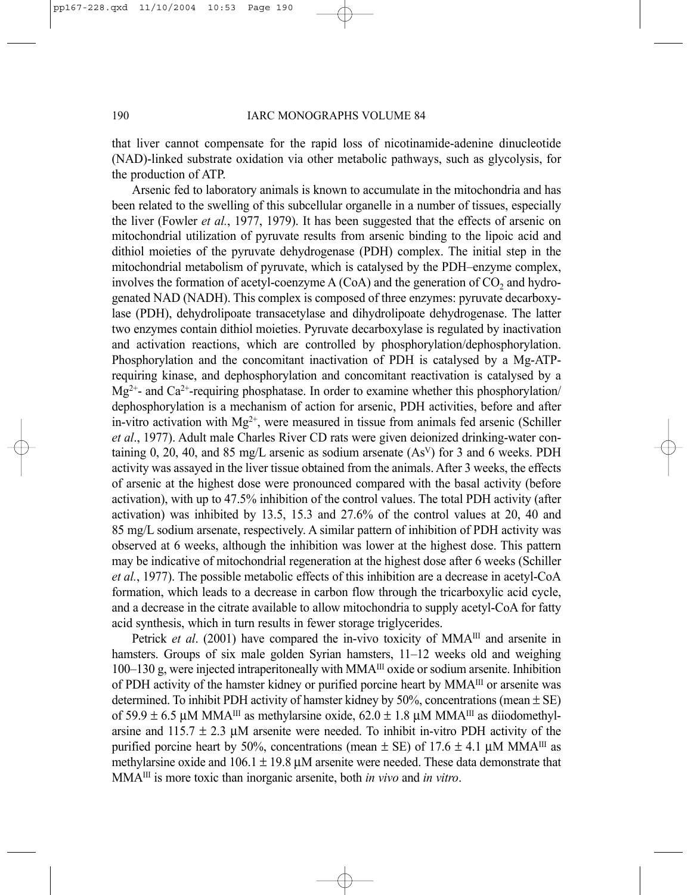that liver cannot compensate for the rapid loss of nicotinamide-adenine dinucleotide (NAD)-linked substrate oxidation via other metabolic pathways, such as glycolysis, for the production of ATP.

Arsenic fed to laboratory animals is known to accumulate in the mitochondria and has been related to the swelling of this subcellular organelle in a number of tissues, especially the liver (Fowler *et al.*, 1977, 1979). It has been suggested that the effects of arsenic on mitochondrial utilization of pyruvate results from arsenic binding to the lipoic acid and dithiol moieties of the pyruvate dehydrogenase (PDH) complex. The initial step in the mitochondrial metabolism of pyruvate, which is catalysed by the PDH–enzyme complex, involves the formation of acetyl-coenzyme  $A(CoA)$  and the generation of  $CO<sub>2</sub>$  and hydrogenated NAD (NADH). This complex is composed of three enzymes: pyruvate decarboxylase (PDH), dehydrolipoate transacetylase and dihydrolipoate dehydrogenase. The latter two enzymes contain dithiol moieties. Pyruvate decarboxylase is regulated by inactivation and activation reactions, which are controlled by phosphorylation/dephosphorylation. Phosphorylation and the concomitant inactivation of PDH is catalysed by a Mg-ATPrequiring kinase, and dephosphorylation and concomitant reactivation is catalysed by a  $Mg^{2+}$ - and Ca<sup>2+</sup>-requiring phosphatase. In order to examine whether this phosphorylation/ dephosphorylation is a mechanism of action for arsenic, PDH activities, before and after in-vitro activation with  $Mg^{2+}$ , were measured in tissue from animals fed arsenic (Schiller *et al*., 1977). Adult male Charles River CD rats were given deionized drinking-water containing 0, 20, 40, and 85 mg/L arsenic as sodium arsenate  $(As<sup>V</sup>)$  for 3 and 6 weeks. PDH activity was assayed in the liver tissue obtained from the animals. After 3 weeks, the effects of arsenic at the highest dose were pronounced compared with the basal activity (before activation), with up to 47.5% inhibition of the control values. The total PDH activity (after activation) was inhibited by 13.5, 15.3 and 27.6% of the control values at 20, 40 and 85 mg/L sodium arsenate, respectively. A similar pattern of inhibition of PDH activity was observed at 6 weeks, although the inhibition was lower at the highest dose. This pattern may be indicative of mitochondrial regeneration at the highest dose after 6 weeks (Schiller *et al.*, 1977). The possible metabolic effects of this inhibition are a decrease in acetyl-CoA formation, which leads to a decrease in carbon flow through the tricarboxylic acid cycle, and a decrease in the citrate available to allow mitochondria to supply acetyl-CoA for fatty acid synthesis, which in turn results in fewer storage triglycerides.

Petrick *et al.* (2001) have compared the in-vivo toxicity of MMA<sup>III</sup> and arsenite in hamsters. Groups of six male golden Syrian hamsters, 11–12 weeks old and weighing 100–130 g, were injected intraperitoneally with MMA<sup>III</sup> oxide or sodium arsenite. Inhibition of PDH activity of the hamster kidney or purified porcine heart by MMAIII or arsenite was determined. To inhibit PDH activity of hamster kidney by 50%, concentrations (mean  $\pm$  SE) of 59.9  $\pm$  6.5 µM MMA<sup>III</sup> as methylarsine oxide, 62.0  $\pm$  1.8 µM MMA<sup>III</sup> as diiodomethylarsine and  $115.7 \pm 2.3$  µM arsenite were needed. To inhibit in-vitro PDH activity of the purified porcine heart by 50%, concentrations (mean  $\pm$  SE) of 17.6  $\pm$  4.1 µM MMA<sup>III</sup> as methylarsine oxide and  $106.1 \pm 19.8 \mu$ M arsenite were needed. These data demonstrate that MMAIII is more toxic than inorganic arsenite, both *in vivo* and *in vitro*.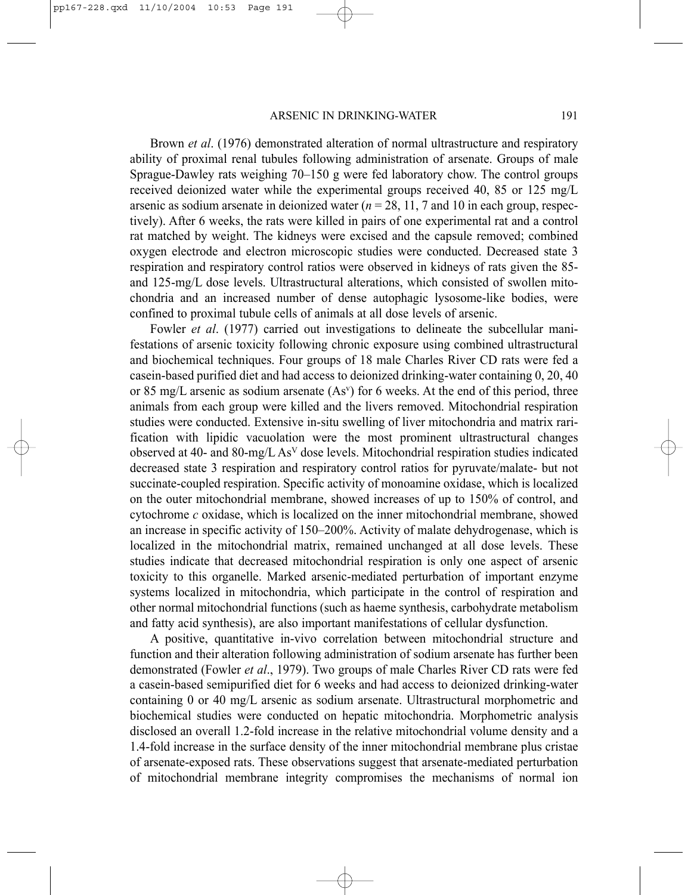Brown *et al*. (1976) demonstrated alteration of normal ultrastructure and respiratory ability of proximal renal tubules following administration of arsenate. Groups of male Sprague-Dawley rats weighing 70–150 g were fed laboratory chow. The control groups received deionized water while the experimental groups received 40, 85 or 125 mg/L arsenic as sodium arsenate in deionized water  $(n = 28, 11, 7, 7)$  and 10 in each group, respectively). After 6 weeks, the rats were killed in pairs of one experimental rat and a control rat matched by weight. The kidneys were excised and the capsule removed; combined oxygen electrode and electron microscopic studies were conducted. Decreased state 3 respiration and respiratory control ratios were observed in kidneys of rats given the 85 and 125-mg/L dose levels. Ultrastructural alterations, which consisted of swollen mitochondria and an increased number of dense autophagic lysosome-like bodies, were confined to proximal tubule cells of animals at all dose levels of arsenic.

Fowler *et al.* (1977) carried out investigations to delineate the subcellular manifestations of arsenic toxicity following chronic exposure using combined ultrastructural and biochemical techniques. Four groups of 18 male Charles River CD rats were fed a casein-based purified diet and had access to deionized drinking-water containing 0, 20, 40 or 85 mg/L arsenic as sodium arsenate (Asv) for 6 weeks. At the end of this period, three animals from each group were killed and the livers removed. Mitochondrial respiration studies were conducted. Extensive in-situ swelling of liver mitochondria and matrix rarification with lipidic vacuolation were the most prominent ultrastructural changes observed at 40- and 80-mg/L AsV dose levels. Mitochondrial respiration studies indicated decreased state 3 respiration and respiratory control ratios for pyruvate/malate- but not succinate-coupled respiration. Specific activity of monoamine oxidase, which is localized on the outer mitochondrial membrane, showed increases of up to 150% of control, and cytochrome *c* oxidase, which is localized on the inner mitochondrial membrane, showed an increase in specific activity of 150–200%. Activity of malate dehydrogenase, which is localized in the mitochondrial matrix, remained unchanged at all dose levels. These studies indicate that decreased mitochondrial respiration is only one aspect of arsenic toxicity to this organelle. Marked arsenic-mediated perturbation of important enzyme systems localized in mitochondria, which participate in the control of respiration and other normal mitochondrial functions (such as haeme synthesis, carbohydrate metabolism and fatty acid synthesis), are also important manifestations of cellular dysfunction.

A positive, quantitative in-vivo correlation between mitochondrial structure and function and their alteration following administration of sodium arsenate has further been demonstrated (Fowler *et al*., 1979). Two groups of male Charles River CD rats were fed a casein-based semipurified diet for 6 weeks and had access to deionized drinking-water containing 0 or 40 mg/L arsenic as sodium arsenate. Ultrastructural morphometric and biochemical studies were conducted on hepatic mitochondria. Morphometric analysis disclosed an overall 1.2-fold increase in the relative mitochondrial volume density and a 1.4-fold increase in the surface density of the inner mitochondrial membrane plus cristae of arsenate-exposed rats. These observations suggest that arsenate-mediated perturbation of mitochondrial membrane integrity compromises the mechanisms of normal ion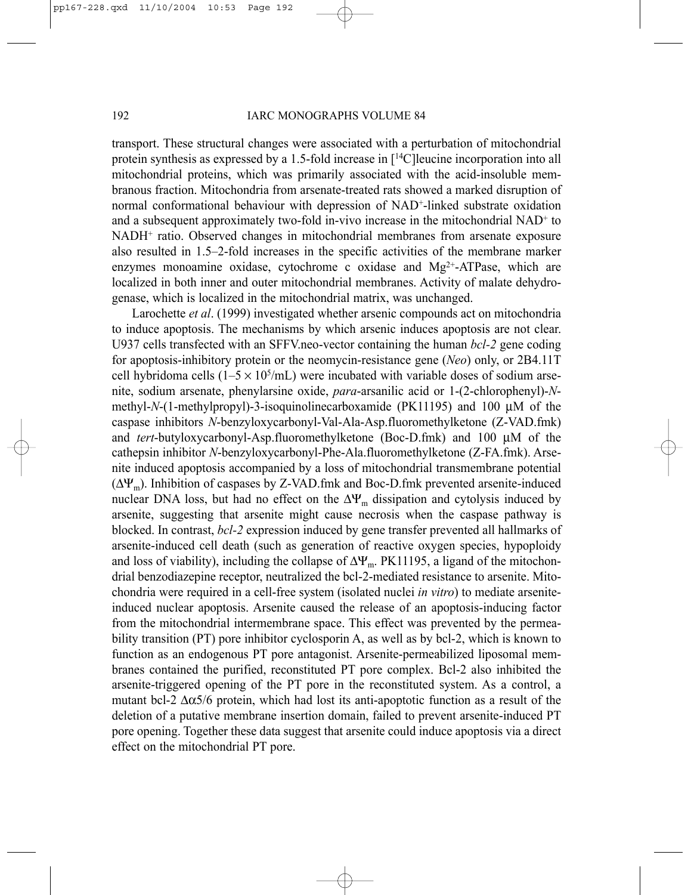transport. These structural changes were associated with a perturbation of mitochondrial protein synthesis as expressed by a 1.5-fold increase in [14C]leucine incorporation into all mitochondrial proteins, which was primarily associated with the acid-insoluble membranous fraction. Mitochondria from arsenate-treated rats showed a marked disruption of normal conformational behaviour with depression of NAD+-linked substrate oxidation and a subsequent approximately two-fold in-vivo increase in the mitochondrial NAD<sup>+</sup> to NADH+ ratio. Observed changes in mitochondrial membranes from arsenate exposure also resulted in 1.5–2-fold increases in the specific activities of the membrane marker enzymes monoamine oxidase, cytochrome c oxidase and Mg<sup>2+</sup>-ATPase, which are localized in both inner and outer mitochondrial membranes. Activity of malate dehydrogenase, which is localized in the mitochondrial matrix, was unchanged.

Larochette *et al*. (1999) investigated whether arsenic compounds act on mitochondria to induce apoptosis. The mechanisms by which arsenic induces apoptosis are not clear. U937 cells transfected with an SFFV.neo-vector containing the human *bcl-2* gene coding for apoptosis-inhibitory protein or the neomycin-resistance gene (*Neo*) only, or 2B4.11T cell hybridoma cells  $(1-5 \times 10^5/\text{mL})$  were incubated with variable doses of sodium arsenite, sodium arsenate, phenylarsine oxide, *para*-arsanilic acid or 1-(2-chlorophenyl)-*N*methyl-*N*-(1-methylpropyl)-3-isoquinolinecarboxamide (PK11195) and 100 µM of the caspase inhibitors *N*-benzyloxycarbonyl-Val-Ala-Asp.fluoromethylketone (Z-VAD.fmk) and *tert*-butyloxycarbonyl-Asp.fluoromethylketone (Boc-D.fmk) and 100 µM of the cathepsin inhibitor *N*-benzyloxycarbonyl-Phe-Ala.fluoromethylketone (Z-FA.fmk). Arsenite induced apoptosis accompanied by a loss of mitochondrial transmembrane potential (∆Ψm). Inhibition of caspases by Z-VAD.fmk and Boc-D.fmk prevented arsenite-induced nuclear DNA loss, but had no effect on the  $\Delta \Psi_m$  dissipation and cytolysis induced by arsenite, suggesting that arsenite might cause necrosis when the caspase pathway is blocked. In contrast, *bcl-2* expression induced by gene transfer prevented all hallmarks of arsenite-induced cell death (such as generation of reactive oxygen species, hypoploidy and loss of viability), including the collapse of  $\Delta \Psi_m$ . PK11195, a ligand of the mitochondrial benzodiazepine receptor, neutralized the bcl-2-mediated resistance to arsenite. Mitochondria were required in a cell-free system (isolated nuclei *in vitro*) to mediate arseniteinduced nuclear apoptosis. Arsenite caused the release of an apoptosis-inducing factor from the mitochondrial intermembrane space. This effect was prevented by the permeability transition (PT) pore inhibitor cyclosporin A, as well as by bcl-2, which is known to function as an endogenous PT pore antagonist. Arsenite-permeabilized liposomal membranes contained the purified, reconstituted PT pore complex. Bcl-2 also inhibited the arsenite-triggered opening of the PT pore in the reconstituted system. As a control, a mutant bcl-2  $\Delta \alpha$ 5/6 protein, which had lost its anti-apoptotic function as a result of the deletion of a putative membrane insertion domain, failed to prevent arsenite-induced PT pore opening. Together these data suggest that arsenite could induce apoptosis via a direct effect on the mitochondrial PT pore.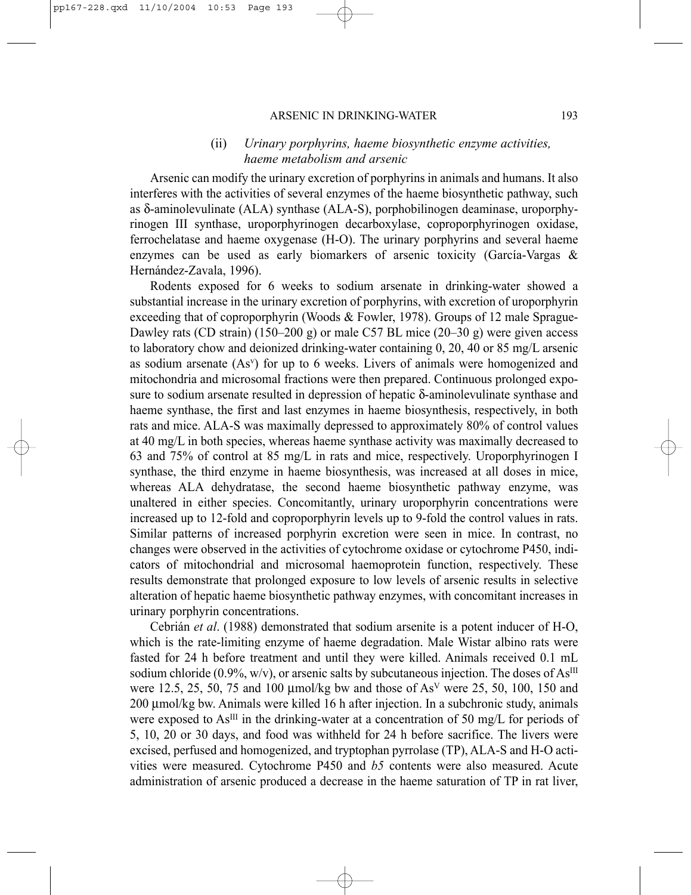#### ARSENIC IN DRINKING-WATER 193

## (ii) *Urinary porphyrins, haeme biosynthetic enzyme activities, haeme metabolism and arsenic*

Arsenic can modify the urinary excretion of porphyrins in animals and humans. It also interferes with the activities of several enzymes of the haeme biosynthetic pathway, such as δ-aminolevulinate (ALA) synthase (ALA-S), porphobilinogen deaminase, uroporphyrinogen III synthase, uroporphyrinogen decarboxylase, coproporphyrinogen oxidase, ferrochelatase and haeme oxygenase (H-O). The urinary porphyrins and several haeme enzymes can be used as early biomarkers of arsenic toxicity (García-Vargas & Hernández-Zavala, 1996).

Rodents exposed for 6 weeks to sodium arsenate in drinking-water showed a substantial increase in the urinary excretion of porphyrins, with excretion of uroporphyrin exceeding that of coproporphyrin (Woods & Fowler, 1978). Groups of 12 male Sprague-Dawley rats (CD strain) (150–200 g) or male C57 BL mice (20–30 g) were given access to laboratory chow and deionized drinking-water containing 0, 20, 40 or 85 mg/L arsenic as sodium arsenate  $(As<sup>v</sup>)$  for up to 6 weeks. Livers of animals were homogenized and mitochondria and microsomal fractions were then prepared. Continuous prolonged exposure to sodium arsenate resulted in depression of hepatic δ-aminolevulinate synthase and haeme synthase, the first and last enzymes in haeme biosynthesis, respectively, in both rats and mice. ALA-S was maximally depressed to approximately 80% of control values at 40 mg/L in both species, whereas haeme synthase activity was maximally decreased to 63 and 75% of control at 85 mg/L in rats and mice, respectively. Uroporphyrinogen I synthase, the third enzyme in haeme biosynthesis, was increased at all doses in mice, whereas ALA dehydratase, the second haeme biosynthetic pathway enzyme, was unaltered in either species. Concomitantly, urinary uroporphyrin concentrations were increased up to 12-fold and coproporphyrin levels up to 9-fold the control values in rats. Similar patterns of increased porphyrin excretion were seen in mice. In contrast, no changes were observed in the activities of cytochrome oxidase or cytochrome P450, indicators of mitochondrial and microsomal haemoprotein function, respectively. These results demonstrate that prolonged exposure to low levels of arsenic results in selective alteration of hepatic haeme biosynthetic pathway enzymes, with concomitant increases in urinary porphyrin concentrations.

Cebrián *et al*. (1988) demonstrated that sodium arsenite is a potent inducer of H-O, which is the rate-limiting enzyme of haeme degradation. Male Wistar albino rats were fasted for 24 h before treatment and until they were killed. Animals received 0.1 mL sodium chloride (0.9%, w/v), or arsenic salts by subcutaneous injection. The doses of  $As^{III}$ were 12.5, 25, 50, 75 and 100  $\mu$ mol/kg bw and those of As<sup>V</sup> were 25, 50, 100, 150 and 200 µmol/kg bw. Animals were killed 16 h after injection. In a subchronic study, animals were exposed to As<sup>III</sup> in the drinking-water at a concentration of 50 mg/L for periods of 5, 10, 20 or 30 days, and food was withheld for 24 h before sacrifice. The livers were excised, perfused and homogenized, and tryptophan pyrrolase (TP), ALA-S and H-O activities were measured. Cytochrome P450 and *b5* contents were also measured. Acute administration of arsenic produced a decrease in the haeme saturation of TP in rat liver,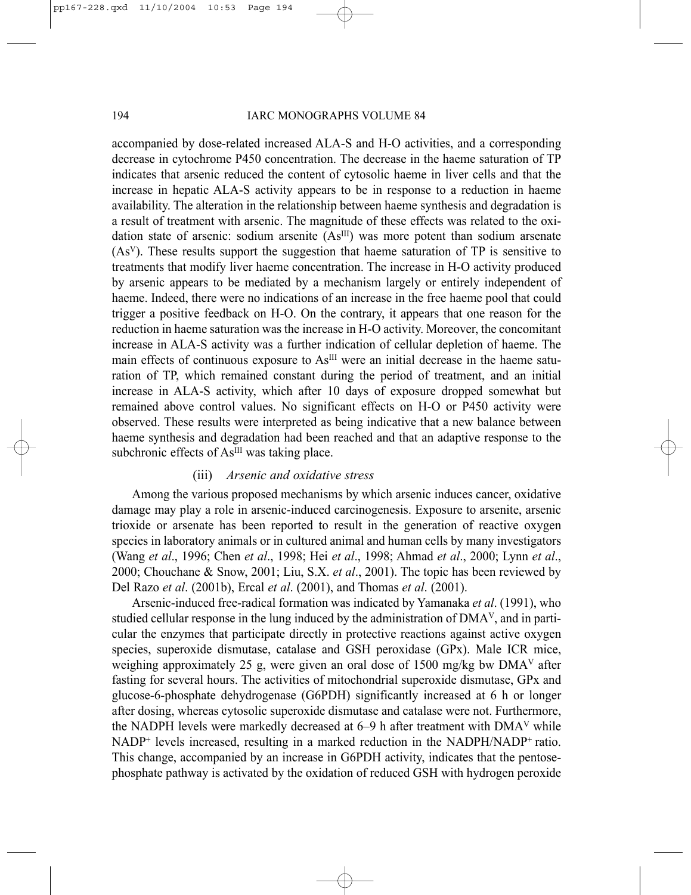accompanied by dose-related increased ALA-S and H-O activities, and a corresponding decrease in cytochrome P450 concentration. The decrease in the haeme saturation of TP indicates that arsenic reduced the content of cytosolic haeme in liver cells and that the increase in hepatic ALA-S activity appears to be in response to a reduction in haeme availability. The alteration in the relationship between haeme synthesis and degradation is a result of treatment with arsenic. The magnitude of these effects was related to the oxidation state of arsenic: sodium arsenite  $(As<sup>III</sup>)$  was more potent than sodium arsenate (AsV). These results support the suggestion that haeme saturation of TP is sensitive to treatments that modify liver haeme concentration. The increase in H-O activity produced by arsenic appears to be mediated by a mechanism largely or entirely independent of haeme. Indeed, there were no indications of an increase in the free haeme pool that could trigger a positive feedback on H-O. On the contrary, it appears that one reason for the reduction in haeme saturation was the increase in H-O activity. Moreover, the concomitant increase in ALA-S activity was a further indication of cellular depletion of haeme. The main effects of continuous exposure to  $As<sup>III</sup>$  were an initial decrease in the haeme saturation of TP, which remained constant during the period of treatment, and an initial increase in ALA-S activity, which after 10 days of exposure dropped somewhat but remained above control values. No significant effects on H-O or P450 activity were observed. These results were interpreted as being indicative that a new balance between haeme synthesis and degradation had been reached and that an adaptive response to the subchronic effects of As<sup>III</sup> was taking place.

#### (iii) *Arsenic and oxidative stress*

Among the various proposed mechanisms by which arsenic induces cancer, oxidative damage may play a role in arsenic-induced carcinogenesis. Exposure to arsenite, arsenic trioxide or arsenate has been reported to result in the generation of reactive oxygen species in laboratory animals or in cultured animal and human cells by many investigators (Wang *et al*., 1996; Chen *et al*., 1998; Hei *et al*., 1998; Ahmad *et al*., 2000; Lynn *et al*., 2000; Chouchane & Snow, 2001; Liu, S.X. *et al*., 2001). The topic has been reviewed by Del Razo *et al*. (2001b), Ercal *et al*. (2001), and Thomas *et al*. (2001).

Arsenic-induced free-radical formation was indicated by Yamanaka *et al*. (1991), who studied cellular response in the lung induced by the administration of DMAV, and in particular the enzymes that participate directly in protective reactions against active oxygen species, superoxide dismutase, catalase and GSH peroxidase (GPx). Male ICR mice, weighing approximately 25 g, were given an oral dose of 1500 mg/kg bw DMAV after fasting for several hours. The activities of mitochondrial superoxide dismutase, GPx and glucose-6-phosphate dehydrogenase (G6PDH) significantly increased at 6 h or longer after dosing, whereas cytosolic superoxide dismutase and catalase were not. Furthermore, the NADPH levels were markedly decreased at 6–9 h after treatment with DMAV while NADP<sup>+</sup> levels increased, resulting in a marked reduction in the NADPH/NADP<sup>+</sup> ratio. This change, accompanied by an increase in G6PDH activity, indicates that the pentosephosphate pathway is activated by the oxidation of reduced GSH with hydrogen peroxide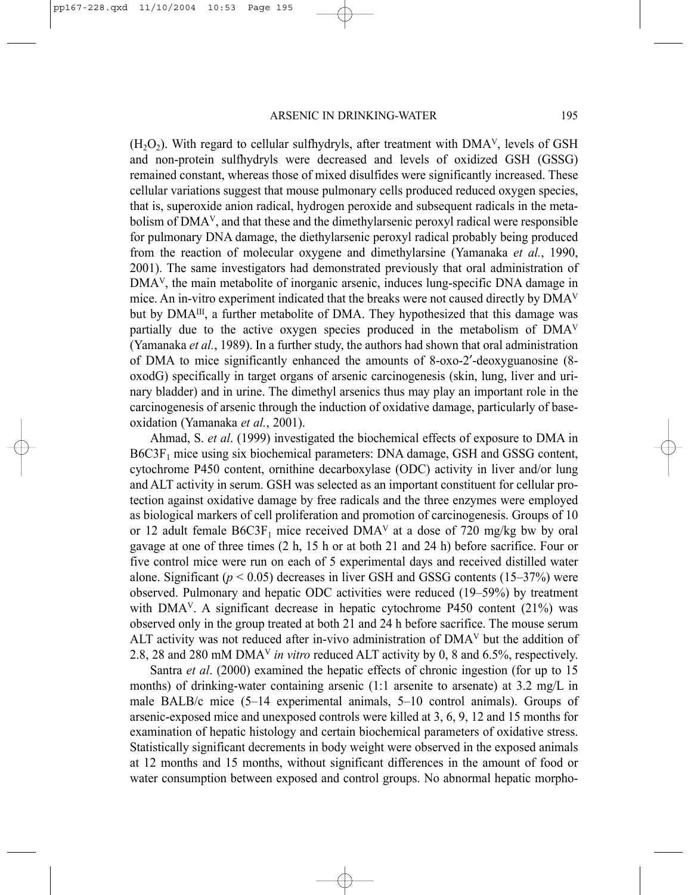$(H<sub>2</sub>O<sub>2</sub>)$ . With regard to cellular sulfhydryls, after treatment with DMA<sup>V</sup>, levels of GSH and non-protein sulfhydryls were decreased and levels of oxidized GSH (GSSG) remained constant, whereas those of mixed disulfides were significantly increased. These cellular variations suggest that mouse pulmonary cells produced reduced oxygen species, that is, superoxide anion radical, hydrogen peroxide and subsequent radicals in the metabolism of DMA<sup>V</sup>, and that these and the dimethylarsenic peroxyl radical were responsible for pulmonary DNA damage, the diethylarsenic peroxyl radical probably being produced from the reaction of molecular oxygene and dimethylarsine (Yamanaka *et al.*, 1990, 2001). The same investigators had demonstrated previously that oral administration of DMAV, the main metabolite of inorganic arsenic, induces lung-specific DNA damage in mice. An in-vitro experiment indicated that the breaks were not caused directly by  $DMA<sup>V</sup>$ but by  $DMA^{III}$ , a further metabolite of DMA. They hypothesized that this damage was partially due to the active oxygen species produced in the metabolism of DMAV (Yamanaka *et al.*, 1989). In a further study, the authors had shown that oral administration of DMA to mice significantly enhanced the amounts of 8-oxo-2′-deoxyguanosine (8 oxodG) specifically in target organs of arsenic carcinogenesis (skin, lung, liver and urinary bladder) and in urine. The dimethyl arsenics thus may play an important role in the carcinogenesis of arsenic through the induction of oxidative damage, particularly of baseoxidation (Yamanaka *et al.*, 2001).

Ahmad, S. *et al*. (1999) investigated the biochemical effects of exposure to DMA in B6C3F<sub>1</sub> mice using six biochemical parameters: DNA damage, GSH and GSSG content, cytochrome P450 content, ornithine decarboxylase (ODC) activity in liver and/or lung and ALT activity in serum. GSH was selected as an important constituent for cellular protection against oxidative damage by free radicals and the three enzymes were employed as biological markers of cell proliferation and promotion of carcinogenesis. Groups of 10 or 12 adult female  $B6C3F_1$  mice received  $DMA<sup>V</sup>$  at a dose of 720 mg/kg bw by oral gavage at one of three times (2 h, 15 h or at both 21 and 24 h) before sacrifice. Four or five control mice were run on each of 5 experimental days and received distilled water alone. Significant  $(p < 0.05)$  decreases in liver GSH and GSSG contents  $(15-37%)$  were observed. Pulmonary and hepatic ODC activities were reduced (19–59%) by treatment with  $DMA<sup>V</sup>$ . A significant decrease in hepatic cytochrome P450 content (21%) was observed only in the group treated at both 21 and 24 h before sacrifice. The mouse serum ALT activity was not reduced after in-vivo administration of DMAV but the addition of 2.8, 28 and 280 mM DMAV *in vitro* reduced ALT activity by 0, 8 and 6.5%, respectively.

Santra *et al*. (2000) examined the hepatic effects of chronic ingestion (for up to 15 months) of drinking-water containing arsenic (1:1 arsenite to arsenate) at 3.2 mg/L in male BALB/c mice (5–14 experimental animals, 5–10 control animals). Groups of arsenic-exposed mice and unexposed controls were killed at 3, 6, 9, 12 and 15 months for examination of hepatic histology and certain biochemical parameters of oxidative stress. Statistically significant decrements in body weight were observed in the exposed animals at 12 months and 15 months, without significant differences in the amount of food or water consumption between exposed and control groups. No abnormal hepatic morpho-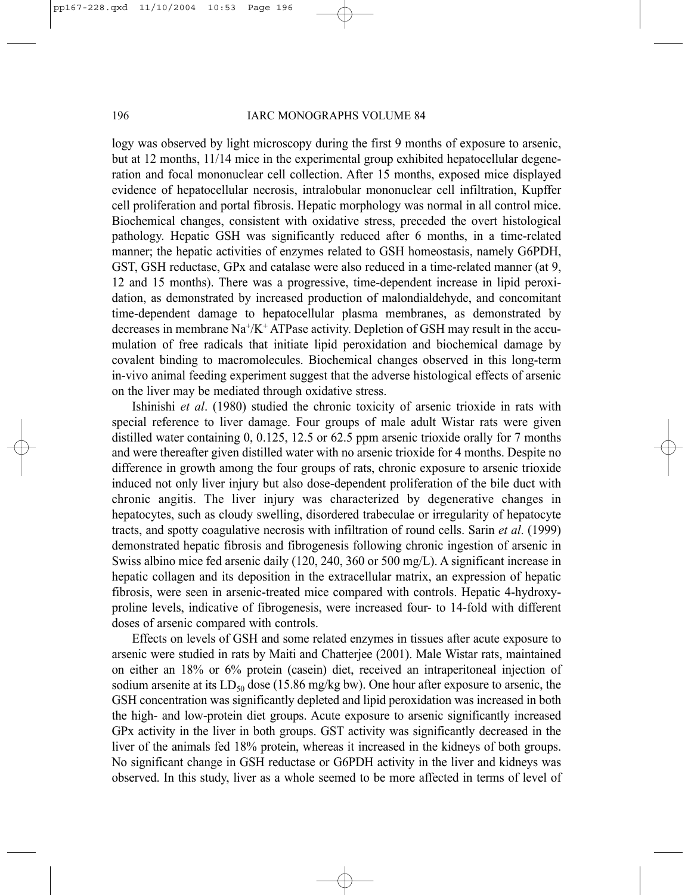#### 196 IARC MONOGRAPHS VOLUME 84

logy was observed by light microscopy during the first 9 months of exposure to arsenic, but at 12 months, 11/14 mice in the experimental group exhibited hepatocellular degeneration and focal mononuclear cell collection. After 15 months, exposed mice displayed evidence of hepatocellular necrosis, intralobular mononuclear cell infiltration, Kupffer cell proliferation and portal fibrosis. Hepatic morphology was normal in all control mice. Biochemical changes, consistent with oxidative stress, preceded the overt histological pathology. Hepatic GSH was significantly reduced after 6 months, in a time-related manner; the hepatic activities of enzymes related to GSH homeostasis, namely G6PDH, GST, GSH reductase, GPx and catalase were also reduced in a time-related manner (at 9, 12 and 15 months). There was a progressive, time-dependent increase in lipid peroxidation, as demonstrated by increased production of malondialdehyde, and concomitant time-dependent damage to hepatocellular plasma membranes, as demonstrated by decreases in membrane Na+/K+ ATPase activity. Depletion of GSH may result in the accumulation of free radicals that initiate lipid peroxidation and biochemical damage by covalent binding to macromolecules. Biochemical changes observed in this long-term in-vivo animal feeding experiment suggest that the adverse histological effects of arsenic on the liver may be mediated through oxidative stress.

Ishinishi *et al*. (1980) studied the chronic toxicity of arsenic trioxide in rats with special reference to liver damage. Four groups of male adult Wistar rats were given distilled water containing 0, 0.125, 12.5 or 62.5 ppm arsenic trioxide orally for 7 months and were thereafter given distilled water with no arsenic trioxide for 4 months. Despite no difference in growth among the four groups of rats, chronic exposure to arsenic trioxide induced not only liver injury but also dose-dependent proliferation of the bile duct with chronic angitis. The liver injury was characterized by degenerative changes in hepatocytes, such as cloudy swelling, disordered trabeculae or irregularity of hepatocyte tracts, and spotty coagulative necrosis with infiltration of round cells. Sarin *et al*. (1999) demonstrated hepatic fibrosis and fibrogenesis following chronic ingestion of arsenic in Swiss albino mice fed arsenic daily (120, 240, 360 or 500 mg/L). A significant increase in hepatic collagen and its deposition in the extracellular matrix, an expression of hepatic fibrosis, were seen in arsenic-treated mice compared with controls. Hepatic 4-hydroxyproline levels, indicative of fibrogenesis, were increased four- to 14-fold with different doses of arsenic compared with controls.

Effects on levels of GSH and some related enzymes in tissues after acute exposure to arsenic were studied in rats by Maiti and Chatterjee (2001). Male Wistar rats, maintained on either an 18% or 6% protein (casein) diet, received an intraperitoneal injection of sodium arsenite at its  $LD_{50}$  dose (15.86 mg/kg bw). One hour after exposure to arsenic, the GSH concentration was significantly depleted and lipid peroxidation was increased in both the high- and low-protein diet groups. Acute exposure to arsenic significantly increased GPx activity in the liver in both groups. GST activity was significantly decreased in the liver of the animals fed 18% protein, whereas it increased in the kidneys of both groups. No significant change in GSH reductase or G6PDH activity in the liver and kidneys was observed. In this study, liver as a whole seemed to be more affected in terms of level of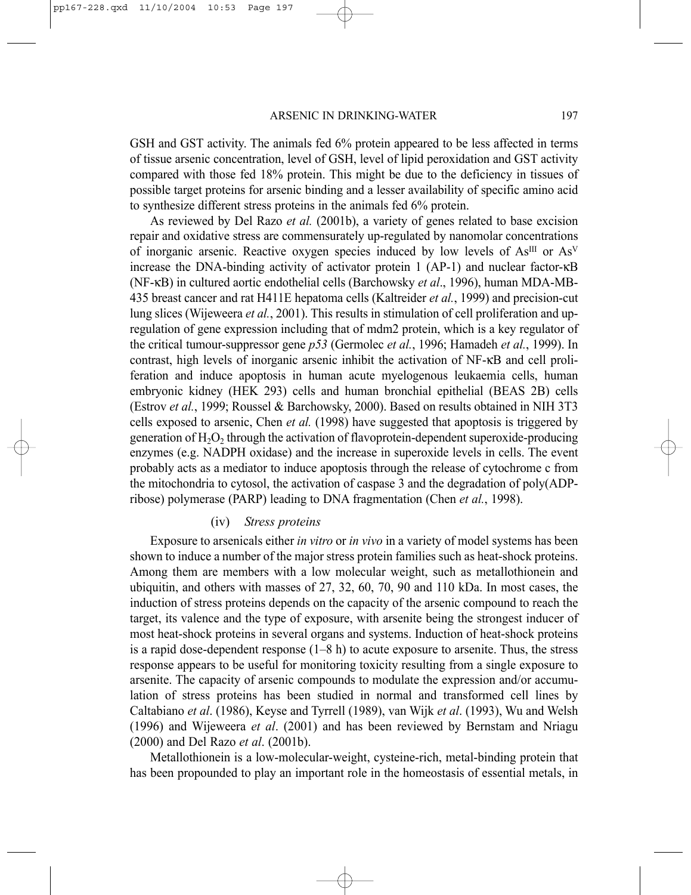GSH and GST activity. The animals fed 6% protein appeared to be less affected in terms of tissue arsenic concentration, level of GSH, level of lipid peroxidation and GST activity compared with those fed 18% protein. This might be due to the deficiency in tissues of possible target proteins for arsenic binding and a lesser availability of specific amino acid to synthesize different stress proteins in the animals fed 6% protein.

As reviewed by Del Razo *et al.* (2001b), a variety of genes related to base excision repair and oxidative stress are commensurately up-regulated by nanomolar concentrations of inorganic arsenic. Reactive oxygen species induced by low levels of  $As^{III}$  or  $As^{V}$ increase the DNA-binding activity of activator protein 1 (AP-1) and nuclear factor-κB (NF-κB) in cultured aortic endothelial cells (Barchowsky *et al*., 1996), human MDA-MB-435 breast cancer and rat H411E hepatoma cells (Kaltreider *et al.*, 1999) and precision-cut lung slices (Wijeweera *et al.*, 2001). This results in stimulation of cell proliferation and upregulation of gene expression including that of mdm2 protein, which is a key regulator of the critical tumour-suppressor gene *p53* (Germolec *et al.*, 1996; Hamadeh *et al.*, 1999). In contrast, high levels of inorganic arsenic inhibit the activation of NF-κB and cell proliferation and induce apoptosis in human acute myelogenous leukaemia cells, human embryonic kidney (HEK 293) cells and human bronchial epithelial (BEAS 2B) cells (Estrov *et al.*, 1999; Roussel & Barchowsky, 2000). Based on results obtained in NIH 3T3 cells exposed to arsenic, Chen *et al.* (1998) have suggested that apoptosis is triggered by generation of  $H_2O_2$ , through the activation of flavoprotein-dependent superoxide-producing enzymes (e.g. NADPH oxidase) and the increase in superoxide levels in cells. The event probably acts as a mediator to induce apoptosis through the release of cytochrome c from the mitochondria to cytosol, the activation of caspase 3 and the degradation of poly(ADPribose) polymerase (PARP) leading to DNA fragmentation (Chen *et al.*, 1998).

#### (iv) *Stress proteins*

Exposure to arsenicals either *in vitro* or *in vivo* in a variety of model systems has been shown to induce a number of the major stress protein families such as heat-shock proteins. Among them are members with a low molecular weight, such as metallothionein and ubiquitin, and others with masses of 27, 32, 60, 70, 90 and 110 kDa. In most cases, the induction of stress proteins depends on the capacity of the arsenic compound to reach the target, its valence and the type of exposure, with arsenite being the strongest inducer of most heat-shock proteins in several organs and systems. Induction of heat-shock proteins is a rapid dose-dependent response  $(1-8 h)$  to acute exposure to arsenite. Thus, the stress response appears to be useful for monitoring toxicity resulting from a single exposure to arsenite. The capacity of arsenic compounds to modulate the expression and/or accumulation of stress proteins has been studied in normal and transformed cell lines by Caltabiano *et al*. (1986), Keyse and Tyrrell (1989), van Wijk *et al*. (1993), Wu and Welsh (1996) and Wijeweera *et al*. (2001) and has been reviewed by Bernstam and Nriagu (2000) and Del Razo *et al*. (2001b).

Metallothionein is a low-molecular-weight, cysteine-rich, metal-binding protein that has been propounded to play an important role in the homeostasis of essential metals, in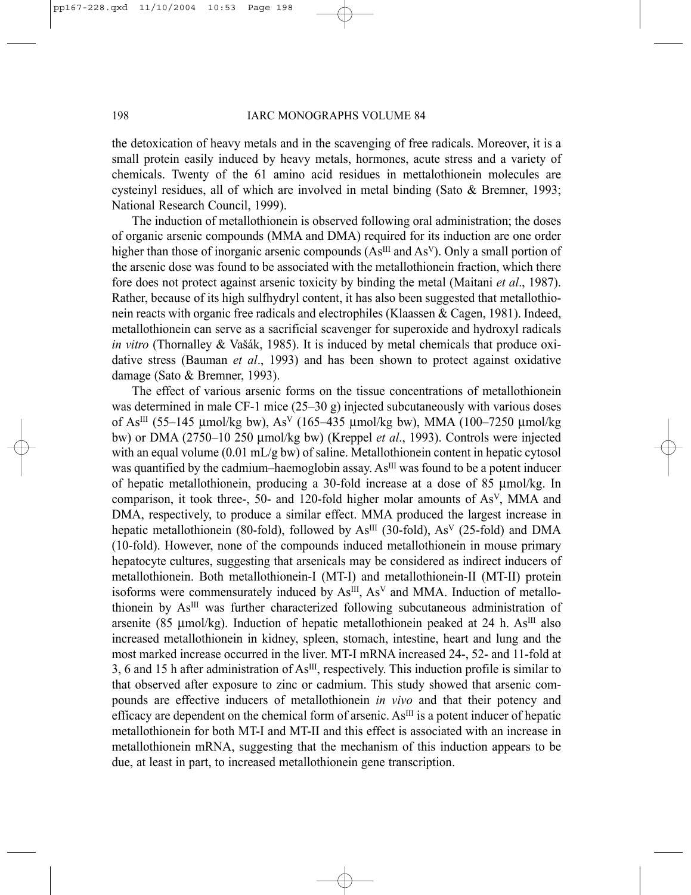the detoxication of heavy metals and in the scavenging of free radicals. Moreover, it is a small protein easily induced by heavy metals, hormones, acute stress and a variety of chemicals. Twenty of the 61 amino acid residues in mettalothionein molecules are cysteinyl residues, all of which are involved in metal binding (Sato & Bremner, 1993; National Research Council, 1999).

The induction of metallothionein is observed following oral administration; the doses of organic arsenic compounds (MMA and DMA) required for its induction are one order higher than those of inorganic arsenic compounds  $(As^{III}$  and  $As^{V})$ . Only a small portion of the arsenic dose was found to be associated with the metallothionein fraction, which there fore does not protect against arsenic toxicity by binding the metal (Maitani *et al*., 1987). Rather, because of its high sulfhydryl content, it has also been suggested that metallothionein reacts with organic free radicals and electrophiles (Klaassen & Cagen, 1981). Indeed, metallothionein can serve as a sacrificial scavenger for superoxide and hydroxyl radicals *in vitro* (Thornalley & Vašák, 1985). It is induced by metal chemicals that produce oxidative stress (Bauman *et al*., 1993) and has been shown to protect against oxidative damage (Sato & Bremner, 1993).

The effect of various arsenic forms on the tissue concentrations of metallothionein was determined in male CF-1 mice  $(25-30 g)$  injected subcutaneously with various doses of As<sup>III</sup> (55–145 µmol/kg bw), As<sup>V</sup> (165–435 µmol/kg bw), MMA (100–7250 µmol/kg bw) or DMA (2750–10 250 µmol/kg bw) (Kreppel *et al*., 1993). Controls were injected with an equal volume  $(0.01 \text{ mL/g bw})$  of saline. Metallothionein content in hepatic cytosol was quantified by the cadmium–haemoglobin assay. As<sup>III</sup> was found to be a potent inducer of hepatic metallothionein, producing a 30-fold increase at a dose of 85 µmol/kg. In comparison, it took three-, 50- and 120-fold higher molar amounts of AsV, MMA and DMA, respectively, to produce a similar effect. MMA produced the largest increase in hepatic metallothionein (80-fold), followed by  $As^{III}$  (30-fold),  $As^{V}$  (25-fold) and DMA (10-fold). However, none of the compounds induced metallothionein in mouse primary hepatocyte cultures, suggesting that arsenicals may be considered as indirect inducers of metallothionein. Both metallothionein-I (MT-I) and metallothionein-II (MT-II) protein isoforms were commensurately induced by As<sup>III</sup>, As<sup>V</sup> and MMA. Induction of metallothionein by AsIII was further characterized following subcutaneous administration of arsenite (85  $\mu$ mol/kg). Induction of hepatic metallothionein peaked at 24 h. As<sup>III</sup> also increased metallothionein in kidney, spleen, stomach, intestine, heart and lung and the most marked increase occurred in the liver. MT-I mRNA increased 24-, 52- and 11-fold at 3, 6 and 15 h after administration of AsIII, respectively. This induction profile is similar to that observed after exposure to zinc or cadmium. This study showed that arsenic compounds are effective inducers of metallothionein *in vivo* and that their potency and efficacy are dependent on the chemical form of arsenic.  $As<sup>III</sup>$  is a potent inducer of hepatic metallothionein for both MT-I and MT-II and this effect is associated with an increase in metallothionein mRNA, suggesting that the mechanism of this induction appears to be due, at least in part, to increased metallothionein gene transcription.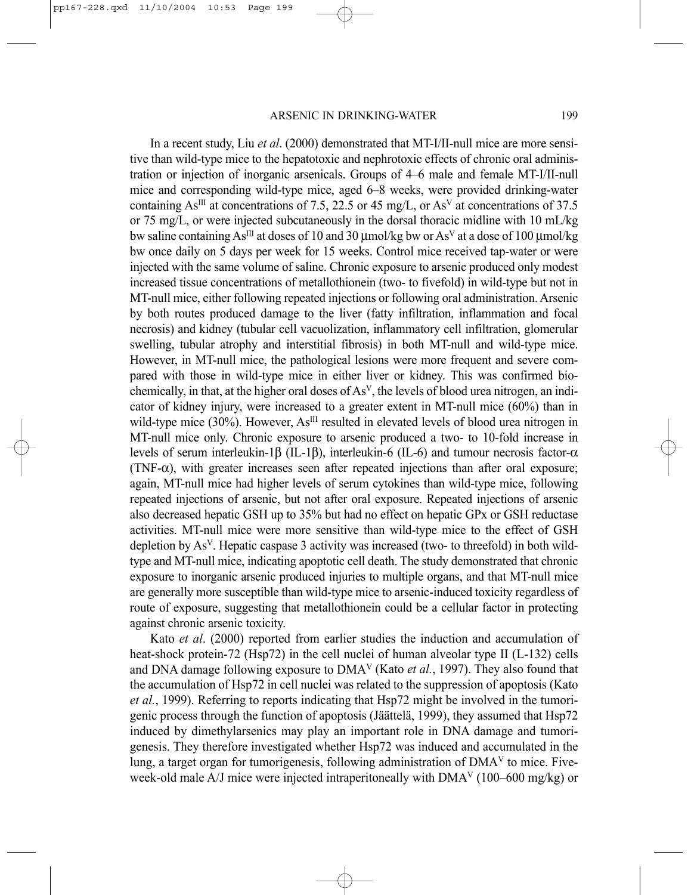In a recent study, Liu *et al*. (2000) demonstrated that MT-I/II-null mice are more sensitive than wild-type mice to the hepatotoxic and nephrotoxic effects of chronic oral administration or injection of inorganic arsenicals. Groups of 4–6 male and female MT-I/II-null mice and corresponding wild-type mice, aged 6–8 weeks, were provided drinking-water containing As<sup>III</sup> at concentrations of 7.5, 22.5 or 45 mg/L, or As<sup>V</sup> at concentrations of 37.5 or 75 mg/L, or were injected subcutaneously in the dorsal thoracic midline with 10 mL/kg bw saline containing As<sup>III</sup> at doses of 10 and 30 µmol/kg bw or As<sup>V</sup> at a dose of 100 µmol/kg bw once daily on 5 days per week for 15 weeks. Control mice received tap-water or were injected with the same volume of saline. Chronic exposure to arsenic produced only modest increased tissue concentrations of metallothionein (two- to fivefold) in wild-type but not in MT-null mice, either following repeated injections or following oral administration. Arsenic by both routes produced damage to the liver (fatty infiltration, inflammation and focal necrosis) and kidney (tubular cell vacuolization, inflammatory cell infiltration, glomerular swelling, tubular atrophy and interstitial fibrosis) in both MT-null and wild-type mice. However, in MT-null mice, the pathological lesions were more frequent and severe compared with those in wild-type mice in either liver or kidney. This was confirmed biochemically, in that, at the higher oral doses of  $As<sup>V</sup>$ , the levels of blood urea nitrogen, an indicator of kidney injury, were increased to a greater extent in MT-null mice (60%) than in wild-type mice (30%). However, As<sup>III</sup> resulted in elevated levels of blood urea nitrogen in MT-null mice only. Chronic exposure to arsenic produced a two- to 10-fold increase in levels of serum interleukin-1β (IL-1β), interleukin-6 (IL-6) and tumour necrosis factor-α (TNF- $\alpha$ ), with greater increases seen after repeated injections than after oral exposure; again, MT-null mice had higher levels of serum cytokines than wild-type mice, following repeated injections of arsenic, but not after oral exposure. Repeated injections of arsenic also decreased hepatic GSH up to 35% but had no effect on hepatic GPx or GSH reductase activities. MT-null mice were more sensitive than wild-type mice to the effect of GSH depletion by AsV. Hepatic caspase 3 activity was increased (two- to threefold) in both wildtype and MT-null mice, indicating apoptotic cell death. The study demonstrated that chronic exposure to inorganic arsenic produced injuries to multiple organs, and that MT-null mice are generally more susceptible than wild-type mice to arsenic-induced toxicity regardless of route of exposure, suggesting that metallothionein could be a cellular factor in protecting against chronic arsenic toxicity.

Kato *et al*. (2000) reported from earlier studies the induction and accumulation of heat-shock protein-72 (Hsp72) in the cell nuclei of human alveolar type II (L-132) cells and DNA damage following exposure to DMAV (Kato *et al.*, 1997). They also found that the accumulation of Hsp72 in cell nuclei was related to the suppression of apoptosis (Kato *et al.*, 1999). Referring to reports indicating that Hsp72 might be involved in the tumorigenic process through the function of apoptosis (Jäättelä, 1999), they assumed that Hsp72 induced by dimethylarsenics may play an important role in DNA damage and tumorigenesis. They therefore investigated whether Hsp72 was induced and accumulated in the lung, a target organ for tumorigenesis, following administration of  $DMA<sup>V</sup>$  to mice. Fiveweek-old male A/J mice were injected intraperitoneally with  $DMA<sup>V</sup> (100–600$  mg/kg) or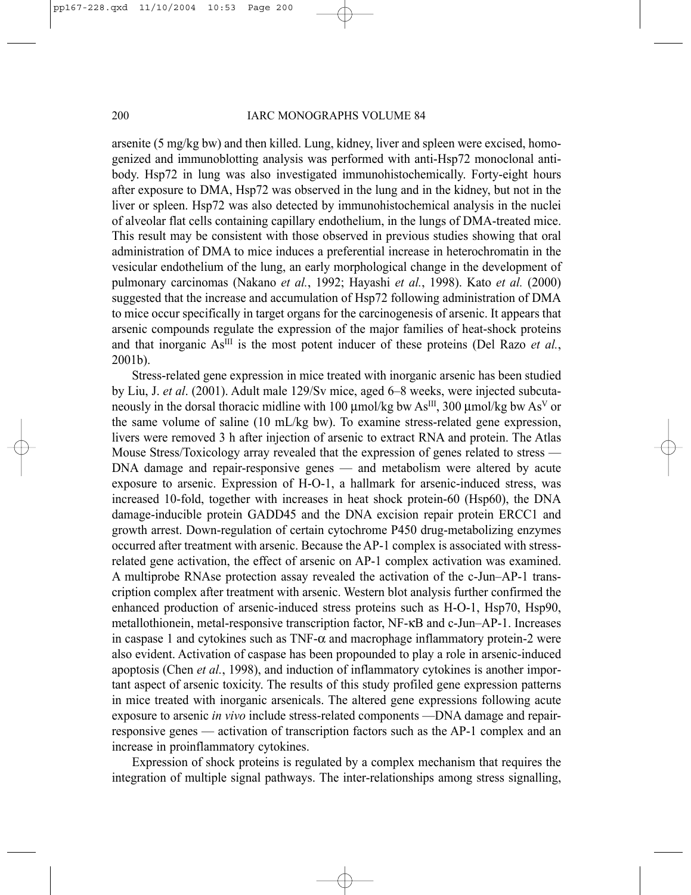arsenite (5 mg/kg bw) and then killed. Lung, kidney, liver and spleen were excised, homogenized and immunoblotting analysis was performed with anti-Hsp72 monoclonal antibody. Hsp72 in lung was also investigated immunohistochemically. Forty-eight hours after exposure to DMA, Hsp72 was observed in the lung and in the kidney, but not in the liver or spleen. Hsp72 was also detected by immunohistochemical analysis in the nuclei of alveolar flat cells containing capillary endothelium, in the lungs of DMA-treated mice. This result may be consistent with those observed in previous studies showing that oral administration of DMA to mice induces a preferential increase in heterochromatin in the vesicular endothelium of the lung, an early morphological change in the development of pulmonary carcinomas (Nakano *et al.*, 1992; Hayashi *et al.*, 1998). Kato *et al.* (2000) suggested that the increase and accumulation of Hsp72 following administration of DMA to mice occur specifically in target organs for the carcinogenesis of arsenic. It appears that arsenic compounds regulate the expression of the major families of heat-shock proteins and that inorganic  $As^{III}$  is the most potent inducer of these proteins (Del Razo *et al.*, 2001b).

Stress-related gene expression in mice treated with inorganic arsenic has been studied by Liu, J. *et al*. (2001). Adult male 129/Sv mice, aged 6–8 weeks, were injected subcutaneously in the dorsal thoracic midline with 100  $\mu$ mol/kg bw As<sup>III</sup>, 300  $\mu$ mol/kg bw As<sup>V</sup> or the same volume of saline (10 mL/kg bw). To examine stress-related gene expression, livers were removed 3 h after injection of arsenic to extract RNA and protein. The Atlas Mouse Stress/Toxicology array revealed that the expression of genes related to stress — DNA damage and repair-responsive genes — and metabolism were altered by acute exposure to arsenic. Expression of H-O-1, a hallmark for arsenic-induced stress, was increased 10-fold, together with increases in heat shock protein-60 (Hsp60), the DNA damage-inducible protein GADD45 and the DNA excision repair protein ERCC1 and growth arrest. Down-regulation of certain cytochrome P450 drug-metabolizing enzymes occurred after treatment with arsenic. Because the AP-1 complex is associated with stressrelated gene activation, the effect of arsenic on AP-1 complex activation was examined. A multiprobe RNAse protection assay revealed the activation of the c-Jun–AP-1 transcription complex after treatment with arsenic. Western blot analysis further confirmed the enhanced production of arsenic-induced stress proteins such as H-O-1, Hsp70, Hsp90, metallothionein, metal-responsive transcription factor, NF-κB and c-Jun–AP-1. Increases in caspase 1 and cytokines such as  $TNF-\alpha$  and macrophage inflammatory protein-2 were also evident. Activation of caspase has been propounded to play a role in arsenic-induced apoptosis (Chen *et al.*, 1998), and induction of inflammatory cytokines is another important aspect of arsenic toxicity. The results of this study profiled gene expression patterns in mice treated with inorganic arsenicals. The altered gene expressions following acute exposure to arsenic *in vivo* include stress-related components —DNA damage and repairresponsive genes — activation of transcription factors such as the AP-1 complex and an increase in proinflammatory cytokines.

Expression of shock proteins is regulated by a complex mechanism that requires the integration of multiple signal pathways. The inter-relationships among stress signalling,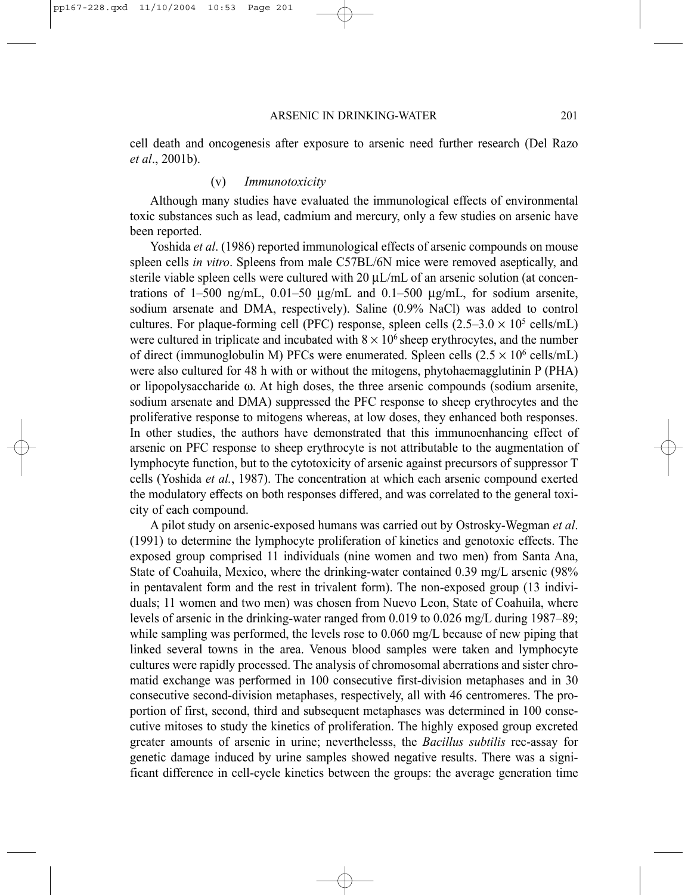cell death and oncogenesis after exposure to arsenic need further research (Del Razo *et al*., 2001b).

#### (v) *Immunotoxicity*

Although many studies have evaluated the immunological effects of environmental toxic substances such as lead, cadmium and mercury, only a few studies on arsenic have been reported.

Yoshida *et al*. (1986) reported immunological effects of arsenic compounds on mouse spleen cells *in vitro*. Spleens from male C57BL/6N mice were removed aseptically, and sterile viable spleen cells were cultured with 20  $\mu$ L/mL of an arsenic solution (at concentrations of  $1-500$  ng/mL,  $0.01-50$   $\mu$ g/mL and  $0.1-500$   $\mu$ g/mL, for sodium arsenite, sodium arsenate and DMA, respectively). Saline (0.9% NaCl) was added to control cultures. For plaque-forming cell (PFC) response, spleen cells  $(2.5-3.0 \times 10^5 \text{ cells/mL})$ were cultured in triplicate and incubated with  $8 \times 10^6$  sheep erythrocytes, and the number of direct (immunoglobulin M) PFCs were enumerated. Spleen cells  $(2.5 \times 10^6 \text{ cells/mL})$ were also cultured for 48 h with or without the mitogens, phytohaemagglutinin P (PHA) or lipopolysaccharide ω. At high doses, the three arsenic compounds (sodium arsenite, sodium arsenate and DMA) suppressed the PFC response to sheep erythrocytes and the proliferative response to mitogens whereas, at low doses, they enhanced both responses. In other studies, the authors have demonstrated that this immunoenhancing effect of arsenic on PFC response to sheep erythrocyte is not attributable to the augmentation of lymphocyte function, but to the cytotoxicity of arsenic against precursors of suppressor T cells (Yoshida *et al.*, 1987). The concentration at which each arsenic compound exerted the modulatory effects on both responses differed, and was correlated to the general toxicity of each compound.

A pilot study on arsenic-exposed humans was carried out by Ostrosky-Wegman *et al*. (1991) to determine the lymphocyte proliferation of kinetics and genotoxic effects. The exposed group comprised 11 individuals (nine women and two men) from Santa Ana, State of Coahuila, Mexico, where the drinking-water contained 0.39 mg/L arsenic (98% in pentavalent form and the rest in trivalent form). The non-exposed group (13 individuals; 11 women and two men) was chosen from Nuevo Leon, State of Coahuila, where levels of arsenic in the drinking-water ranged from 0.019 to 0.026 mg/L during 1987–89; while sampling was performed, the levels rose to 0.060 mg/L because of new piping that linked several towns in the area. Venous blood samples were taken and lymphocyte cultures were rapidly processed. The analysis of chromosomal aberrations and sister chromatid exchange was performed in 100 consecutive first-division metaphases and in 30 consecutive second-division metaphases, respectively, all with 46 centromeres. The proportion of first, second, third and subsequent metaphases was determined in 100 consecutive mitoses to study the kinetics of proliferation. The highly exposed group excreted greater amounts of arsenic in urine; neverthelesss, the *Bacillus subtilis* rec-assay for genetic damage induced by urine samples showed negative results. There was a significant difference in cell-cycle kinetics between the groups: the average generation time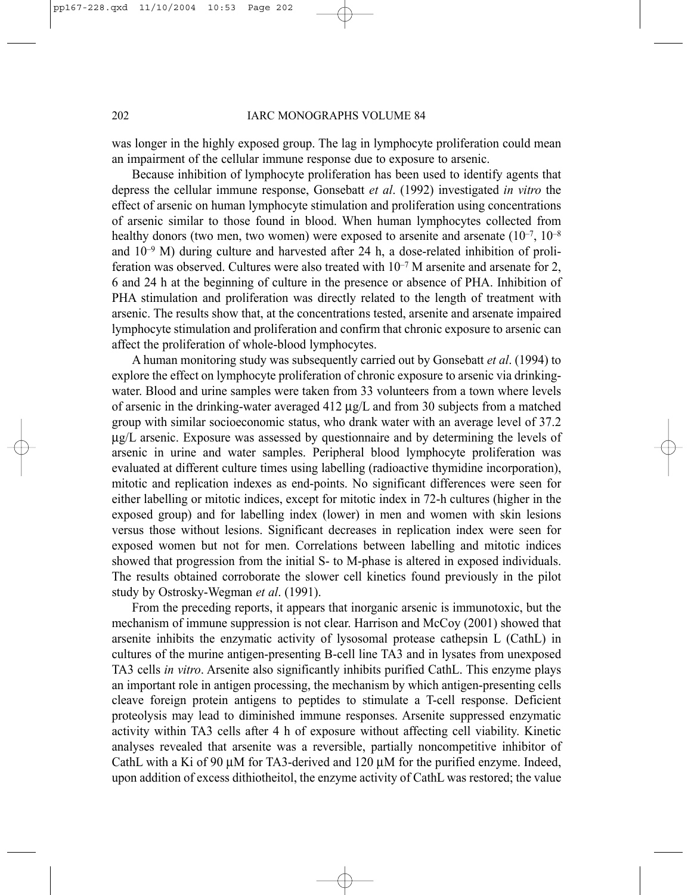was longer in the highly exposed group. The lag in lymphocyte proliferation could mean an impairment of the cellular immune response due to exposure to arsenic.

Because inhibition of lymphocyte proliferation has been used to identify agents that depress the cellular immune response, Gonsebatt *et al*. (1992) investigated *in vitro* the effect of arsenic on human lymphocyte stimulation and proliferation using concentrations of arsenic similar to those found in blood. When human lymphocytes collected from healthy donors (two men, two women) were exposed to arsenite and arsenate  $(10^{-7}, 10^{-8})$ and  $10^{-9}$  M) during culture and harvested after 24 h, a dose-related inhibition of proliferation was observed. Cultures were also treated with  $10^{-7}$  M arsenite and arsenate for 2, 6 and 24 h at the beginning of culture in the presence or absence of PHA. Inhibition of PHA stimulation and proliferation was directly related to the length of treatment with arsenic. The results show that, at the concentrations tested, arsenite and arsenate impaired lymphocyte stimulation and proliferation and confirm that chronic exposure to arsenic can affect the proliferation of whole-blood lymphocytes.

A human monitoring study was subsequently carried out by Gonsebatt *et al*. (1994) to explore the effect on lymphocyte proliferation of chronic exposure to arsenic via drinkingwater. Blood and urine samples were taken from 33 volunteers from a town where levels of arsenic in the drinking-water averaged  $412 \mu g/L$  and from 30 subjects from a matched group with similar socioeconomic status, who drank water with an average level of 37.2 µg/L arsenic. Exposure was assessed by questionnaire and by determining the levels of arsenic in urine and water samples. Peripheral blood lymphocyte proliferation was evaluated at different culture times using labelling (radioactive thymidine incorporation), mitotic and replication indexes as end-points. No significant differences were seen for either labelling or mitotic indices, except for mitotic index in 72-h cultures (higher in the exposed group) and for labelling index (lower) in men and women with skin lesions versus those without lesions. Significant decreases in replication index were seen for exposed women but not for men. Correlations between labelling and mitotic indices showed that progression from the initial S- to M-phase is altered in exposed individuals. The results obtained corroborate the slower cell kinetics found previously in the pilot study by Ostrosky-Wegman *et al*. (1991).

From the preceding reports, it appears that inorganic arsenic is immunotoxic, but the mechanism of immune suppression is not clear. Harrison and McCoy (2001) showed that arsenite inhibits the enzymatic activity of lysosomal protease cathepsin L (CathL) in cultures of the murine antigen-presenting B-cell line TA3 and in lysates from unexposed TA3 cells *in vitro*. Arsenite also significantly inhibits purified CathL. This enzyme plays an important role in antigen processing, the mechanism by which antigen-presenting cells cleave foreign protein antigens to peptides to stimulate a T-cell response. Deficient proteolysis may lead to diminished immune responses. Arsenite suppressed enzymatic activity within TA3 cells after 4 h of exposure without affecting cell viability. Kinetic analyses revealed that arsenite was a reversible, partially noncompetitive inhibitor of CathL with a Ki of 90 uM for TA3-derived and 120 uM for the purified enzyme. Indeed, upon addition of excess dithiotheitol, the enzyme activity of CathL was restored; the value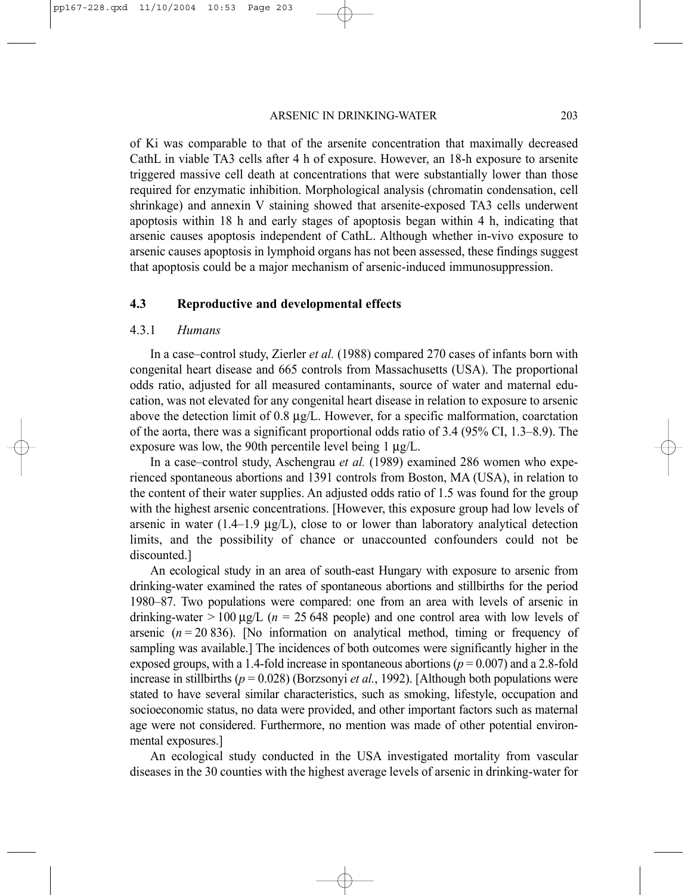#### ARSENIC IN DRINKING-WATER 203

of Ki was comparable to that of the arsenite concentration that maximally decreased CathL in viable TA3 cells after 4 h of exposure. However, an 18-h exposure to arsenite triggered massive cell death at concentrations that were substantially lower than those required for enzymatic inhibition. Morphological analysis (chromatin condensation, cell shrinkage) and annexin V staining showed that arsenite-exposed TA3 cells underwent apoptosis within 18 h and early stages of apoptosis began within 4 h, indicating that arsenic causes apoptosis independent of CathL. Although whether in-vivo exposure to arsenic causes apoptosis in lymphoid organs has not been assessed, these findings suggest that apoptosis could be a major mechanism of arsenic-induced immunosuppression.

#### **4.3 Reproductive and developmental effects**

#### 4.3.1 *Humans*

In a case–control study, Zierler *et al.* (1988) compared 270 cases of infants born with congenital heart disease and 665 controls from Massachusetts (USA). The proportional odds ratio, adjusted for all measured contaminants, source of water and maternal education, was not elevated for any congenital heart disease in relation to exposure to arsenic above the detection limit of 0.8  $\mu$ g/L. However, for a specific malformation, coarctation of the aorta, there was a significant proportional odds ratio of 3.4 (95% CI, 1.3–8.9). The exposure was low, the 90th percentile level being 1  $\mu$ g/L.

In a case–control study, Aschengrau *et al.* (1989) examined 286 women who experienced spontaneous abortions and 1391 controls from Boston, MA (USA), in relation to the content of their water supplies. An adjusted odds ratio of 1.5 was found for the group with the highest arsenic concentrations. [However, this exposure group had low levels of arsenic in water (1.4–1.9  $\mu$ g/L), close to or lower than laboratory analytical detection limits, and the possibility of chance or unaccounted confounders could not be discounted.]

An ecological study in an area of south-east Hungary with exposure to arsenic from drinking-water examined the rates of spontaneous abortions and stillbirths for the period 1980–87. Two populations were compared: one from an area with levels of arsenic in drinking-water  $> 100 \mu g/L$  ( $n = 25,648$  people) and one control area with low levels of arsenic  $(n = 20 836)$ . [No information on analytical method, timing or frequency of sampling was available.] The incidences of both outcomes were significantly higher in the exposed groups, with a 1.4-fold increase in spontaneous abortions  $(p = 0.007)$  and a 2.8-fold increase in stillbirths ( $p = 0.028$ ) (Borzsonyi *et al.*, 1992). [Although both populations were stated to have several similar characteristics, such as smoking, lifestyle, occupation and socioeconomic status, no data were provided, and other important factors such as maternal age were not considered. Furthermore, no mention was made of other potential environmental exposures.]

An ecological study conducted in the USA investigated mortality from vascular diseases in the 30 counties with the highest average levels of arsenic in drinking-water for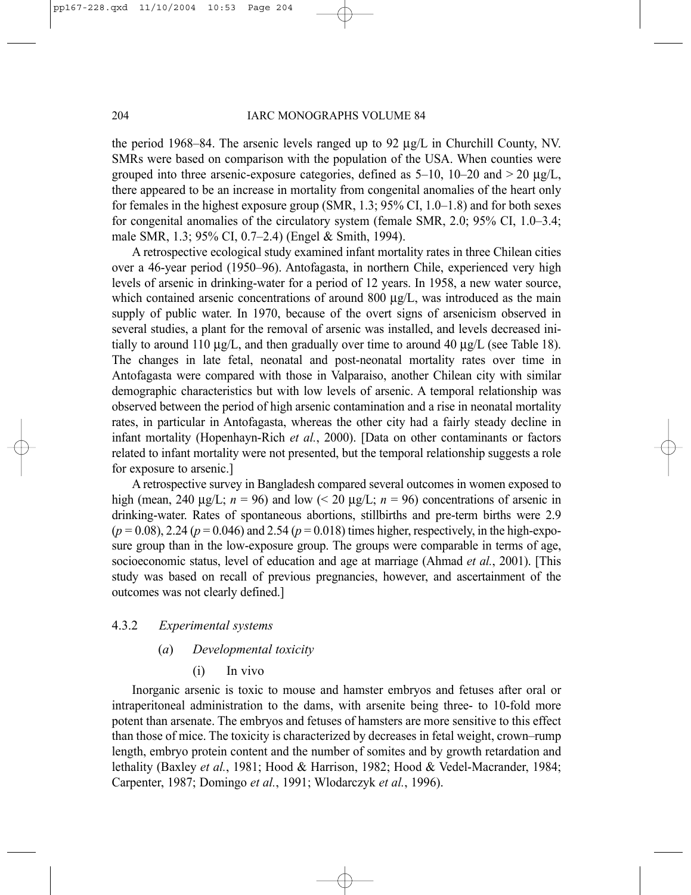the period 1968–84. The arsenic levels ranged up to 92  $\mu$ g/L in Churchill County, NV. SMRs were based on comparison with the population of the USA. When counties were grouped into three arsenic-exposure categories, defined as  $5-10$ ,  $10-20$  and  $> 20 \mu g/L$ , there appeared to be an increase in mortality from congenital anomalies of the heart only for females in the highest exposure group (SMR, 1.3; 95% CI, 1.0–1.8) and for both sexes for congenital anomalies of the circulatory system (female SMR, 2.0; 95% CI, 1.0–3.4; male SMR, 1.3; 95% CI, 0.7–2.4) (Engel & Smith, 1994).

A retrospective ecological study examined infant mortality rates in three Chilean cities over a 46-year period (1950–96). Antofagasta, in northern Chile, experienced very high levels of arsenic in drinking-water for a period of 12 years. In 1958, a new water source, which contained arsenic concentrations of around 800 µg/L, was introduced as the main supply of public water. In 1970, because of the overt signs of arsenicism observed in several studies, a plant for the removal of arsenic was installed, and levels decreased initially to around 110  $\mu$ g/L, and then gradually over time to around 40  $\mu$ g/L (see Table 18). The changes in late fetal, neonatal and post-neonatal mortality rates over time in Antofagasta were compared with those in Valparaiso, another Chilean city with similar demographic characteristics but with low levels of arsenic. A temporal relationship was observed between the period of high arsenic contamination and a rise in neonatal mortality rates, in particular in Antofagasta, whereas the other city had a fairly steady decline in infant mortality (Hopenhayn-Rich *et al.*, 2000). [Data on other contaminants or factors related to infant mortality were not presented, but the temporal relationship suggests a role for exposure to arsenic.]

A retrospective survey in Bangladesh compared several outcomes in women exposed to high (mean, 240  $\mu$ g/L;  $n = 96$ ) and low (< 20  $\mu$ g/L;  $n = 96$ ) concentrations of arsenic in drinking-water. Rates of spontaneous abortions, stillbirths and pre-term births were 2.9  $(p = 0.08)$ , 2.24 ( $p = 0.046$ ) and 2.54 ( $p = 0.018$ ) times higher, respectively, in the high-exposure group than in the low-exposure group. The groups were comparable in terms of age, socioeconomic status, level of education and age at marriage (Ahmad *et al.*, 2001). [This study was based on recall of previous pregnancies, however, and ascertainment of the outcomes was not clearly defined.]

#### 4.3.2 *Experimental systems*

### (*a*) *Developmental toxicity*

(i) In vivo

Inorganic arsenic is toxic to mouse and hamster embryos and fetuses after oral or intraperitoneal administration to the dams, with arsenite being three- to 10-fold more potent than arsenate. The embryos and fetuses of hamsters are more sensitive to this effect than those of mice. The toxicity is characterized by decreases in fetal weight, crown–rump length, embryo protein content and the number of somites and by growth retardation and lethality (Baxley *et al.*, 1981; Hood & Harrison, 1982; Hood & Vedel-Macrander, 1984; Carpenter, 1987; Domingo *et al.*, 1991; Wlodarczyk *et al.*, 1996).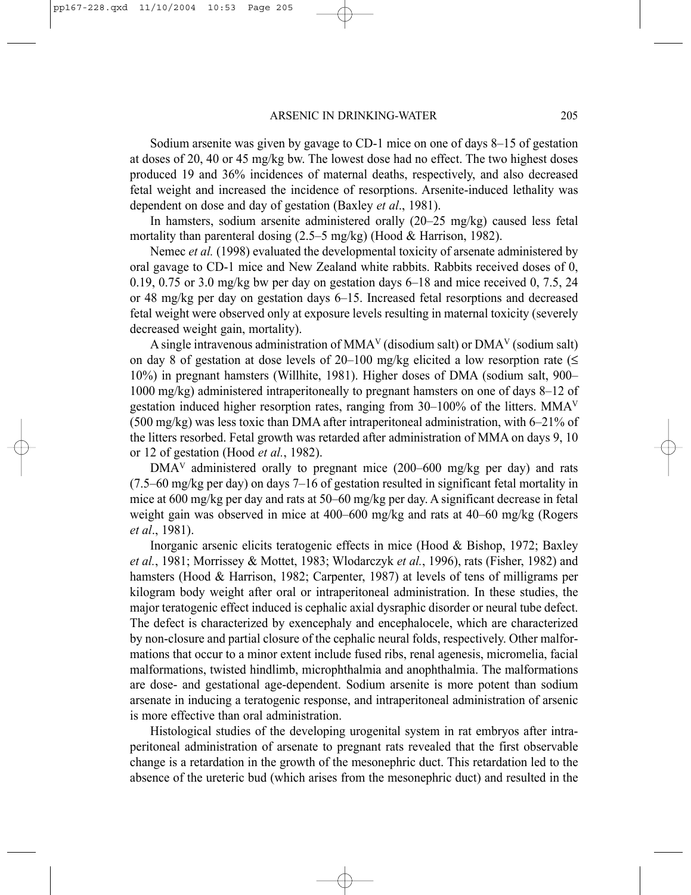Sodium arsenite was given by gavage to CD-1 mice on one of days 8–15 of gestation at doses of 20, 40 or 45 mg/kg bw. The lowest dose had no effect. The two highest doses produced 19 and 36% incidences of maternal deaths, respectively, and also decreased fetal weight and increased the incidence of resorptions. Arsenite-induced lethality was dependent on dose and day of gestation (Baxley *et al*., 1981).

In hamsters, sodium arsenite administered orally (20–25 mg/kg) caused less fetal mortality than parenteral dosing (2.5–5 mg/kg) (Hood & Harrison, 1982).

Nemec *et al.* (1998) evaluated the developmental toxicity of arsenate administered by oral gavage to CD-1 mice and New Zealand white rabbits. Rabbits received doses of 0, 0.19, 0.75 or 3.0 mg/kg bw per day on gestation days 6–18 and mice received 0, 7.5, 24 or 48 mg/kg per day on gestation days 6–15. Increased fetal resorptions and decreased fetal weight were observed only at exposure levels resulting in maternal toxicity (severely decreased weight gain, mortality).

A single intravenous administration of MMAV (disodium salt) or DMAV (sodium salt) on day 8 of gestation at dose levels of 20–100 mg/kg elicited a low resorption rate ( $\leq$ 10%) in pregnant hamsters (Willhite, 1981). Higher doses of DMA (sodium salt, 900– 1000 mg/kg) administered intraperitoneally to pregnant hamsters on one of days 8–12 of gestation induced higher resorption rates, ranging from  $30-100\%$  of the litters. MMA<sup>V</sup> (500 mg/kg) was less toxic than DMA after intraperitoneal administration, with 6–21% of the litters resorbed. Fetal growth was retarded after administration of MMA on days 9, 10 or 12 of gestation (Hood *et al.*, 1982).

 $DMA<sup>V</sup>$  administered orally to pregnant mice (200–600 mg/kg per day) and rats (7.5–60 mg/kg per day) on days 7–16 of gestation resulted in significant fetal mortality in mice at 600 mg/kg per day and rats at 50–60 mg/kg per day. A significant decrease in fetal weight gain was observed in mice at 400–600 mg/kg and rats at 40–60 mg/kg (Rogers *et al*., 1981).

Inorganic arsenic elicits teratogenic effects in mice (Hood & Bishop, 1972; Baxley *et al.*, 1981; Morrissey & Mottet, 1983; Wlodarczyk *et al.*, 1996), rats (Fisher, 1982) and hamsters (Hood & Harrison, 1982; Carpenter, 1987) at levels of tens of milligrams per kilogram body weight after oral or intraperitoneal administration. In these studies, the major teratogenic effect induced is cephalic axial dysraphic disorder or neural tube defect. The defect is characterized by exencephaly and encephalocele, which are characterized by non-closure and partial closure of the cephalic neural folds, respectively. Other malformations that occur to a minor extent include fused ribs, renal agenesis, micromelia, facial malformations, twisted hindlimb, microphthalmia and anophthalmia. The malformations are dose- and gestational age-dependent. Sodium arsenite is more potent than sodium arsenate in inducing a teratogenic response, and intraperitoneal administration of arsenic is more effective than oral administration.

Histological studies of the developing urogenital system in rat embryos after intraperitoneal administration of arsenate to pregnant rats revealed that the first observable change is a retardation in the growth of the mesonephric duct. This retardation led to the absence of the ureteric bud (which arises from the mesonephric duct) and resulted in the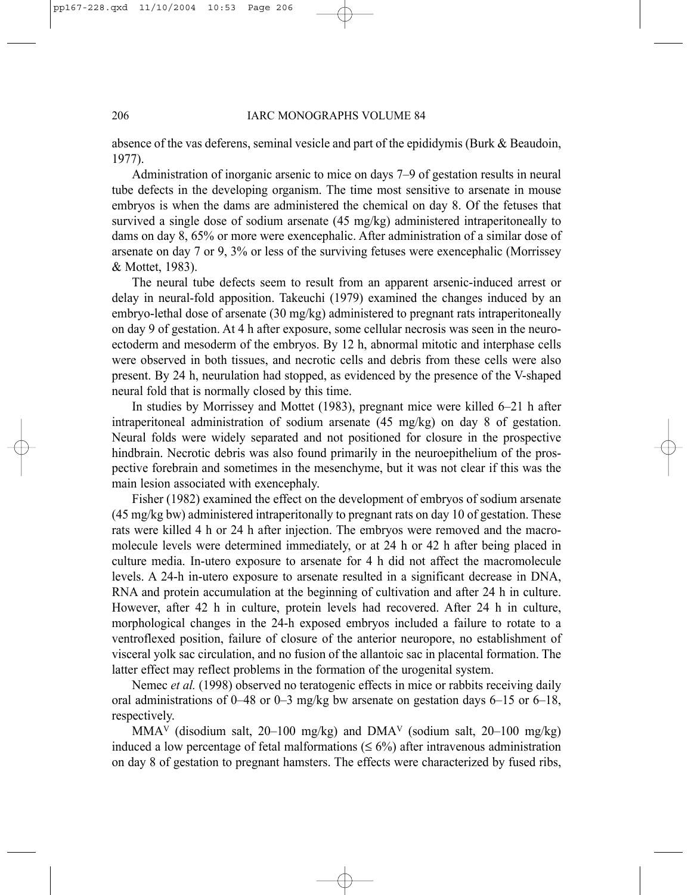#### 206 IARC MONOGRAPHS VOLUME 84

absence of the vas deferens, seminal vesicle and part of the epididymis (Burk & Beaudoin, 1977).

Administration of inorganic arsenic to mice on days 7–9 of gestation results in neural tube defects in the developing organism. The time most sensitive to arsenate in mouse embryos is when the dams are administered the chemical on day 8. Of the fetuses that survived a single dose of sodium arsenate (45 mg/kg) administered intraperitoneally to dams on day 8, 65% or more were exencephalic. After administration of a similar dose of arsenate on day 7 or 9, 3% or less of the surviving fetuses were exencephalic (Morrissey & Mottet, 1983).

The neural tube defects seem to result from an apparent arsenic-induced arrest or delay in neural-fold apposition. Takeuchi (1979) examined the changes induced by an embryo-lethal dose of arsenate (30 mg/kg) administered to pregnant rats intraperitoneally on day 9 of gestation. At 4 h after exposure, some cellular necrosis was seen in the neuroectoderm and mesoderm of the embryos. By 12 h, abnormal mitotic and interphase cells were observed in both tissues, and necrotic cells and debris from these cells were also present. By 24 h, neurulation had stopped, as evidenced by the presence of the V-shaped neural fold that is normally closed by this time.

In studies by Morrissey and Mottet (1983), pregnant mice were killed 6–21 h after intraperitoneal administration of sodium arsenate (45 mg/kg) on day 8 of gestation. Neural folds were widely separated and not positioned for closure in the prospective hindbrain. Necrotic debris was also found primarily in the neuroepithelium of the prospective forebrain and sometimes in the mesenchyme, but it was not clear if this was the main lesion associated with exencephaly.

Fisher (1982) examined the effect on the development of embryos of sodium arsenate (45 mg/kg bw) administered intraperitonally to pregnant rats on day 10 of gestation. These rats were killed 4 h or 24 h after injection. The embryos were removed and the macromolecule levels were determined immediately, or at 24 h or 42 h after being placed in culture media. In-utero exposure to arsenate for 4 h did not affect the macromolecule levels. A 24-h in-utero exposure to arsenate resulted in a significant decrease in DNA, RNA and protein accumulation at the beginning of cultivation and after 24 h in culture. However, after 42 h in culture, protein levels had recovered. After 24 h in culture, morphological changes in the 24-h exposed embryos included a failure to rotate to a ventroflexed position, failure of closure of the anterior neuropore, no establishment of visceral yolk sac circulation, and no fusion of the allantoic sac in placental formation. The latter effect may reflect problems in the formation of the urogenital system.

Nemec *et al.* (1998) observed no teratogenic effects in mice or rabbits receiving daily oral administrations of 0–48 or 0–3 mg/kg bw arsenate on gestation days 6–15 or 6–18, respectively.

MMA<sup>V</sup> (disodium salt, 20–100 mg/kg) and DMA<sup>V</sup> (sodium salt, 20–100 mg/kg) induced a low percentage of fetal malformations ( $\leq 6\%$ ) after intravenous administration on day 8 of gestation to pregnant hamsters. The effects were characterized by fused ribs,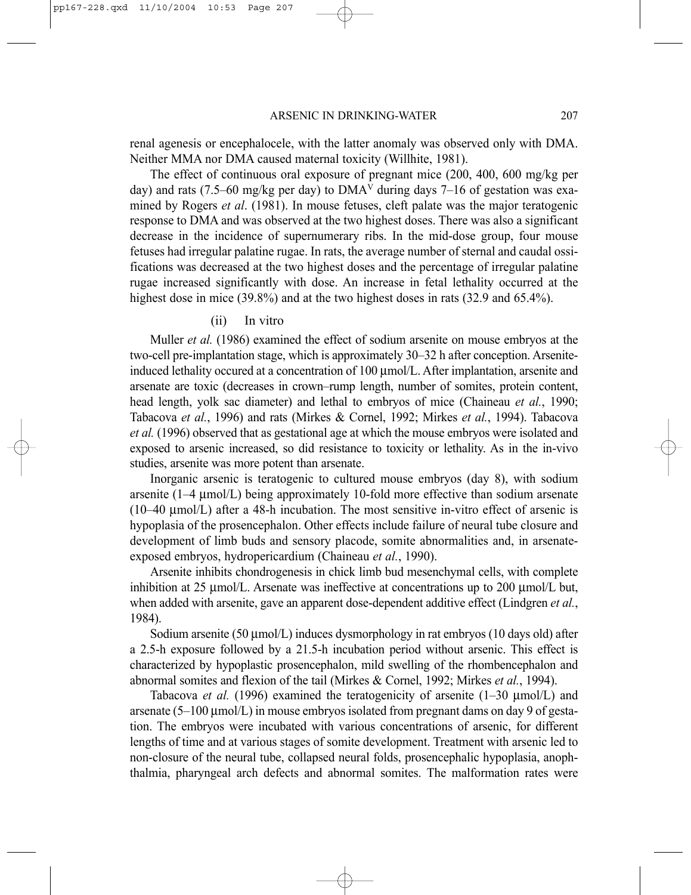renal agenesis or encephalocele, with the latter anomaly was observed only with DMA. Neither MMA nor DMA caused maternal toxicity (Willhite, 1981).

The effect of continuous oral exposure of pregnant mice (200, 400, 600 mg/kg per day) and rats (7.5–60 mg/kg per day) to DMA<sup>V</sup> during days 7–16 of gestation was examined by Rogers *et al*. (1981). In mouse fetuses, cleft palate was the major teratogenic response to DMA and was observed at the two highest doses. There was also a significant decrease in the incidence of supernumerary ribs. In the mid-dose group, four mouse fetuses had irregular palatine rugae. In rats, the average number of sternal and caudal ossifications was decreased at the two highest doses and the percentage of irregular palatine rugae increased significantly with dose. An increase in fetal lethality occurred at the highest dose in mice (39.8%) and at the two highest doses in rats (32.9 and 65.4%).

#### (ii) In vitro

Muller *et al.* (1986) examined the effect of sodium arsenite on mouse embryos at the two-cell pre-implantation stage, which is approximately 30–32 h after conception. Arseniteinduced lethality occured at a concentration of  $100 \mu \text{mol/L}$ . After implantation, arsenite and arsenate are toxic (decreases in crown–rump length, number of somites, protein content, head length, yolk sac diameter) and lethal to embryos of mice (Chaineau *et al.*, 1990; Tabacova *et al.*, 1996) and rats (Mirkes & Cornel, 1992; Mirkes *et al.*, 1994). Tabacova *et al.* (1996) observed that as gestational age at which the mouse embryos were isolated and exposed to arsenic increased, so did resistance to toxicity or lethality. As in the in-vivo studies, arsenite was more potent than arsenate.

Inorganic arsenic is teratogenic to cultured mouse embryos (day 8), with sodium arsenite (1–4 µmol/L) being approximately 10-fold more effective than sodium arsenate (10–40 µmol/L) after a 48-h incubation. The most sensitive in-vitro effect of arsenic is hypoplasia of the prosencephalon. Other effects include failure of neural tube closure and development of limb buds and sensory placode, somite abnormalities and, in arsenateexposed embryos, hydropericardium (Chaineau *et al.*, 1990).

Arsenite inhibits chondrogenesis in chick limb bud mesenchymal cells, with complete inhibition at 25  $\mu$ mol/L. Arsenate was ineffective at concentrations up to 200  $\mu$ mol/L but, when added with arsenite, gave an apparent dose-dependent additive effect (Lindgren *et al.*, 1984).

Sodium arsenite (50  $\mu$ mol/L) induces dysmorphology in rat embryos (10 days old) after a 2.5-h exposure followed by a 21.5-h incubation period without arsenic. This effect is characterized by hypoplastic prosencephalon, mild swelling of the rhombencephalon and abnormal somites and flexion of the tail (Mirkes & Cornel, 1992; Mirkes *et al.*, 1994).

Tabacova *et al.* (1996) examined the teratogenicity of arsenite (1–30 µmol/L) and arsenate  $(5-100 \mu m o/L)$  in mouse embryos isolated from pregnant dams on day 9 of gestation. The embryos were incubated with various concentrations of arsenic, for different lengths of time and at various stages of somite development. Treatment with arsenic led to non-closure of the neural tube, collapsed neural folds, prosencephalic hypoplasia, anophthalmia, pharyngeal arch defects and abnormal somites. The malformation rates were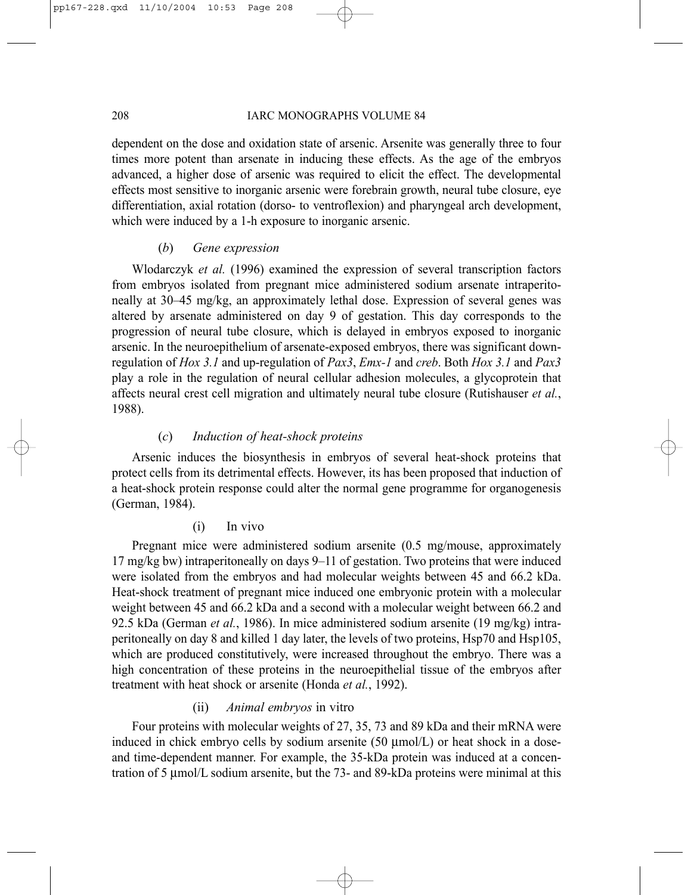#### 208 IARC MONOGRAPHS VOLUME 84

dependent on the dose and oxidation state of arsenic. Arsenite was generally three to four times more potent than arsenate in inducing these effects. As the age of the embryos advanced, a higher dose of arsenic was required to elicit the effect. The developmental effects most sensitive to inorganic arsenic were forebrain growth, neural tube closure, eye differentiation, axial rotation (dorso- to ventroflexion) and pharyngeal arch development, which were induced by a 1-h exposure to inorganic arsenic.

## (*b*) *Gene expression*

Wlodarczyk *et al.* (1996) examined the expression of several transcription factors from embryos isolated from pregnant mice administered sodium arsenate intraperitoneally at 30–45 mg/kg, an approximately lethal dose. Expression of several genes was altered by arsenate administered on day 9 of gestation. This day corresponds to the progression of neural tube closure, which is delayed in embryos exposed to inorganic arsenic. In the neuroepithelium of arsenate-exposed embryos, there was significant downregulation of *Hox 3.1* and up-regulation of *Pax3*, *Emx-1* and *creb*. Both *Hox 3.1* and *Pax3* play a role in the regulation of neural cellular adhesion molecules, a glycoprotein that affects neural crest cell migration and ultimately neural tube closure (Rutishauser *et al.*, 1988).

## (*c*) *Induction of heat-shock proteins*

Arsenic induces the biosynthesis in embryos of several heat-shock proteins that protect cells from its detrimental effects. However, its has been proposed that induction of a heat-shock protein response could alter the normal gene programme for organogenesis (German, 1984).

## (i) In vivo

Pregnant mice were administered sodium arsenite (0.5 mg/mouse, approximately 17 mg/kg bw) intraperitoneally on days 9–11 of gestation. Two proteins that were induced were isolated from the embryos and had molecular weights between 45 and 66.2 kDa. Heat-shock treatment of pregnant mice induced one embryonic protein with a molecular weight between 45 and 66.2 kDa and a second with a molecular weight between 66.2 and 92.5 kDa (German *et al.*, 1986). In mice administered sodium arsenite (19 mg/kg) intraperitoneally on day 8 and killed 1 day later, the levels of two proteins, Hsp70 and Hsp105, which are produced constitutively, were increased throughout the embryo. There was a high concentration of these proteins in the neuroepithelial tissue of the embryos after treatment with heat shock or arsenite (Honda *et al.*, 1992).

### (ii) *Animal embryos* in vitro

Four proteins with molecular weights of 27, 35, 73 and 89 kDa and their mRNA were induced in chick embryo cells by sodium arsenite  $(50 \text{ µmol/L})$  or heat shock in a doseand time-dependent manner. For example, the 35-kDa protein was induced at a concentration of 5 µmol/L sodium arsenite, but the 73- and 89-kDa proteins were minimal at this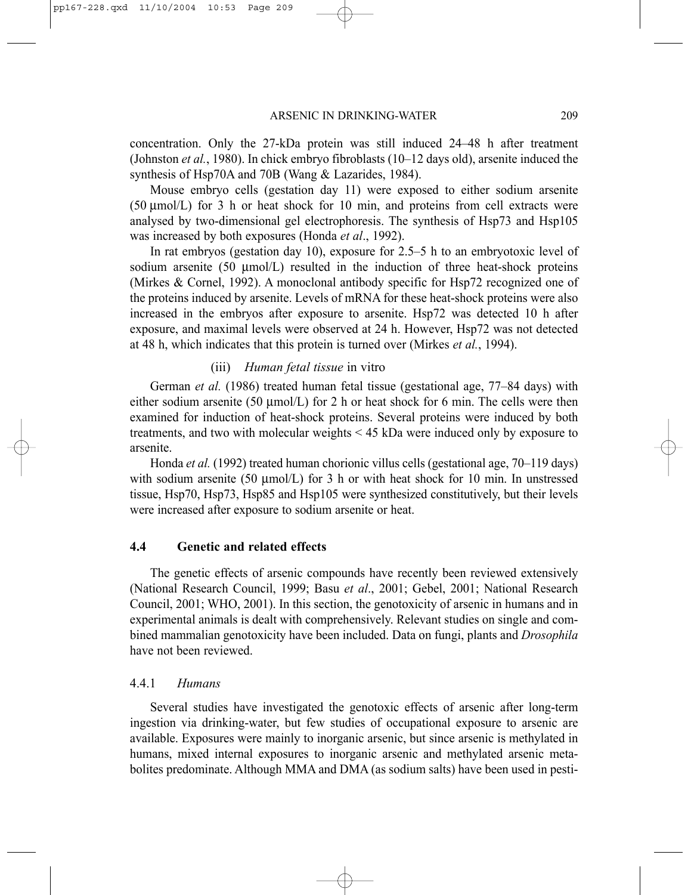concentration. Only the 27-kDa protein was still induced 24–48 h after treatment (Johnston *et al.*, 1980). In chick embryo fibroblasts (10–12 days old), arsenite induced the synthesis of Hsp70A and 70B (Wang & Lazarides, 1984).

Mouse embryo cells (gestation day 11) were exposed to either sodium arsenite (50 µmol/L) for 3 h or heat shock for 10 min, and proteins from cell extracts were analysed by two-dimensional gel electrophoresis. The synthesis of Hsp73 and Hsp105 was increased by both exposures (Honda *et al*., 1992).

In rat embryos (gestation day 10), exposure for 2.5–5 h to an embryotoxic level of sodium arsenite  $(50 \text{ µmol/L})$  resulted in the induction of three heat-shock proteins (Mirkes & Cornel, 1992). A monoclonal antibody specific for Hsp72 recognized one of the proteins induced by arsenite. Levels of mRNA for these heat-shock proteins were also increased in the embryos after exposure to arsenite. Hsp72 was detected 10 h after exposure, and maximal levels were observed at 24 h. However, Hsp72 was not detected at 48 h, which indicates that this protein is turned over (Mirkes *et al.*, 1994).

### (iii) *Human fetal tissue* in vitro

German *et al.* (1986) treated human fetal tissue (gestational age, 77–84 days) with either sodium arsenite (50  $\mu$ mol/L) for 2 h or heat shock for 6 min. The cells were then examined for induction of heat-shock proteins. Several proteins were induced by both treatments, and two with molecular weights < 45 kDa were induced only by exposure to arsenite.

Honda *et al.* (1992) treated human chorionic villus cells (gestational age, 70–119 days) with sodium arsenite (50  $\mu$ mol/L) for 3 h or with heat shock for 10 min. In unstressed tissue, Hsp70, Hsp73, Hsp85 and Hsp105 were synthesized constitutively, but their levels were increased after exposure to sodium arsenite or heat.

#### **4.4 Genetic and related effects**

The genetic effects of arsenic compounds have recently been reviewed extensively (National Research Council, 1999; Basu *et al*., 2001; Gebel, 2001; National Research Council, 2001; WHO, 2001). In this section, the genotoxicity of arsenic in humans and in experimental animals is dealt with comprehensively. Relevant studies on single and combined mammalian genotoxicity have been included. Data on fungi, plants and *Drosophila* have not been reviewed.

## 4.4.1 *Humans*

Several studies have investigated the genotoxic effects of arsenic after long-term ingestion via drinking-water, but few studies of occupational exposure to arsenic are available. Exposures were mainly to inorganic arsenic, but since arsenic is methylated in humans, mixed internal exposures to inorganic arsenic and methylated arsenic metabolites predominate. Although MMA and DMA (as sodium salts) have been used in pesti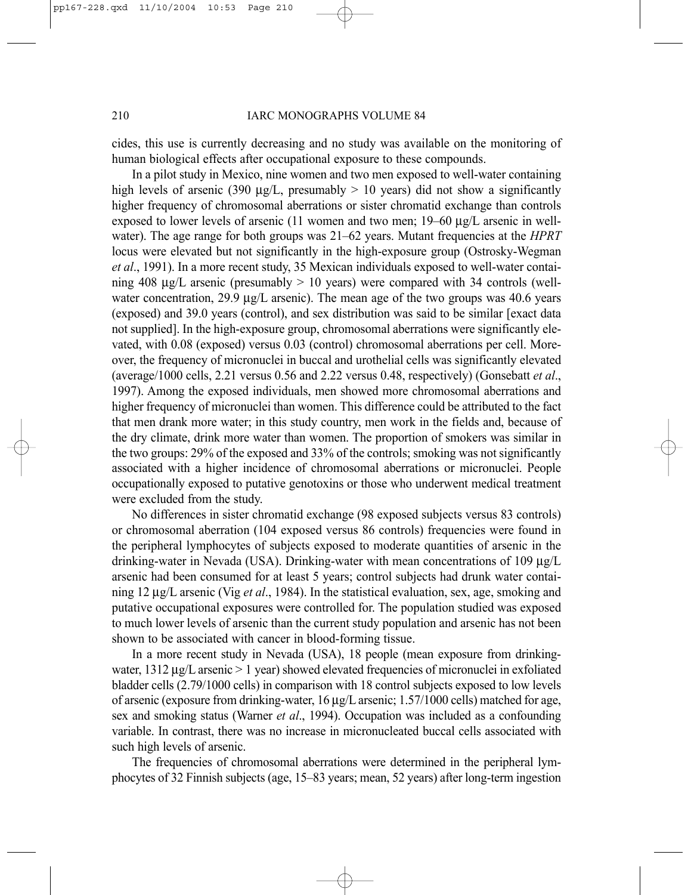cides, this use is currently decreasing and no study was available on the monitoring of human biological effects after occupational exposure to these compounds.

In a pilot study in Mexico, nine women and two men exposed to well-water containing high levels of arsenic (390  $\mu$ g/L, presumably  $> 10$  years) did not show a significantly higher frequency of chromosomal aberrations or sister chromatid exchange than controls exposed to lower levels of arsenic (11 women and two men; 19–60 µg/L arsenic in wellwater). The age range for both groups was 21–62 years. Mutant frequencies at the *HPRT* locus were elevated but not significantly in the high-exposure group (Ostrosky-Wegman *et al*., 1991). In a more recent study, 35 Mexican individuals exposed to well-water containing 408  $\mu$ g/L arsenic (presumably  $> 10$  years) were compared with 34 controls (wellwater concentration, 29.9 µg/L arsenic). The mean age of the two groups was 40.6 years (exposed) and 39.0 years (control), and sex distribution was said to be similar [exact data not supplied]. In the high-exposure group, chromosomal aberrations were significantly elevated, with 0.08 (exposed) versus 0.03 (control) chromosomal aberrations per cell. Moreover, the frequency of micronuclei in buccal and urothelial cells was significantly elevated (average/1000 cells, 2.21 versus 0.56 and 2.22 versus 0.48, respectively) (Gonsebatt *et al*., 1997). Among the exposed individuals, men showed more chromosomal aberrations and higher frequency of micronuclei than women. This difference could be attributed to the fact that men drank more water; in this study country, men work in the fields and, because of the dry climate, drink more water than women. The proportion of smokers was similar in the two groups: 29% of the exposed and 33% of the controls; smoking was not significantly associated with a higher incidence of chromosomal aberrations or micronuclei. People occupationally exposed to putative genotoxins or those who underwent medical treatment were excluded from the study.

No differences in sister chromatid exchange (98 exposed subjects versus 83 controls) or chromosomal aberration (104 exposed versus 86 controls) frequencies were found in the peripheral lymphocytes of subjects exposed to moderate quantities of arsenic in the drinking-water in Nevada (USA). Drinking-water with mean concentrations of 109 µg/L arsenic had been consumed for at least 5 years; control subjects had drunk water containing 12 µg/L arsenic (Vig *et al*., 1984). In the statistical evaluation, sex, age, smoking and putative occupational exposures were controlled for. The population studied was exposed to much lower levels of arsenic than the current study population and arsenic has not been shown to be associated with cancer in blood-forming tissue.

In a more recent study in Nevada (USA), 18 people (mean exposure from drinkingwater,  $1312 \mu g/L$  arsenic  $> 1$  year) showed elevated frequencies of micronuclei in exfoliated bladder cells (2.79/1000 cells) in comparison with 18 control subjects exposed to low levels of arsenic (exposure from drinking-water, 16 µg/L arsenic; 1.57/1000 cells) matched for age, sex and smoking status (Warner *et al*., 1994). Occupation was included as a confounding variable. In contrast, there was no increase in micronucleated buccal cells associated with such high levels of arsenic.

The frequencies of chromosomal aberrations were determined in the peripheral lymphocytes of 32 Finnish subjects (age, 15–83 years; mean, 52 years) after long-term ingestion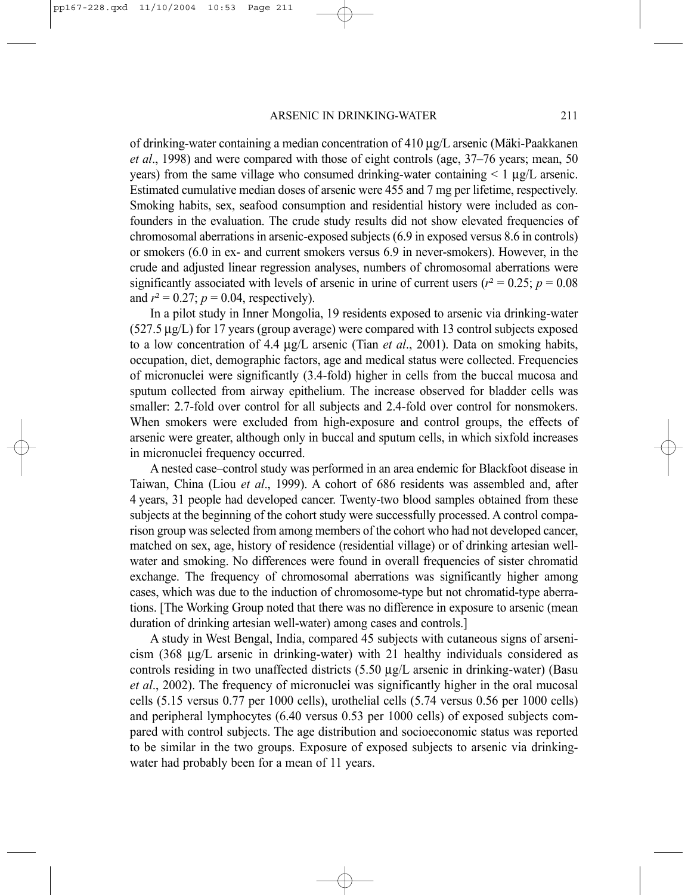of drinking-water containing a median concentration of  $410 \mu g/L$  arsenic (Mäki-Paakkanen *et al*., 1998) and were compared with those of eight controls (age, 37–76 years; mean, 50 years) from the same village who consumed drinking-water containing  $\lt 1 \mu g/L$  arsenic. Estimated cumulative median doses of arsenic were 455 and 7 mg per lifetime, respectively. Smoking habits, sex, seafood consumption and residential history were included as confounders in the evaluation. The crude study results did not show elevated frequencies of chromosomal aberrations in arsenic-exposed subjects (6.9 in exposed versus 8.6 in controls) or smokers (6.0 in ex- and current smokers versus 6.9 in never-smokers). However, in the crude and adjusted linear regression analyses, numbers of chromosomal aberrations were significantly associated with levels of arsenic in urine of current users ( $r^2 = 0.25$ ;  $p = 0.08$ ) and  $r^2 = 0.27$ ;  $p = 0.04$ , respectively).

In a pilot study in Inner Mongolia, 19 residents exposed to arsenic via drinking-water (527.5 µg/L) for 17 years (group average) were compared with 13 control subjects exposed to a low concentration of 4.4 µg/L arsenic (Tian *et al*., 2001). Data on smoking habits, occupation, diet, demographic factors, age and medical status were collected. Frequencies of micronuclei were significantly (3.4-fold) higher in cells from the buccal mucosa and sputum collected from airway epithelium. The increase observed for bladder cells was smaller: 2.7-fold over control for all subjects and 2.4-fold over control for nonsmokers. When smokers were excluded from high-exposure and control groups, the effects of arsenic were greater, although only in buccal and sputum cells, in which sixfold increases in micronuclei frequency occurred.

A nested case–control study was performed in an area endemic for Blackfoot disease in Taiwan, China (Liou *et al*., 1999). A cohort of 686 residents was assembled and, after 4 years, 31 people had developed cancer. Twenty-two blood samples obtained from these subjects at the beginning of the cohort study were successfully processed. A control comparison group was selected from among members of the cohort who had not developed cancer, matched on sex, age, history of residence (residential village) or of drinking artesian wellwater and smoking. No differences were found in overall frequencies of sister chromatid exchange. The frequency of chromosomal aberrations was significantly higher among cases, which was due to the induction of chromosome-type but not chromatid-type aberrations. [The Working Group noted that there was no difference in exposure to arsenic (mean duration of drinking artesian well-water) among cases and controls.]

A study in West Bengal, India, compared 45 subjects with cutaneous signs of arsenicism (368 µg/L arsenic in drinking-water) with 21 healthy individuals considered as controls residing in two unaffected districts (5.50 µg/L arsenic in drinking-water) (Basu *et al*., 2002). The frequency of micronuclei was significantly higher in the oral mucosal cells (5.15 versus 0.77 per 1000 cells), urothelial cells (5.74 versus 0.56 per 1000 cells) and peripheral lymphocytes (6.40 versus 0.53 per 1000 cells) of exposed subjects compared with control subjects. The age distribution and socioeconomic status was reported to be similar in the two groups. Exposure of exposed subjects to arsenic via drinkingwater had probably been for a mean of 11 years.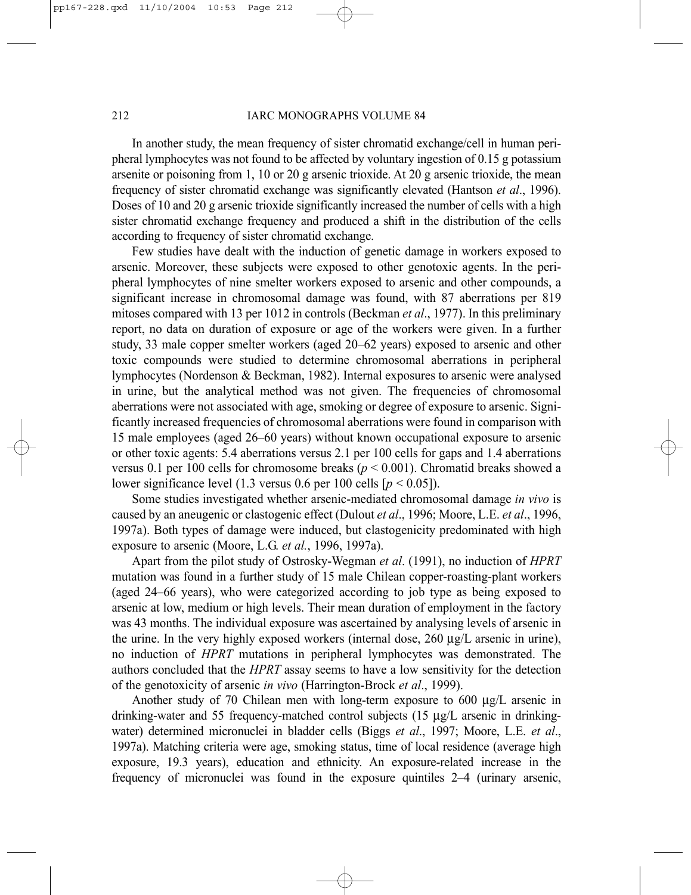#### 212 **IARC MONOGRAPHS VOLUME 84**

In another study, the mean frequency of sister chromatid exchange/cell in human peripheral lymphocytes was not found to be affected by voluntary ingestion of 0.15 g potassium arsenite or poisoning from 1, 10 or 20 g arsenic trioxide. At 20 g arsenic trioxide, the mean frequency of sister chromatid exchange was significantly elevated (Hantson *et al*., 1996). Doses of 10 and 20 g arsenic trioxide significantly increased the number of cells with a high sister chromatid exchange frequency and produced a shift in the distribution of the cells according to frequency of sister chromatid exchange.

Few studies have dealt with the induction of genetic damage in workers exposed to arsenic. Moreover, these subjects were exposed to other genotoxic agents. In the peripheral lymphocytes of nine smelter workers exposed to arsenic and other compounds, a significant increase in chromosomal damage was found, with 87 aberrations per 819 mitoses compared with 13 per 1012 in controls (Beckman *et al*., 1977). In this preliminary report, no data on duration of exposure or age of the workers were given. In a further study, 33 male copper smelter workers (aged 20–62 years) exposed to arsenic and other toxic compounds were studied to determine chromosomal aberrations in peripheral lymphocytes (Nordenson & Beckman, 1982). Internal exposures to arsenic were analysed in urine, but the analytical method was not given. The frequencies of chromosomal aberrations were not associated with age, smoking or degree of exposure to arsenic. Significantly increased frequencies of chromosomal aberrations were found in comparison with 15 male employees (aged 26–60 years) without known occupational exposure to arsenic or other toxic agents: 5.4 aberrations versus 2.1 per 100 cells for gaps and 1.4 aberrations versus 0.1 per 100 cells for chromosome breaks  $(p < 0.001)$ . Chromatid breaks showed a lower significance level (1.3 versus 0.6 per 100 cells  $[p < 0.05]$ ).

Some studies investigated whether arsenic-mediated chromosomal damage *in vivo* is caused by an aneugenic or clastogenic effect (Dulout *et al*., 1996; Moore, L.E. *et al*., 1996, 1997a). Both types of damage were induced, but clastogenicity predominated with high exposure to arsenic (Moore, L.G. *et al.*, 1996, 1997a).

Apart from the pilot study of Ostrosky-Wegman *et al*. (1991), no induction of *HPRT* mutation was found in a further study of 15 male Chilean copper-roasting-plant workers (aged 24–66 years), who were categorized according to job type as being exposed to arsenic at low, medium or high levels. Their mean duration of employment in the factory was 43 months. The individual exposure was ascertained by analysing levels of arsenic in the urine. In the very highly exposed workers (internal dose, 260 µg/L arsenic in urine), no induction of *HPRT* mutations in peripheral lymphocytes was demonstrated. The authors concluded that the *HPRT* assay seems to have a low sensitivity for the detection of the genotoxicity of arsenic *in vivo* (Harrington-Brock *et al*., 1999).

Another study of 70 Chilean men with long-term exposure to 600  $\mu$ g/L arsenic in drinking-water and 55 frequency-matched control subjects (15 µg/L arsenic in drinkingwater) determined micronuclei in bladder cells (Biggs *et al*., 1997; Moore, L.E. *et al*., 1997a). Matching criteria were age, smoking status, time of local residence (average high exposure, 19.3 years), education and ethnicity. An exposure-related increase in the frequency of micronuclei was found in the exposure quintiles 2–4 (urinary arsenic,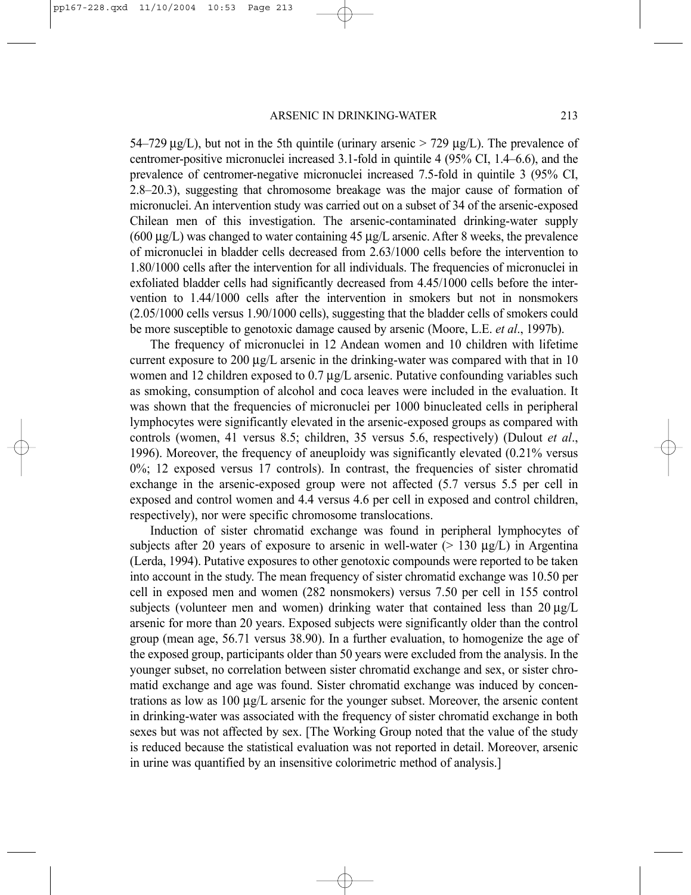54–729  $\mu$ g/L), but not in the 5th quintile (urinary arsenic  $>$  729  $\mu$ g/L). The prevalence of centromer-positive micronuclei increased 3.1-fold in quintile 4 (95% CI, 1.4–6.6), and the prevalence of centromer-negative micronuclei increased 7.5-fold in quintile 3 (95% CI, 2.8–20.3), suggesting that chromosome breakage was the major cause of formation of micronuclei. An intervention study was carried out on a subset of 34 of the arsenic-exposed Chilean men of this investigation. The arsenic-contaminated drinking-water supply  $(600 \mu g/L)$  was changed to water containing 45  $\mu g/L$  arsenic. After 8 weeks, the prevalence of micronuclei in bladder cells decreased from 2.63/1000 cells before the intervention to 1.80/1000 cells after the intervention for all individuals. The frequencies of micronuclei in exfoliated bladder cells had significantly decreased from 4.45/1000 cells before the intervention to 1.44/1000 cells after the intervention in smokers but not in nonsmokers (2.05/1000 cells versus 1.90/1000 cells), suggesting that the bladder cells of smokers could be more susceptible to genotoxic damage caused by arsenic (Moore, L.E. *et al*., 1997b).

The frequency of micronuclei in 12 Andean women and 10 children with lifetime current exposure to 200  $\mu$ g/L arsenic in the drinking-water was compared with that in 10 women and 12 children exposed to  $0.7 \mu g/L$  arsenic. Putative confounding variables such as smoking, consumption of alcohol and coca leaves were included in the evaluation. It was shown that the frequencies of micronuclei per 1000 binucleated cells in peripheral lymphocytes were significantly elevated in the arsenic-exposed groups as compared with controls (women, 41 versus 8.5; children, 35 versus 5.6, respectively) (Dulout *et al*., 1996). Moreover, the frequency of aneuploidy was significantly elevated (0.21% versus 0%; 12 exposed versus 17 controls). In contrast, the frequencies of sister chromatid exchange in the arsenic-exposed group were not affected (5.7 versus 5.5 per cell in exposed and control women and 4.4 versus 4.6 per cell in exposed and control children, respectively), nor were specific chromosome translocations.

Induction of sister chromatid exchange was found in peripheral lymphocytes of subjects after 20 years of exposure to arsenic in well-water ( $> 130 \mu g/L$ ) in Argentina (Lerda, 1994). Putative exposures to other genotoxic compounds were reported to be taken into account in the study. The mean frequency of sister chromatid exchange was 10.50 per cell in exposed men and women (282 nonsmokers) versus 7.50 per cell in 155 control subjects (volunteer men and women) drinking water that contained less than  $20 \mu g/L$ arsenic for more than 20 years. Exposed subjects were significantly older than the control group (mean age, 56.71 versus 38.90). In a further evaluation, to homogenize the age of the exposed group, participants older than 50 years were excluded from the analysis. In the younger subset, no correlation between sister chromatid exchange and sex, or sister chromatid exchange and age was found. Sister chromatid exchange was induced by concentrations as low as  $100 \mu g/L$  arsenic for the younger subset. Moreover, the arsenic content in drinking-water was associated with the frequency of sister chromatid exchange in both sexes but was not affected by sex. [The Working Group noted that the value of the study is reduced because the statistical evaluation was not reported in detail. Moreover, arsenic in urine was quantified by an insensitive colorimetric method of analysis.]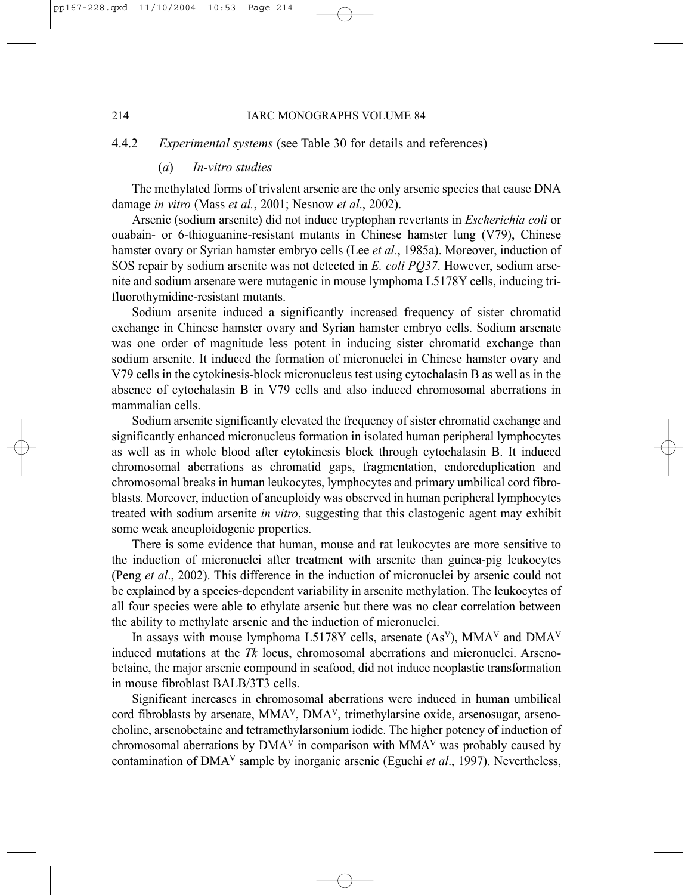## 4.4.2 *Experimental systems* (see Table 30 for details and references)

#### (*a*) *In-vitro studies*

The methylated forms of trivalent arsenic are the only arsenic species that cause DNA damage *in vitro* (Mass *et al.*, 2001; Nesnow *et al*., 2002).

Arsenic (sodium arsenite) did not induce tryptophan revertants in *Escherichia coli* or ouabain- or 6-thioguanine-resistant mutants in Chinese hamster lung (V79), Chinese hamster ovary or Syrian hamster embryo cells (Lee *et al.*, 1985a). Moreover, induction of SOS repair by sodium arsenite was not detected in *E. coli PQ37*. However, sodium arsenite and sodium arsenate were mutagenic in mouse lymphoma L5178Y cells, inducing trifluorothymidine-resistant mutants.

Sodium arsenite induced a significantly increased frequency of sister chromatid exchange in Chinese hamster ovary and Syrian hamster embryo cells. Sodium arsenate was one order of magnitude less potent in inducing sister chromatid exchange than sodium arsenite. It induced the formation of micronuclei in Chinese hamster ovary and V79 cells in the cytokinesis-block micronucleus test using cytochalasin B as well as in the absence of cytochalasin B in V79 cells and also induced chromosomal aberrations in mammalian cells.

Sodium arsenite significantly elevated the frequency of sister chromatid exchange and significantly enhanced micronucleus formation in isolated human peripheral lymphocytes as well as in whole blood after cytokinesis block through cytochalasin B. It induced chromosomal aberrations as chromatid gaps, fragmentation, endoreduplication and chromosomal breaks in human leukocytes, lymphocytes and primary umbilical cord fibroblasts. Moreover, induction of aneuploidy was observed in human peripheral lymphocytes treated with sodium arsenite *in vitro*, suggesting that this clastogenic agent may exhibit some weak aneuploidogenic properties.

There is some evidence that human, mouse and rat leukocytes are more sensitive to the induction of micronuclei after treatment with arsenite than guinea-pig leukocytes (Peng *et al*., 2002). This difference in the induction of micronuclei by arsenic could not be explained by a species-dependent variability in arsenite methylation. The leukocytes of all four species were able to ethylate arsenic but there was no clear correlation between the ability to methylate arsenic and the induction of micronuclei.

In assays with mouse lymphoma L5178Y cells, arsenate  $(As<sup>V</sup>)$ , MMA<sup>V</sup> and DMA<sup>V</sup> induced mutations at the *Tk* locus, chromosomal aberrations and micronuclei. Arsenobetaine, the major arsenic compound in seafood, did not induce neoplastic transformation in mouse fibroblast BALB/3T3 cells.

Significant increases in chromosomal aberrations were induced in human umbilical cord fibroblasts by arsenate, MMAV, DMAV, trimethylarsine oxide, arsenosugar, arsenocholine, arsenobetaine and tetramethylarsonium iodide. The higher potency of induction of chromosomal aberrations by  $DMA<sup>V</sup>$  in comparison with  $MMA<sup>V</sup>$  was probably caused by contamination of DMAV sample by inorganic arsenic (Eguchi *et al*., 1997). Nevertheless,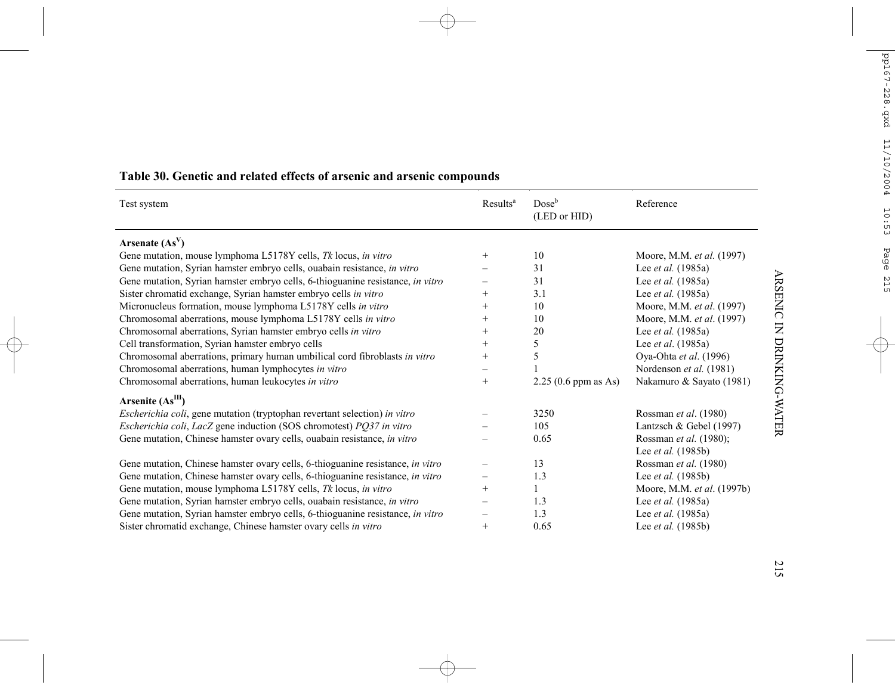| Test system                                                                    | Results <sup>a</sup> | Dose <sup>b</sup><br>(LED or HID) | Reference                  |
|--------------------------------------------------------------------------------|----------------------|-----------------------------------|----------------------------|
| Arsenate $(AsV)$                                                               |                      |                                   |                            |
| Gene mutation, mouse lymphoma L5178Y cells, Tk locus, in vitro                 | $^{+}$               | 10                                | Moore, M.M. et al. (1997)  |
| Gene mutation, Syrian hamster embryo cells, ouabain resistance, in vitro       |                      | 31                                | Lee <i>et al.</i> (1985a)  |
| Gene mutation, Syrian hamster embryo cells, 6-thioguanine resistance, in vitro |                      | 31                                | Lee <i>et al.</i> (1985a)  |
| Sister chromatid exchange, Syrian hamster embryo cells in vitro                | $^{+}$               | 3.1                               | Lee <i>et al.</i> (1985a)  |
| Micronucleus formation, mouse lymphoma L5178Y cells in vitro                   | $^{+}$               | 10                                | Moore, M.M. et al. (1997)  |
| Chromosomal aberrations, mouse lymphoma L5178Y cells in vitro                  | $^{+}$               | 10                                | Moore, M.M. et al. (1997)  |
| Chromosomal aberrations, Syrian hamster embryo cells in vitro                  | $^{+}$               | 20                                | Lee <i>et al.</i> (1985a)  |
| Cell transformation, Syrian hamster embryo cells                               | $^{+}$               | 5                                 | Lee <i>et al.</i> (1985a)  |
| Chromosomal aberrations, primary human umbilical cord fibroblasts in vitro     | $^{+}$               | 5                                 | Oya-Ohta et al. (1996)     |
| Chromosomal aberrations, human lymphocytes in vitro                            |                      |                                   | Nordenson et al. (1981)    |
| Chromosomal aberrations, human leukocytes in vitro                             | $+$                  | $2.25(0.6$ ppm as As)             | Nakamuro & Sayato (1981)   |
| Arsenite $(AsIII)$                                                             |                      |                                   |                            |
| Escherichia coli, gene mutation (tryptophan revertant selection) in vitro      |                      | 3250                              | Rossman et al. (1980)      |
| Escherichia coli, LacZ gene induction (SOS chromotest) PQ37 in vitro           |                      | 105                               | Lantzsch & Gebel (1997)    |
| Gene mutation, Chinese hamster ovary cells, ouabain resistance, in vitro       |                      | 0.65                              | Rossman et al. (1980);     |
|                                                                                |                      |                                   | Lee <i>et al.</i> (1985b)  |
| Gene mutation, Chinese hamster ovary cells, 6-thioguanine resistance, in vitro |                      | 13                                | Rossman et al. (1980)      |
| Gene mutation, Chinese hamster ovary cells, 6-thioguanine resistance, in vitro |                      | 1.3                               | Lee <i>et al.</i> (1985b)  |
| Gene mutation, mouse lymphoma L5178Y cells, Tk locus, in vitro                 | $^{+}$               |                                   | Moore, M.M. et al. (1997b) |
| Gene mutation, Syrian hamster embryo cells, ouabain resistance, in vitro       |                      | 1.3                               | Lee <i>et al.</i> (1985a)  |
| Gene mutation, Syrian hamster embryo cells, 6-thioguanine resistance, in vitro |                      | 1.3                               | Lee <i>et al.</i> (1985a)  |
| Sister chromatid exchange, Chinese hamster ovary cells in vitro                | $^{+}$               | 0.65                              | Lee et al. (1985b)         |

# **Table 30. Genetic and related effects of arsenic and arsenic compounds**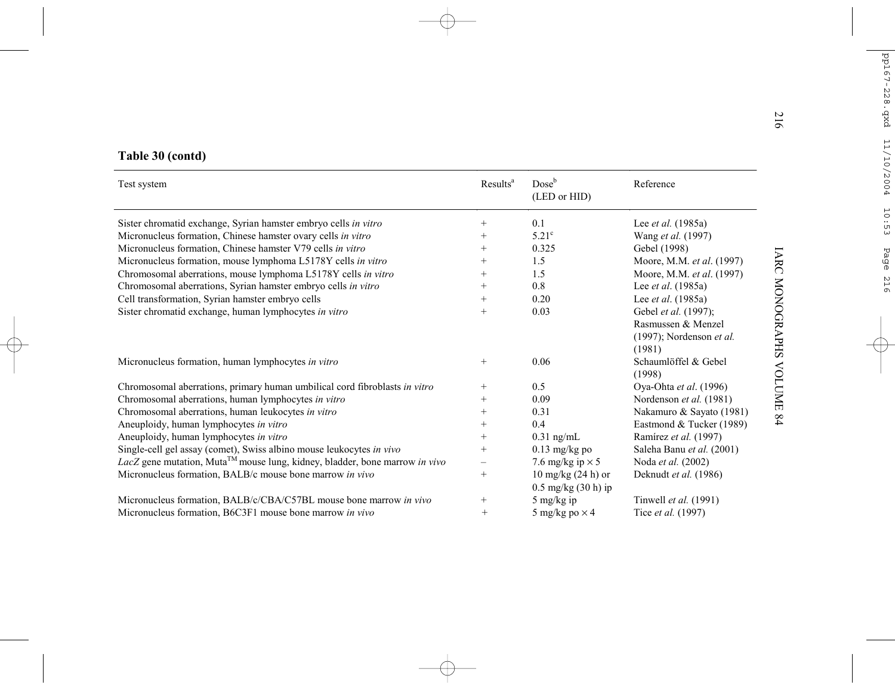|                                                                                         |                      |                                                         |                                                                                  | 216                    |
|-----------------------------------------------------------------------------------------|----------------------|---------------------------------------------------------|----------------------------------------------------------------------------------|------------------------|
| Table 30 (contd)                                                                        |                      |                                                         |                                                                                  |                        |
| Test system                                                                             | Results <sup>a</sup> | Dose <sup>b</sup><br>(LED or HID)                       | Reference                                                                        |                        |
| Sister chromatid exchange, Syrian hamster embryo cells in vitro                         | $^{+}$               | 0.1                                                     | Lee <i>et al.</i> $(1985a)$                                                      |                        |
| Micronucleus formation, Chinese hamster ovary cells in vitro                            | $^{+}$               | $5.21^{\circ}$                                          | Wang et al. (1997)                                                               |                        |
| Micronucleus formation, Chinese hamster V79 cells in vitro                              | $+$                  | 0.325                                                   | Gebel (1998)                                                                     |                        |
| Micronucleus formation, mouse lymphoma L5178Y cells in vitro                            | $^{+}$               | 1.5                                                     | Moore, M.M. et al. (1997)                                                        |                        |
| Chromosomal aberrations, mouse lymphoma L5178Y cells in vitro                           | $^{+}$               | 1.5                                                     | Moore, M.M. et al. (1997)                                                        |                        |
| Chromosomal aberrations, Syrian hamster embryo cells in vitro                           | $^{+}$               | 0.8                                                     | Lee et al. (1985a)                                                               |                        |
| Cell transformation, Syrian hamster embryo cells                                        | $^{+}$               | 0.20                                                    | Lee <i>et al.</i> (1985a)                                                        |                        |
| Sister chromatid exchange, human lymphocytes in vitro                                   | $^{+}$               | 0.03                                                    | Gebel et al. (1997);<br>Rasmussen & Menzel<br>(1997); Nordenson et al.<br>(1981) | <b>IARC MONOGRAPHS</b> |
| Micronucleus formation, human lymphocytes in vitro                                      | $+$                  | 0.06                                                    | Schaumlöffel & Gebel<br>(1998)                                                   | <b>VOLUME</b>          |
| Chromosomal aberrations, primary human umbilical cord fibroblasts in vitro              | $^{+}$               | 0.5                                                     | Oya-Ohta et al. (1996)                                                           |                        |
| Chromosomal aberrations, human lymphocytes in vitro                                     | $^{+}$               | 0.09                                                    | Nordenson et al. (1981)                                                          |                        |
| Chromosomal aberrations, human leukocytes in vitro                                      | $+$                  | 0.31                                                    | Nakamuro & Sayato (1981)                                                         | 84                     |
| Aneuploidy, human lymphocytes in vitro                                                  | $^{+}$               | 0.4                                                     | Eastmond & Tucker (1989)                                                         |                        |
| Aneuploidy, human lymphocytes in vitro                                                  | $^{+}$               | $0.31$ ng/mL                                            | Ramírez et al. (1997)                                                            |                        |
| Single-cell gel assay (comet), Swiss albino mouse leukocytes in vivo                    | $+$                  | $0.13$ mg/kg po                                         | Saleha Banu et al. (2001)                                                        |                        |
| LacZ gene mutation, Muta <sup>TM</sup> mouse lung, kidney, bladder, bone marrow in vivo |                      | 7.6 mg/kg ip $\times$ 5                                 | Noda et al. (2002)                                                               |                        |
| Micronucleus formation, BALB/c mouse bone marrow in vivo                                | $^{+}$               | $10$ mg/kg $(24 h)$ or<br>$0.5 \text{ mg/kg}$ (30 h) ip | Deknudt et al. (1986)                                                            |                        |
| Micronucleus formation, BALB/c/CBA/C57BL mouse bone marrow in vivo                      | $^{+}$               | 5 mg/kg ip                                              | Tinwell et al. (1991)                                                            |                        |
| Micronucleus formation, B6C3F1 mouse bone marrow in vivo                                | $^{+}$               | 5 mg/kg po $\times$ 4                                   | Tice et al. (1997)                                                               |                        |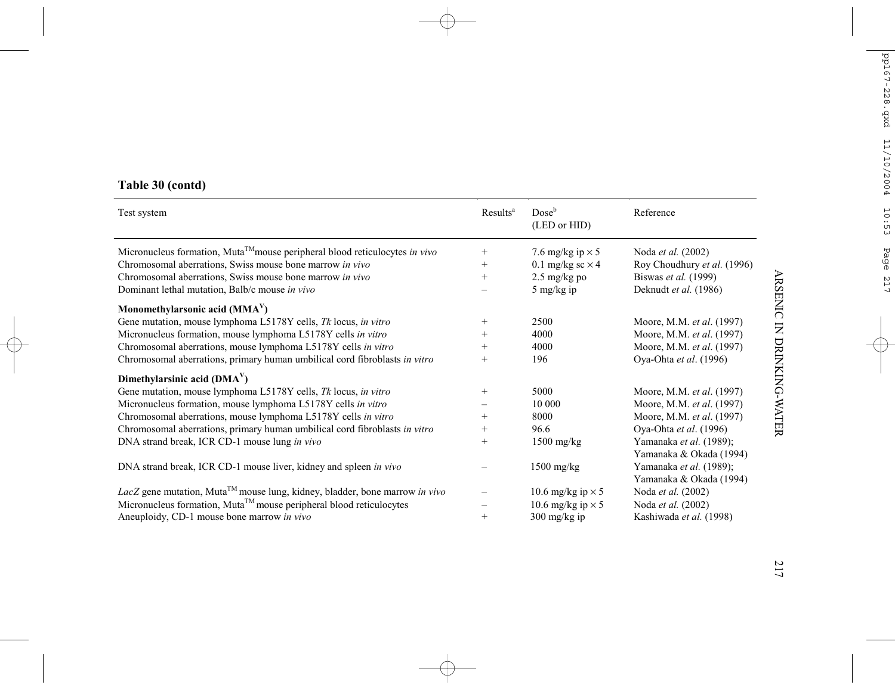| Test system                                                                             | Results <sup>a</sup> | $Dose^b$<br>(LED or HID) | Reference                   |
|-----------------------------------------------------------------------------------------|----------------------|--------------------------|-----------------------------|
| Micronucleus formation, Muta <sup>TM</sup> mouse peripheral blood reticulocytes in vivo | $^{+}$               | 7.6 mg/kg ip $\times$ 5  | Noda et al. (2002)          |
| Chromosomal aberrations, Swiss mouse bone marrow in vivo                                | $+$                  | 0.1 mg/kg sc $\times$ 4  | Roy Choudhury et al. (1996) |
| Chromosomal aberrations, Swiss mouse bone marrow in vivo                                | $^{+}$               | $2.5 \text{ mg/kg}$ po   | Biswas et al. (1999)        |
| Dominant lethal mutation, Balb/c mouse in vivo                                          |                      | $5 \text{ mg/kg}$ ip     | Deknudt et al. (1986)       |
| Monomethylarsonic acid $(MMAV)$                                                         |                      |                          |                             |
| Gene mutation, mouse lymphoma L5178Y cells, Tk locus, in vitro                          | $^{+}$               | 2500                     | Moore, M.M. et al. (1997)   |
| Micronucleus formation, mouse lymphoma L5178Y cells in vitro                            | $^{+}$               | 4000                     | Moore, M.M. et al. (1997)   |
| Chromosomal aberrations, mouse lymphoma L5178Y cells in vitro                           | $^{+}$               | 4000                     | Moore, M.M. et al. (1997)   |
| Chromosomal aberrations, primary human umbilical cord fibroblasts in vitro              | $^{+}$               | 196                      | Oya-Ohta et al. (1996)      |
| Dimethylarsinic acid $(DMAV)$                                                           |                      |                          |                             |
| Gene mutation, mouse lymphoma L5178Y cells, Tk locus, in vitro                          | $^{+}$               | 5000                     | Moore, M.M. et al. (1997)   |
| Micronucleus formation, mouse lymphoma L5178Y cells in vitro                            |                      | 10 000                   | Moore, M.M. et al. (1997)   |
| Chromosomal aberrations, mouse lymphoma L5178Y cells in vitro                           | $^{+}$               | 8000                     | Moore, M.M. et al. (1997)   |
| Chromosomal aberrations, primary human umbilical cord fibroblasts in vitro              | $^{+}$               | 96.6                     | Oya-Ohta et al. (1996)      |
| DNA strand break, ICR CD-1 mouse lung in vivo                                           | $+$                  | $1500$ mg/kg             | Yamanaka et al. (1989);     |
|                                                                                         |                      |                          | Yamanaka & Okada (1994)     |
| DNA strand break, ICR CD-1 mouse liver, kidney and spleen in vivo                       |                      | $1500$ mg/kg             | Yamanaka et al. (1989);     |
|                                                                                         |                      |                          | Yamanaka & Okada (1994)     |
| LacZ gene mutation, Muta <sup>TM</sup> mouse lung, kidney, bladder, bone marrow in vivo |                      | 10.6 mg/kg ip $\times$ 5 | Noda <i>et al.</i> (2002)   |
| Micronucleus formation, Muta <sup>TM</sup> mouse peripheral blood reticulocytes         |                      | 10.6 mg/kg ip $\times$ 5 | Noda et al. (2002)          |
| Aneuploidy, CD-1 mouse bone marrow in vivo                                              | $^{+}$               | $300 \text{ mg/kg}$ ip   | Kashiwada et al. (1998)     |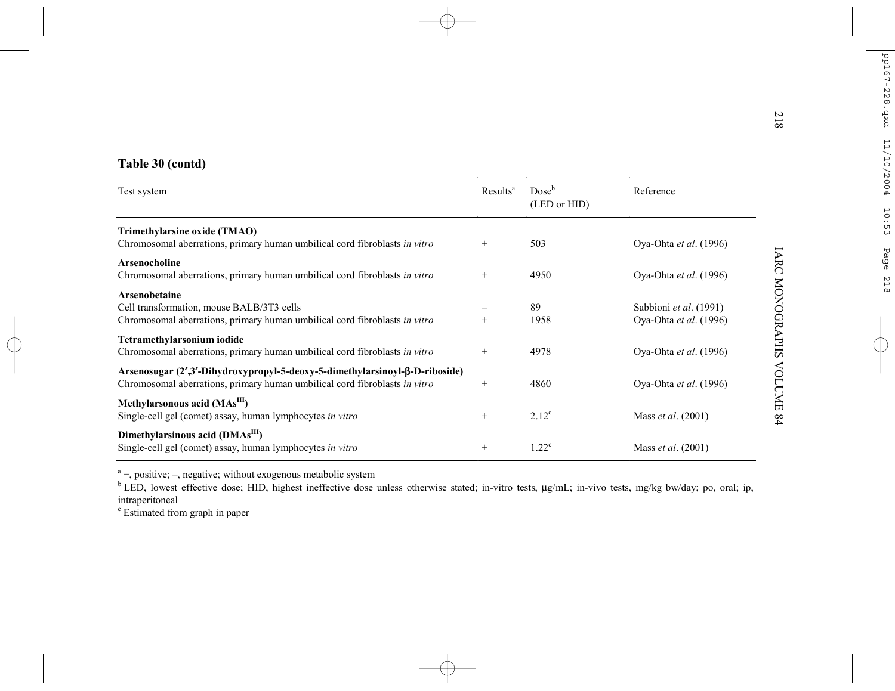|                                                                                                                                                           |                      |                          |                                                  | N<br>$\overline{8}$    |
|-----------------------------------------------------------------------------------------------------------------------------------------------------------|----------------------|--------------------------|--------------------------------------------------|------------------------|
| Table 30 (contd)                                                                                                                                          |                      |                          |                                                  |                        |
| Test system                                                                                                                                               | Results <sup>a</sup> | $Dose^b$<br>(LED or HID) | Reference                                        |                        |
| Trimethylarsine oxide (TMAO)<br>Chromosomal aberrations, primary human umbilical cord fibroblasts in vitro                                                | $^{+}$               | 503                      | Oya-Ohta et al. (1996)                           |                        |
| <b>Arsenocholine</b><br>Chromosomal aberrations, primary human umbilical cord fibroblasts in vitro                                                        | $^{+}$               | 4950                     | Oya-Ohta et al. (1996)                           |                        |
| <b>Arsenobetaine</b><br>Cell transformation, mouse BALB/3T3 cells<br>Chromosomal aberrations, primary human umbilical cord fibroblasts in vitro           | $+$                  | 89<br>1958               | Sabbioni et al. (1991)<br>Oya-Ohta et al. (1996) | <b>LARC MONOGRAPHS</b> |
| Tetramethylarsonium iodide<br>Chromosomal aberrations, primary human umbilical cord fibroblasts in vitro                                                  | $^+$                 | 4978                     | Oya-Ohta et al. (1996)                           |                        |
| Arsenosugar (2',3'-Dihydroxypropyl-5-deoxy-5-dimethylarsinoyl-β-D-riboside)<br>Chromosomal aberrations, primary human umbilical cord fibroblasts in vitro | $^{+}$               | 4860                     | Oya-Ohta et al. (1996)                           | <b>NOLUME</b>          |
| Methylarsonous acid (MAs <sup>III</sup> )<br>Single-cell gel (comet) assay, human lymphocytes in vitro                                                    | $^{+}$               | $2.12^{\circ}$           | Mass et al. (2001)                               | 64                     |
| Dimethylarsinous acid (DMAs <sup>III</sup> )<br>Single-cell gel (comet) assay, human lymphocytes in vitro                                                 | $^{+}$               | $1.22^{\circ}$           | Mass et al. (2001)                               |                        |

<sup>a</sup> +, positive; –, negative; without exogenous metabolic system

<sup>b</sup> LED, lowest effective dose; HID, highest ineffective dose unless otherwise stated; in-vitro tests, µg/mL; in-vivo tests, mg/kg bw/day; po, oral; ip, intraperitoneal

c Estimated from graph in paper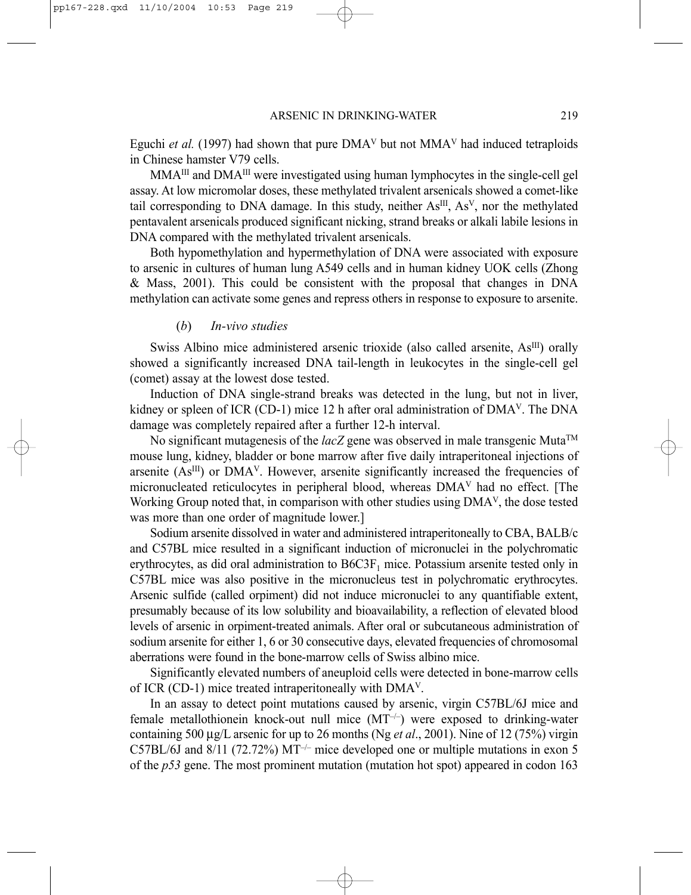Eguchi *et al.* (1997) had shown that pure  $DMA<sup>V</sup>$  but not  $MMA<sup>V</sup>$  had induced tetraploids in Chinese hamster V79 cells.

MMA<sup>III</sup> and DMA<sup>III</sup> were investigated using human lymphocytes in the single-cell gel assay. At low micromolar doses, these methylated trivalent arsenicals showed a comet-like tail corresponding to DNA damage. In this study, neither As<sup>III</sup>, As<sup>V</sup>, nor the methylated pentavalent arsenicals produced significant nicking, strand breaks or alkali labile lesions in DNA compared with the methylated trivalent arsenicals.

Both hypomethylation and hypermethylation of DNA were associated with exposure to arsenic in cultures of human lung A549 cells and in human kidney UOK cells (Zhong & Mass, 2001). This could be consistent with the proposal that changes in DNA methylation can activate some genes and repress others in response to exposure to arsenite.

#### (*b*) *In-vivo studies*

Swiss Albino mice administered arsenic trioxide (also called arsenite, As<sup>III</sup>) orally showed a significantly increased DNA tail-length in leukocytes in the single-cell gel (comet) assay at the lowest dose tested.

Induction of DNA single-strand breaks was detected in the lung, but not in liver, kidney or spleen of ICR (CD-1) mice 12 h after oral administration of DMAV. The DNA damage was completely repaired after a further 12-h interval.

No significant mutagenesis of the  $lacZ$  gene was observed in male transgenic Muta<sup>TM</sup> mouse lung, kidney, bladder or bone marrow after five daily intraperitoneal injections of arsenite  $(As<sup>III</sup>)$  or  $DMA<sup>V</sup>$ . However, arsenite significantly increased the frequencies of micronucleated reticulocytes in peripheral blood, whereas DMAV had no effect. [The Working Group noted that, in comparison with other studies using DMAV, the dose tested was more than one order of magnitude lower.]

Sodium arsenite dissolved in water and administered intraperitoneally to CBA, BALB/c and C57BL mice resulted in a significant induction of micronuclei in the polychromatic erythrocytes, as did oral administration to  $B6C3F<sub>1</sub>$  mice. Potassium arsenite tested only in C57BL mice was also positive in the micronucleus test in polychromatic erythrocytes. Arsenic sulfide (called orpiment) did not induce micronuclei to any quantifiable extent, presumably because of its low solubility and bioavailability, a reflection of elevated blood levels of arsenic in orpiment-treated animals. After oral or subcutaneous administration of sodium arsenite for either 1, 6 or 30 consecutive days, elevated frequencies of chromosomal aberrations were found in the bone-marrow cells of Swiss albino mice.

Significantly elevated numbers of aneuploid cells were detected in bone-marrow cells of ICR (CD-1) mice treated intraperitoneally with DMAV.

In an assay to detect point mutations caused by arsenic, virgin C57BL/6J mice and female metallothionein knock-out null mice  $(MT^{-/-})$  were exposed to drinking-water containing 500 µg/L arsenic for up to 26 months (Ng *et al*., 2001). Nine of 12 (75%) virgin C57BL/6J and  $8/11$  (72.72%) MT<sup>-/-</sup> mice developed one or multiple mutations in exon 5 of the *p53* gene. The most prominent mutation (mutation hot spot) appeared in codon 163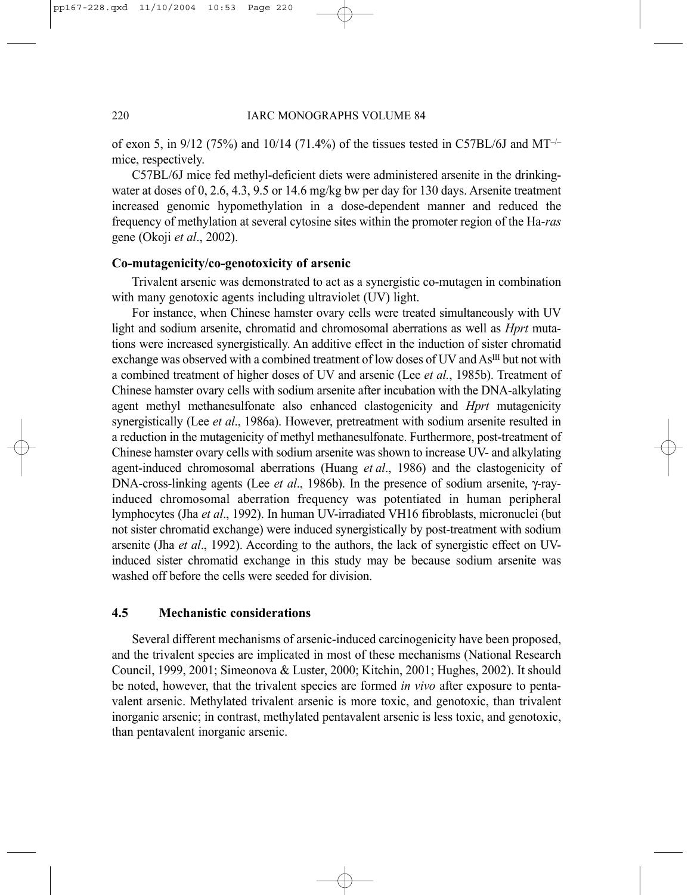of exon 5, in  $9/12$  (75%) and  $10/14$  (71.4%) of the tissues tested in C57BL/6J and MT<sup>-/–</sup> mice, respectively.

C57BL/6J mice fed methyl-deficient diets were administered arsenite in the drinkingwater at doses of 0, 2.6, 4.3, 9.5 or 14.6 mg/kg bw per day for 130 days. Arsenite treatment increased genomic hypomethylation in a dose-dependent manner and reduced the frequency of methylation at several cytosine sites within the promoter region of the Ha-*ras* gene (Okoji *et al*., 2002).

### **Co-mutagenicity/co-genotoxicity of arsenic**

Trivalent arsenic was demonstrated to act as a synergistic co-mutagen in combination with many genotoxic agents including ultraviolet *(UV)* light.

For instance, when Chinese hamster ovary cells were treated simultaneously with UV light and sodium arsenite, chromatid and chromosomal aberrations as well as *Hprt* mutations were increased synergistically. An additive effect in the induction of sister chromatid exchange was observed with a combined treatment of low doses of UV and As<sup>III</sup> but not with a combined treatment of higher doses of UV and arsenic (Lee *et al.*, 1985b). Treatment of Chinese hamster ovary cells with sodium arsenite after incubation with the DNA-alkylating agent methyl methanesulfonate also enhanced clastogenicity and *Hprt* mutagenicity synergistically (Lee *et al*., 1986a). However, pretreatment with sodium arsenite resulted in a reduction in the mutagenicity of methyl methanesulfonate. Furthermore, post-treatment of Chinese hamster ovary cells with sodium arsenite was shown to increase UV- and alkylating agent-induced chromosomal aberrations (Huang *et al*., 1986) and the clastogenicity of DNA-cross-linking agents (Lee *et al*., 1986b). In the presence of sodium arsenite, γ-rayinduced chromosomal aberration frequency was potentiated in human peripheral lymphocytes (Jha *et al*., 1992). In human UV-irradiated VH16 fibroblasts, micronuclei (but not sister chromatid exchange) were induced synergistically by post-treatment with sodium arsenite (Jha *et al*., 1992). According to the authors, the lack of synergistic effect on UVinduced sister chromatid exchange in this study may be because sodium arsenite was washed off before the cells were seeded for division.

#### **4.5 Mechanistic considerations**

Several different mechanisms of arsenic-induced carcinogenicity have been proposed, and the trivalent species are implicated in most of these mechanisms (National Research Council, 1999, 2001; Simeonova & Luster, 2000; Kitchin, 2001; Hughes, 2002). It should be noted, however, that the trivalent species are formed *in vivo* after exposure to pentavalent arsenic. Methylated trivalent arsenic is more toxic, and genotoxic, than trivalent inorganic arsenic; in contrast, methylated pentavalent arsenic is less toxic, and genotoxic, than pentavalent inorganic arsenic.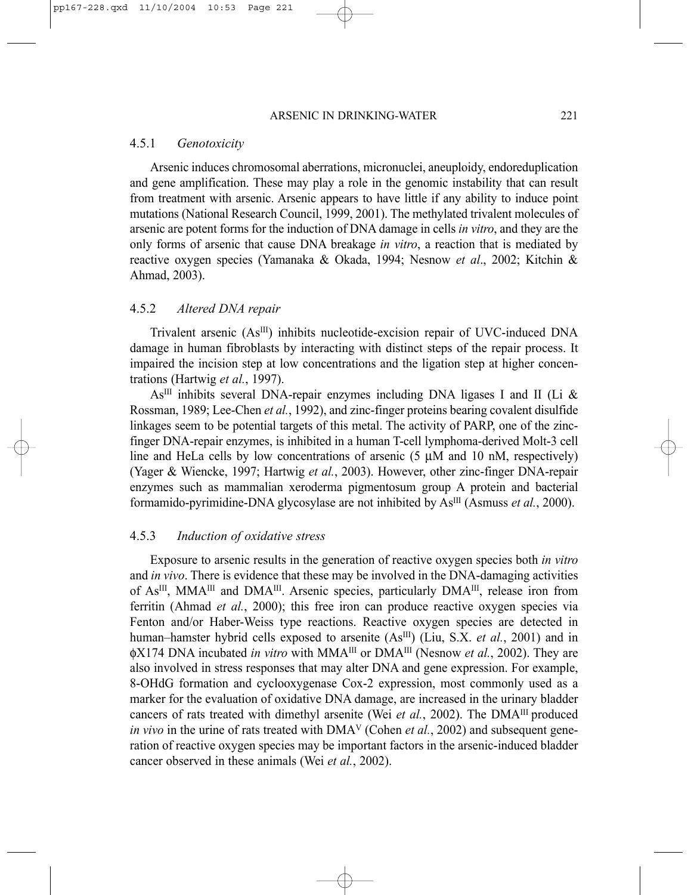#### 4.5.1 *Genotoxicity*

Arsenic induces chromosomal aberrations, micronuclei, aneuploidy, endoreduplication and gene amplification. These may play a role in the genomic instability that can result from treatment with arsenic. Arsenic appears to have little if any ability to induce point mutations (National Research Council, 1999, 2001). The methylated trivalent molecules of arsenic are potent forms for the induction of DNA damage in cells *in vitro*, and they are the only forms of arsenic that cause DNA breakage *in vitro*, a reaction that is mediated by reactive oxygen species (Yamanaka & Okada, 1994; Nesnow *et al*., 2002; Kitchin & Ahmad, 2003).

## 4.5.2 *Altered DNA repair*

Trivalent arsenic (As<sup>III</sup>) inhibits nucleotide-excision repair of UVC-induced DNA damage in human fibroblasts by interacting with distinct steps of the repair process. It impaired the incision step at low concentrations and the ligation step at higher concentrations (Hartwig *et al.*, 1997).

 $As<sup>III</sup>$  inhibits several DNA-repair enzymes including DNA ligases I and II (Li & Rossman, 1989; Lee-Chen *et al.*, 1992), and zinc-finger proteins bearing covalent disulfide linkages seem to be potential targets of this metal. The activity of PARP, one of the zincfinger DNA-repair enzymes, is inhibited in a human T-cell lymphoma-derived Molt-3 cell line and HeLa cells by low concentrations of arsenic  $(5 \mu M)$  and 10 nM, respectively) (Yager & Wiencke, 1997; Hartwig *et al.*, 2003). However, other zinc-finger DNA-repair enzymes such as mammalian xeroderma pigmentosum group A protein and bacterial formamido-pyrimidine-DNA glycosylase are not inhibited by AsIII (Asmuss *et al.*, 2000).

## 4.5.3 *Induction of oxidative stress*

Exposure to arsenic results in the generation of reactive oxygen species both *in vitro* and *in vivo*. There is evidence that these may be involved in the DNA-damaging activities of As<sup>III</sup>, MMA<sup>III</sup> and DMA<sup>III</sup>. Arsenic species, particularly DMA<sup>III</sup>, release iron from ferritin (Ahmad *et al.*, 2000); this free iron can produce reactive oxygen species via Fenton and/or Haber-Weiss type reactions. Reactive oxygen species are detected in human–hamster hybrid cells exposed to arsenite (As<sup>III</sup>) (Liu, S.X. *et al.*, 2001) and in φX174 DNA incubated *in vitro* with MMAIII or DMAIII (Nesnow *et al.*, 2002). They are also involved in stress responses that may alter DNA and gene expression. For example, 8-OHdG formation and cyclooxygenase Cox-2 expression, most commonly used as a marker for the evaluation of oxidative DNA damage, are increased in the urinary bladder cancers of rats treated with dimethyl arsenite (Wei et al., 2002). The DMA<sup>III</sup> produced *in vivo* in the urine of rats treated with DMA<sup>V</sup> (Cohen *et al.*, 2002) and subsequent generation of reactive oxygen species may be important factors in the arsenic-induced bladder cancer observed in these animals (Wei *et al.*, 2002).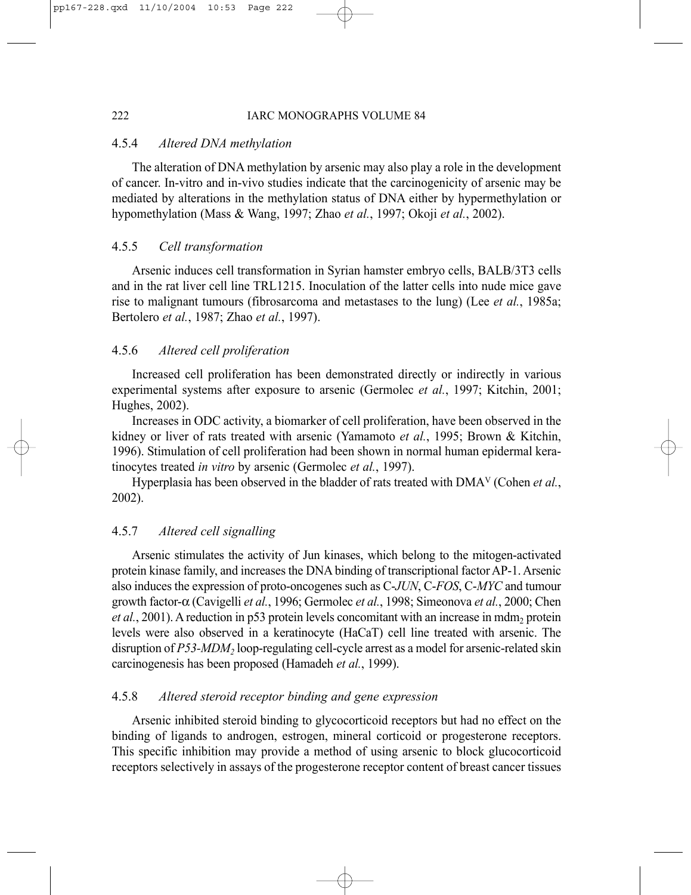## 222 IARC MONOGRAPHS VOLUME 84

## 4.5.4 *Altered DNA methylation*

The alteration of DNA methylation by arsenic may also play a role in the development of cancer. In-vitro and in-vivo studies indicate that the carcinogenicity of arsenic may be mediated by alterations in the methylation status of DNA either by hypermethylation or hypomethylation (Mass & Wang, 1997; Zhao *et al.*, 1997; Okoji *et al.*, 2002).

#### 4.5.5 *Cell transformation*

Arsenic induces cell transformation in Syrian hamster embryo cells, BALB/3T3 cells and in the rat liver cell line TRL1215. Inoculation of the latter cells into nude mice gave rise to malignant tumours (fibrosarcoma and metastases to the lung) (Lee *et al.*, 1985a; Bertolero *et al.*, 1987; Zhao *et al.*, 1997).

## 4.5.6 *Altered cell proliferation*

Increased cell proliferation has been demonstrated directly or indirectly in various experimental systems after exposure to arsenic (Germolec *et al.*, 1997; Kitchin, 2001; Hughes, 2002).

Increases in ODC activity, a biomarker of cell proliferation, have been observed in the kidney or liver of rats treated with arsenic (Yamamoto *et al.*, 1995; Brown & Kitchin, 1996). Stimulation of cell proliferation had been shown in normal human epidermal keratinocytes treated *in vitro* by arsenic (Germolec *et al.*, 1997).

Hyperplasia has been observed in the bladder of rats treated with DMAV (Cohen *et al.*, 2002).

## 4.5.7 *Altered cell signalling*

Arsenic stimulates the activity of Jun kinases, which belong to the mitogen-activated protein kinase family, and increases the DNA binding of transcriptional factor AP-1. Arsenic also induces the expression of proto-oncogenes such as C-*JUN*, C-*FOS*, C-*MYC* and tumour growth factor-α (Cavigelli *et al.*, 1996; Germolec *et al.*, 1998; Simeonova *et al.*, 2000; Chen *et al.*, 2001). A reduction in p53 protein levels concomitant with an increase in mdm<sub>2</sub> protein levels were also observed in a keratinocyte (HaCaT) cell line treated with arsenic. The disruption of *P53-MDM*<sub>2</sub> loop-regulating cell-cycle arrest as a model for arsenic-related skin carcinogenesis has been proposed (Hamadeh *et al.*, 1999).

## 4.5.8 *Altered steroid receptor binding and gene expression*

Arsenic inhibited steroid binding to glycocorticoid receptors but had no effect on the binding of ligands to androgen, estrogen, mineral corticoid or progesterone receptors. This specific inhibition may provide a method of using arsenic to block glucocorticoid receptors selectively in assays of the progesterone receptor content of breast cancer tissues